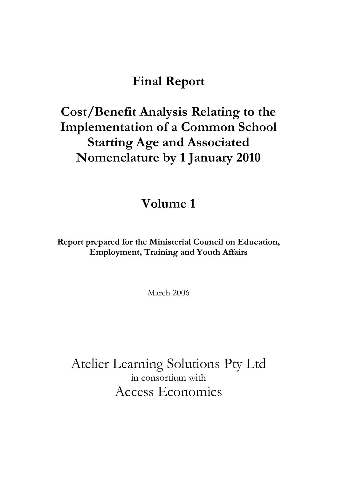### **Final Report**

# **Cost/Benefit Analysis Relating to the Implementation of a Common School Starting Age and Associated Nomenclature by 1 January 2010**

### **Volume 1**

**Report prepared for the Ministerial Council on Education, Employment, Training and Youth Affairs** 

March 2006

Atelier Learning Solutions Pty Ltd in consortium with Access Economics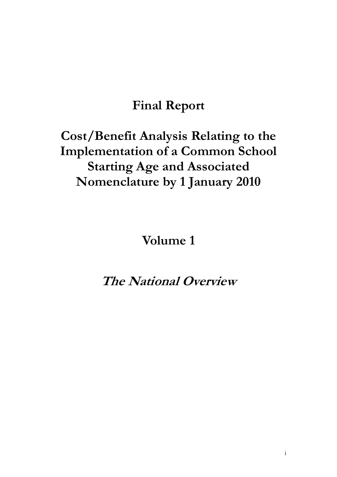# **Final Report**

# **Cost/Benefit Analysis Relating to the Implementation of a Common School Starting Age and Associated Nomenclature by 1 January 2010**

### **Volume 1**

## **The National Overview**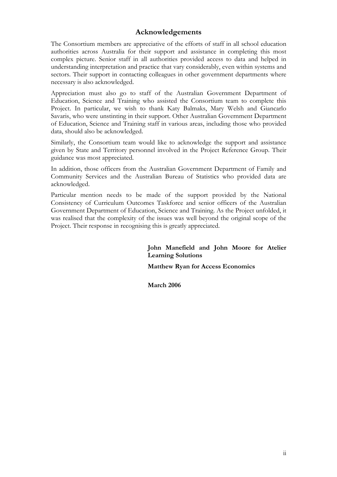#### **Acknowledgements**

The Consortium members are appreciative of the efforts of staff in all school education authorities across Australia for their support and assistance in completing this most complex picture. Senior staff in all authorities provided access to data and helped in understanding interpretation and practice that vary considerably, even within systems and sectors. Their support in contacting colleagues in other government departments where necessary is also acknowledged.

Appreciation must also go to staff of the Australian Government Department of Education, Science and Training who assisted the Consortium team to complete this Project. In particular, we wish to thank Katy Balmaks, Mary Welsh and Giancarlo Savaris, who were unstinting in their support. Other Australian Government Department of Education, Science and Training staff in various areas, including those who provided data, should also be acknowledged.

Similarly, the Consortium team would like to acknowledge the support and assistance given by State and Territory personnel involved in the Project Reference Group. Their guidance was most appreciated.

In addition, those officers from the Australian Government Department of Family and Community Services and the Australian Bureau of Statistics who provided data are acknowledged.

Particular mention needs to be made of the support provided by the National Consistency of Curriculum Outcomes Taskforce and senior officers of the Australian Government Department of Education, Science and Training. As the Project unfolded, it was realised that the complexity of the issues was well beyond the original scope of the Project. Their response in recognising this is greatly appreciated.

> **John Manefield and John Moore for Atelier Learning Solutions**

**Matthew Ryan for Access Economics** 

**March 2006**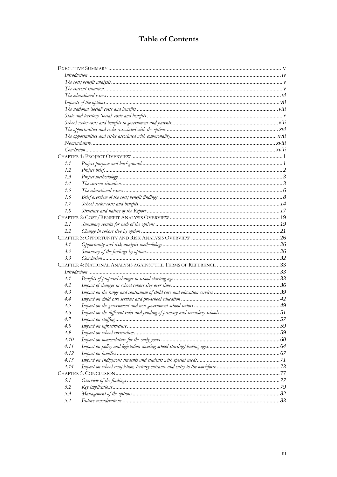### **Table of Contents**

| 1.1  |                    |    |
|------|--------------------|----|
| 1.2  |                    |    |
| 1.3  |                    |    |
| 1.4  |                    |    |
| 1.5  |                    |    |
| 1.6  |                    |    |
| 1.7  |                    |    |
| 1.8  |                    |    |
|      |                    |    |
| 2.1  |                    |    |
| 2.2  |                    |    |
|      |                    |    |
| 3.1  |                    |    |
| 3.2  |                    |    |
| 3.3  |                    |    |
|      |                    |    |
|      | Introduction 1, 33 |    |
| 4.1  |                    |    |
| 4.2  |                    |    |
| 4.3  |                    |    |
| 4.4  |                    |    |
| 4.5  |                    |    |
| 4.6  |                    |    |
| 4.7  |                    | 57 |
| 4.8  |                    |    |
| 4.9  |                    |    |
| 4.10 |                    |    |
| 4.11 |                    |    |
| 4.12 |                    |    |
| 4.13 |                    |    |
| 4.14 |                    |    |
|      |                    |    |
| 5.1  |                    |    |
| 5.2  |                    |    |
| 5.3  |                    |    |
| 5.4  |                    |    |
|      |                    |    |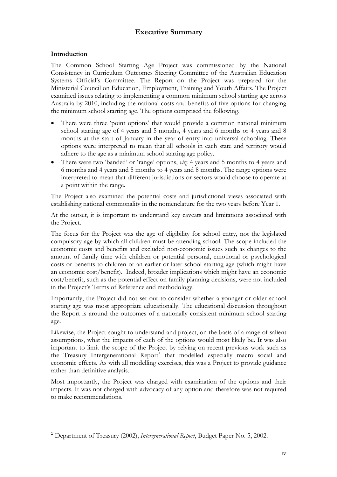#### **Executive Summary**

#### **Introduction**

 $\overline{a}$ 

The Common School Starting Age Project was commissioned by the National Consistency in Curriculum Outcomes Steering Committee of the Australian Education Systems Official's Committee. The Report on the Project was prepared for the Ministerial Council on Education, Employment, Training and Youth Affairs. The Project examined issues relating to implementing a common minimum school starting age across Australia by 2010, including the national costs and benefits of five options for changing the minimum school starting age. The options comprised the following.

- There were three 'point options' that would provide a common national minimum school starting age of 4 years and 5 months, 4 years and 6 months or 4 years and 8 months at the start of January in the year of entry into universal schooling. These options were interpreted to mean that all schools in each state and territory would adhere to the age as a minimum school starting age policy.
- There were two 'banded' or 'range' options, *viz*: 4 years and 5 months to 4 years and 6 months and 4 years and 5 months to 4 years and 8 months. The range options were interpreted to mean that different jurisdictions or sectors would choose to operate at a point within the range.

The Project also examined the potential costs and jurisdictional views associated with establishing national commonality in the nomenclature for the two years before Year 1.

At the outset, it is important to understand key caveats and limitations associated with the Project.

The focus for the Project was the age of eligibility for school entry, not the legislated compulsory age by which all children must be attending school. The scope included the economic costs and benefits and excluded non-economic issues such as changes to the amount of family time with children or potential personal, emotional or psychological costs or benefits to children of an earlier or later school starting age (which might have an economic cost/benefit). Indeed, broader implications which might have an economic cost/benefit, such as the potential effect on family planning decisions, were not included in the Project's Terms of Reference and methodology.

Importantly, the Project did not set out to consider whether a younger or older school starting age was most appropriate educationally. The educational discussion throughout the Report is around the outcomes of a nationally consistent minimum school starting age.

Likewise, the Project sought to understand and project, on the basis of a range of salient assumptions, what the impacts of each of the options would most likely be. It was also important to limit the scope of the Project by relying on recent previous work such as the Treasury Intergenerational Report<sup>1</sup> that modelled especially macro social and economic effects. As with all modelling exercises, this was a Project to provide guidance rather than definitive analysis.

Most importantly, the Project was charged with examination of the options and their impacts. It was not charged with advocacy of any option and therefore was not required to make recommendations.

<sup>1</sup> Department of Treasury (2002), *Intergenerational Report*, Budget Paper No. 5, 2002.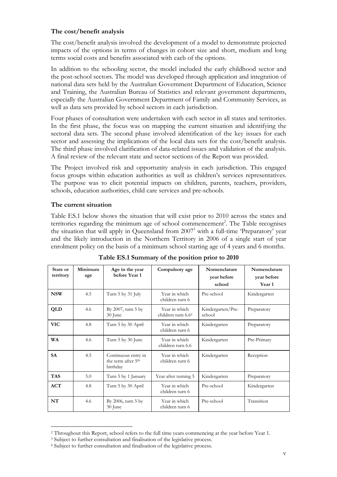#### **The cost/benefit analysis**

The cost/benefit analysis involved the development of a model to demonstrate projected impacts of the options in terms of changes in cohort size and short, medium and long terms social costs and benefits associated with each of the options.

In addition to the schooling sector, the model included the early childhood sector and the post-school sectors. The model was developed through application and integration of national data sets held by the Australian Government Department of Education, Science and Training, the Australian Bureau of Statistics and relevant government departments, especially the Australian Government Department of Family and Community Services, as well as data sets provided by school sectors in each jurisdiction.

Four phases of consultation were undertaken with each sector in all states and territories. In the first phase, the focus was on mapping the current situation and identifying the sectoral data sets. The second phase involved identification of the key issues for each sector and assessing the implications of the local data sets for the cost/benefit analysis. The third phase involved clarification of data-related issues and validation of the analysis. A final review of the relevant state and sector sections of the Report was provided.

The Project involved risk and opportunity analysis in each jurisdiction. This engaged focus groups within education authorities as well as children's services representatives. The purpose was to elicit potential impacts on children, parents, teachers, providers, schools, education authorities, child care services and pre-schools.

#### **The current situation**

 $\overline{a}$ 

Table ES.1 below shows the situation that will exist prior to 2010 across the states and territories regarding the minimum age of school commencement<sup>2</sup>. The Table recognises the situation that will apply in Queensland from 2007<sup>3</sup> with a full-time 'Preparatory' year and the likely introduction in the Northern Territory in 2006 of a single start of year enrolment policy on the basis of a minimum school starting age of 4 years and 6 months.

| State or<br>territory | Minimum<br>age | Age in the year<br>before Year 1                                  | Compulsory age                      | Nomenclature<br>year before<br>school | Nomenclature<br>year before<br>Year 1 |
|-----------------------|----------------|-------------------------------------------------------------------|-------------------------------------|---------------------------------------|---------------------------------------|
| <b>NSW</b>            | 4.5            | Turn 5 by 31 July                                                 | Year in which<br>children turn 6    | Pre-school                            | Kindergarten                          |
| QLD                   | 4.6            | By $2007$ , turn $5$ by<br>30 June                                | Year in which<br>children turn 6.64 | Kindergarten/Pre-<br>school           | Preparatory                           |
| <b>VIC</b>            | 4.8            | Turn 5 by 30 April                                                | Year in which<br>children turn 6    | Kindergarten                          | Preparatory                           |
| <b>WA</b>             | 4.6            | Turn 5 by 30 June                                                 | Year in which<br>children turn 6.6  | Kindergarten                          | Pre-Primary                           |
| <b>SA</b>             | 4.5            | Continuous entry in<br>the term after 5 <sup>th</sup><br>birthday | Year in which<br>children turn 6    | Kindergarten                          | Reception                             |
| <b>TAS</b>            | 5.0            | Turn 5 by 1 January                                               | Year after turning 5                | Kindergarten                          | Preparatory                           |
| ACT                   | 4.8            | Turn 5 by 30 April                                                | Year in which<br>children turn 6    | Pre-school                            | Kindergarten                          |
| NT                    | 4.6            | By $2006$ , turn $5$ by<br>30 June                                | Year in which<br>children turn 6    | Pre-school                            | Transition                            |

<sup>2</sup> Throughout this Report, school refers to the full time years commencing at the year before Year 1.

<sup>&</sup>lt;sup>3</sup> Subject to further consultation and finalisation of the legislative process. <sup>4</sup> Subject to further consultation and finalisation of the legislative process.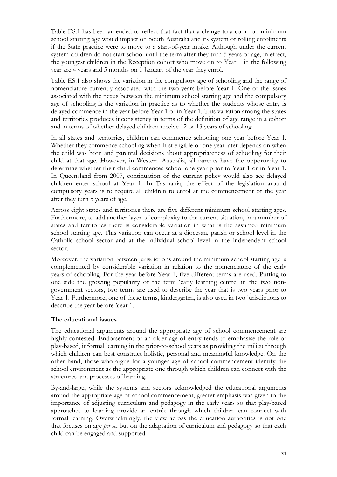Table ES.1 has been amended to reflect that fact that a change to a common minimum school starting age would impact on South Australia and its system of rolling enrolments if the State practice were to move to a start-of-year intake. Although under the current system children do not start school until the term after they turn 5 years of age, in effect, the youngest children in the Reception cohort who move on to Year 1 in the following year are 4 years and 5 months on 1 January of the year they enrol.

Table ES.1 also shows the variation in the compulsory age of schooling and the range of nomenclature currently associated with the two years before Year 1. One of the issues associated with the nexus between the minimum school starting age and the compulsory age of schooling is the variation in practice as to whether the students whose entry is delayed commence in the year before Year 1 or in Year 1. This variation among the states and territories produces inconsistency in terms of the definition of age range in a cohort and in terms of whether delayed children receive 12 or 13 years of schooling.

In all states and territories, children can commence schooling one year before Year 1. Whether they commence schooling when first eligible or one year later depends on when the child was born and parental decisions about appropriateness of schooling for their child at that age. However, in Western Australia, all parents have the opportunity to determine whether their child commences school one year prior to Year 1 or in Year 1. In Queensland from 2007, continuation of the current policy would also see delayed children enter school at Year 1. In Tasmania, the effect of the legislation around compulsory years is to require all children to enrol at the commencement of the year after they turn 5 years of age.

Across eight states and territories there are five different minimum school starting ages. Furthermore, to add another layer of complexity to the current situation, in a number of states and territories there is considerable variation in what is the assumed minimum school starting age. This variation can occur at a diocesan, parish or school level in the Catholic school sector and at the individual school level in the independent school sector.

Moreover, the variation between jurisdictions around the minimum school starting age is complemented by considerable variation in relation to the nomenclature of the early years of schooling. For the year before Year 1, five different terms are used. Putting to one side the growing popularity of the term 'early learning centre' in the two nongovernment sectors, two terms are used to describe the year that is two years prior to Year 1. Furthermore, one of these terms, kindergarten, is also used in two jurisdictions to describe the year before Year 1.

#### **The educational issues**

The educational arguments around the appropriate age of school commencement are highly contested. Endorsement of an older age of entry tends to emphasise the role of play-based, informal learning in the prior-to-school years as providing the milieu through which children can best construct holistic, personal and meaningful knowledge. On the other hand, those who argue for a younger age of school commencement identify the school environment as the appropriate one through which children can connect with the structures and processes of learning.

By-and-large, while the systems and sectors acknowledged the educational arguments around the appropriate age of school commencement, greater emphasis was given to the importance of adjusting curriculum and pedagogy in the early years so that play-based approaches to learning provide an entrée through which children can connect with formal learning. Overwhelmingly, the view across the education authorities is not one that focuses on age *per se*, but on the adaptation of curriculum and pedagogy so that each child can be engaged and supported.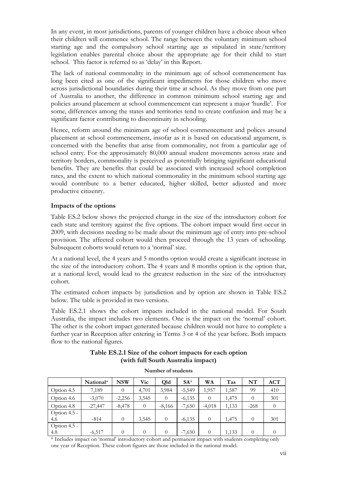In any event, in most jurisdictions, parents of younger children have a choice about when their children will commence school. The range between the voluntary minimum school starting age and the compulsory school starting age as stipulated in state/territory legislation enables parental choice about the appropriate age for their child to start school. This factor is referred to as 'delay' in this Report.

The lack of national commonality in the minimum age of school commencement has long been cited as one of the significant impediments for those children who move across jurisdictional boundaries during their time at school. As they move from one part of Australia to another, the difference in common minimum school starting age and policies around placement at school commencement can represent a major 'hurdle'. For some, differences among the states and territories tend to create confusion and may be a significant factor contributing to discontinuity in schooling.

Hence, reform around the minimum age of school commencement and polices around placement at school commencement, insofar as it is based on educational argument, is concerned with the benefits that arise from commonality, not from a particular age of school entry. For the approximately 80,000 annual student movements across state and territory borders, commonality is perceived as potentially bringing significant educational benefits. They are benefits that could be associated with increased school completion rates, and the extent to which national commonality in the minimum school starting age would contribute to a better educated, higher skilled, better adjusted and more productive citizenry.

#### **Impacts of the options**

Table ES.2 below shows the projected change in the size of the introductory cohort for each state and territory against the five options. The cohort impact would first occur in 2009, with decisions needing to be made about the minimum age of entry into pre-school provision. The affected cohort would then proceed through the 13 years of schooling. Subsequent cohorts would return to a 'normal' size.

At a national level, the 4 years and 5 months option would create a significant increase in the size of the introductory cohort. The 4 years and 8 months option is the option that, at a national level, would lead to the greatest reduction in the size of the introductory cohort.

The estimated cohort impacts by jurisdiction and by option are shown in Table ES.2 below. The table is provided in two versions.

Table ES.2.1 shows the cohort impacts included in the national model. For South Australia, the impact includes two elements. One is the impact on the 'normal' cohort. The other is the cohort impact generated because children would not have to complete a further year in Reception after entering in Terms 3 or 4 of the year before. Both impacts flow to the national figures.

|              | Number of students |            |            |          |          |          |       |          |            |  |  |
|--------------|--------------------|------------|------------|----------|----------|----------|-------|----------|------------|--|--|
|              | National*          | <b>NSW</b> | <b>Vic</b> | Old      | $SA^*$   | WA       | Tas   | NT       | <b>ACT</b> |  |  |
| Option 4.5   | 7,189              | $\Omega$   | 4,701      | 3,984    | $-5,549$ | 1,957    | 1,587 | 99       | 410        |  |  |
| Option 4.6   | $-3,070$           | $-2,256$   | 3,545      | $\theta$ | $-6,135$ | $\theta$ | 1,475 | $\Omega$ | 301        |  |  |
| Option 4.8   | $-27,447$          | $-8,478$   | $\theta$   | $-8,166$ | $-7,650$ | $-4,018$ | 1,133 | $-268$   | $\theta$   |  |  |
| Option 4.5 - |                    |            |            |          |          |          |       |          |            |  |  |
| 4.6          | $-814$             | $\Omega$   | 3,545      | $\theta$ | $-6,135$ | $\Omega$ | 1,475 | $\Omega$ | 301        |  |  |
| Option 4.5 - |                    |            |            |          |          |          |       |          |            |  |  |
| 4.8          | $-6,517$           | $\Omega$   | $\theta$   | $\Omega$ | $-7,650$ | $\Omega$ | 1,133 |          | $\theta$   |  |  |

**Table ES.2.1 Size of the cohort impacts for each option (with full South Australia impact)** 

\* Includes impact on 'normal' introductory cohort and permanent impact with students completing only one year of Reception. These cohort figures are those included in the national model.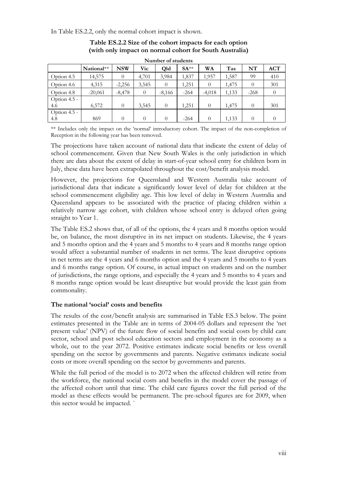In Table ES.2.2, only the normal cohort impact is shown.

|                |            |            |          | TAAHIDEL OL SIUUEIIIS |        |           |       |          |            |
|----------------|------------|------------|----------|-----------------------|--------|-----------|-------|----------|------------|
|                | National** | <b>NSW</b> | Vic      | Qld                   | $SA**$ | <b>WA</b> | Tas   | NT       | <b>ACT</b> |
| Option 4.5     | 14,575     | $\theta$   | 4,701    | 3,984                 | 1,837  | 1,957     | 1,587 | 99       | 410        |
| Option 4.6     | 4,315      | $-2,256$   | 3,545    | $\theta$              | 1,251  |           | 1,475 | $\Omega$ | 301        |
| Option 4.8     | $-20,061$  | $-8,478$   | $\theta$ | $-8,166$              | $-264$ | $-4,018$  | 1,133 | $-268$   | $\theta$   |
| Option $4.5 -$ |            |            |          |                       |        |           |       |          |            |
| 4.6            | 6,572      | $\theta$   | 3,545    | $\theta$              | 1,251  | $\Omega$  | 1,475 | $\Omega$ | 301        |
| Option $4.5 -$ |            |            |          |                       |        |           |       |          |            |
| 4.8            | 869        | $\Omega$   | $\theta$ | $\theta$              | $-264$ | $\Omega$  | 1,133 | $\Omega$ | $\Omega$   |

#### **Table ES.2.2 Size of the cohort impacts for each option (with only impact on normal cohort for South Australia)**

**Number of students**

\*\* Includes only the impact on the 'normal' introductory cohort. The impact of the non-completion of Reception in the following year has been removed.

The projections have taken account of national data that indicate the extent of delay of school commencement. Given that New South Wales is the only jurisdiction in which there are data about the extent of delay in start-of-year school entry for children born in July, these data have been extrapolated throughout the cost/benefit analysis model.

However, the projections for Queensland and Western Australia take account of jurisdictional data that indicate a significantly lower level of delay for children at the school commencement eligibility age. This low level of delay in Western Australia and Queensland appears to be associated with the practice of placing children within a relatively narrow age cohort, with children whose school entry is delayed often going straight to Year 1.

The Table ES.2 shows that, of all of the options, the 4 years and 8 months option would be, on balance, the most disruptive in its net impact on students. Likewise, the 4 years and 5 months option and the 4 years and 5 months to 4 years and 8 months range option would affect a substantial number of students in net terms. The least disruptive options in net terms are the 4 years and 6 months option and the 4 years and 5 months to 4 years and 6 months range option. Of course, in actual impact on students and on the number of jurisdictions, the range options, and especially the 4 years and 5 months to 4 years and 8 months range option would be least disruptive but would provide the least gain from commonality.

#### **The national 'social' costs and benefits**

The results of the cost/benefit analysis are summarised in Table ES.3 below. The point estimates presented in the Table are in terms of 2004-05 dollars and represent the 'net present value' (NPV) of the future flow of social benefits and social costs by child care sector, school and post school education sectors and employment in the economy as a whole, out to the year 2072. Positive estimates indicate social benefits or less overall spending on the sector by governments and parents. Negative estimates indicate social costs or more overall spending on the sector by governments and parents.

While the full period of the model is to 2072 when the affected children will retire from the workforce, the national social costs and benefits in the model cover the passage of the affected cohort until that time. The child care figures cover the full period of the model as these effects would be permanent. The pre-school figures are for 2009, when this sector would be impacted. `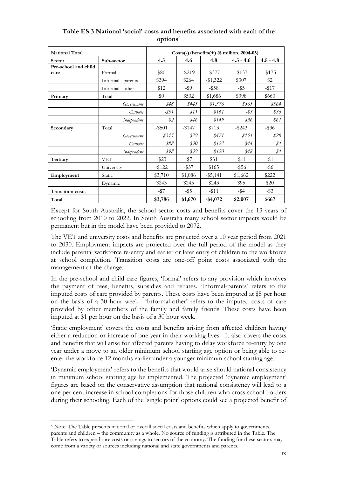| <b>National Total</b>   |                    | $Costs(-)/benefits(+)$ (\$ million, 2004-05) |           |             |                 |                 |  |  |  |
|-------------------------|--------------------|----------------------------------------------|-----------|-------------|-----------------|-----------------|--|--|--|
| Sector                  | Sub-sector         | 4.5                                          | 4.6       | 4.8         | $4.5 - 4.6$     | $4.5 - 4.8$     |  |  |  |
| Pre-school and child    |                    |                                              |           |             |                 |                 |  |  |  |
| care                    | Formal             | \$80                                         | $-$ \$219 | $-$ \$377   | $-137$          | $-1175$         |  |  |  |
|                         | Informal - parents | \$394                                        | \$264     | $-\$1,322$  | \$307           | \$2             |  |  |  |
|                         | Informal - other   | \$12                                         | $-$ \$9   | $-$ \$58    | $-$ \$5         | $-117$          |  |  |  |
| Primary                 | Total              | \$0                                          | \$502     | \$1,686     | \$398           | \$660           |  |  |  |
|                         | Government         | \$48                                         | \$445     | \$1,376     | \$365           | \$564           |  |  |  |
|                         | Catholic           | $-$ \$51                                     | \$11      | \$161       | $-\frac{83}{5}$ | \$35            |  |  |  |
|                         | Independent        | \$2\$                                        | \$46      | \$149       | \$36            | \$61            |  |  |  |
| Secondary               | Total              | $-$ \$501                                    | $-$ \$147 | \$713       | $-$ \$243       | $-$ \$36        |  |  |  |
|                         | Government         | $-8315$                                      | -\$79     | \$471       | $-8151$         | $-828$          |  |  |  |
|                         | Catholic           | -\$88                                        | $-$ \$30  | \$122       | -\$44           | $-\frac{\%}{4}$ |  |  |  |
|                         | Independent        | $-$ \$98                                     | -\$39     | \$120       | -\$48           | $-\frac{\%}{4}$ |  |  |  |
| Tertiary                | <b>VET</b>         | $-$ \$23                                     | $-157$    | \$31        | $-$ \$11        | $-$ \$1         |  |  |  |
|                         | University         | $-$ \$122                                    | $-$ \$37  | \$165       | $-$ \$56        | $-$ \$6         |  |  |  |
| Employment              | Static             | \$3,710                                      | \$1,086   | $-$ \$5,141 | \$1,662         | \$222           |  |  |  |
|                         | Dynamic            | \$243                                        | \$243     | \$243       | \$95            | \$20            |  |  |  |
| <b>Transition costs</b> |                    | $-157$                                       | $-$ \$5   | $-$ \$11    | $-$ \$4         | $-$ \$3         |  |  |  |
| Total                   |                    | \$3,786                                      | \$1,670   | $-$ \$4,072 | \$2,007         | \$667           |  |  |  |

#### **Table ES.3 National 'social' costs and benefits associated with each of the options5**

Except for South Australia, the school sector costs and benefits cover the 13 years of schooling from 2010 to 2022. In South Australia many school sector impacts would be permanent but in the model have been provided to 2072.

The VET and university costs and benefits are projected over a 10 year period from 2021 to 2030. Employment impacts are projected over the full period of the model as they include parental workforce re-entry and earlier or later entry of children to the workforce at school completion. Transition costs are one-off point costs associated with the management of the change.

In the pre-school and child care figures, 'formal' refers to any provision which involves the payment of fees, benefits, subsidies and rebates. 'Informal-parents' refers to the imputed costs of care provided by parents. These costs have been imputed at \$5 per hour on the basis of a 30 hour week. 'Informal-other' refers to the imputed costs of care provided by other members of the family and family friends. These costs have been imputed at \$1 per hour on the basis of a 30 hour week.

'Static employment' covers the costs and benefits arising from affected children having either a reduction or increase of one year in their working lives. It also covers the costs and benefits that will arise for affected parents having to delay workforce re-entry by one year under a move to an older minimum school starting age option or being able to reenter the workforce 12 months earlier under a younger minimum school starting age.

'Dynamic employment' refers to the benefits that would arise should national consistency in minimum school starting age be implemented. The projected 'dynamic employment' figures are based on the conservative assumption that national consistency will lead to a one per cent increase in school completions for those children who cross school borders during their schooling. Each of the 'single point' options could see a projected benefit of

 $\overline{a}$ 

<sup>5</sup> Note: The Table presents national or overall social costs and benefits which apply to governments, parents and children – the community as a whole. No source of funding is attributed in the Table. The Table refers to expenditure costs or savings to sectors of the economy. The funding for these sectors may come from a variety of sources including national and state governments and parents.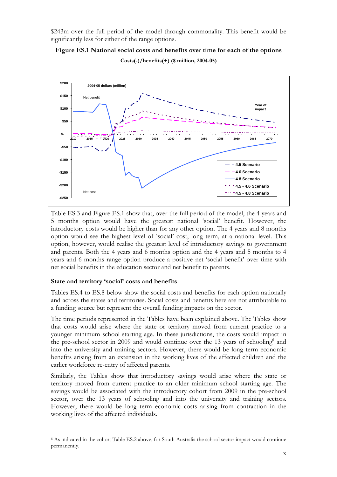\$243m over the full period of the model through commonality. This benefit would be significantly less for either of the range options.

**Figure ES.1 National social costs and benefits over time for each of the options Costs(-)/benefits(+) (\$ million, 2004-05)** 



Table ES.3 and Figure ES.1 show that, over the full period of the model, the 4 years and 5 months option would have the greatest national 'social' benefit. However, the introductory costs would be higher than for any other option. The 4 years and 8 months option would see the highest level of 'social' cost, long term, at a national level. This option, however, would realise the greatest level of introductory savings to government and parents. Both the 4 years and 6 months option and the 4 years and 5 months to 4 years and 6 months range option produce a positive net 'social benefit' over time with net social benefits in the education sector and net benefit to parents.

#### **State and territory 'social' costs and benefits**

 $\overline{a}$ 

Tables ES.4 to ES.8 below show the social costs and benefits for each option nationally and across the states and territories. Social costs and benefits here are not attributable to a funding source but represent the overall funding impacts on the sector.

The time periods represented in the Tables have been explained above. The Tables show that costs would arise where the state or territory moved from current practice to a younger minimum school starting age. In these jurisdictions, the costs would impact in the pre-school sector in 2009 and would continue over the 13 years of schooling<sup>6</sup> and into the university and training sectors. However, there would be long term economic benefits arising from an extension in the working lives of the affected children and the earlier workforce re-entry of affected parents.

Similarly, the Tables show that introductory savings would arise where the state or territory moved from current practice to an older minimum school starting age. The savings would be associated with the introductory cohort from 2009 in the pre-school sector, over the 13 years of schooling and into the university and training sectors. However, there would be long term economic costs arising from contraction in the working lives of the affected individuals.

<sup>6</sup> As indicated in the cohort Table ES.2 above, for South Australia the school sector impact would continue permanently.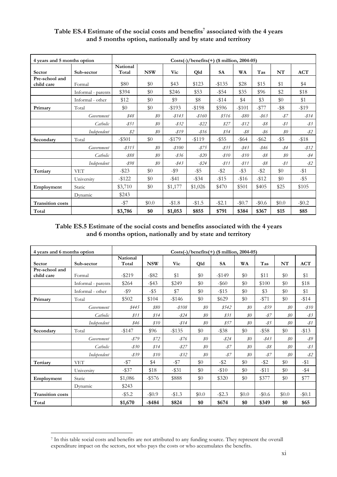| 4 years and 5 months option  |                    | $Costs(-)/benefits(+)$ (\$ million, 2004-05) |            |           |           |           |          |          |                |              |  |
|------------------------------|--------------------|----------------------------------------------|------------|-----------|-----------|-----------|----------|----------|----------------|--------------|--|
| Sector                       | Sub-sector         | National<br>Total                            | <b>NSW</b> | Vic       | Qld       | <b>SA</b> | WA       | Tas      | NT             | <b>ACT</b>   |  |
| Pre-school and<br>child care | Formal             | \$80                                         | \$0        | \$43      | \$123     | $-135$    | \$28     | \$15     | \$1            | \$4          |  |
|                              | Informal - parents | \$394                                        | \$0        | \$246     | \$53      | $-$ \$54  | \$35     | \$96     | \$2            | \$18         |  |
|                              | Informal - other   | \$12                                         | \$0        | \$9       | \$8       | $-114$    | \$4      | \$3      | $\$0$          | \$1          |  |
| Primary                      | Total              | \$0                                          | \$0        | $-193$    | $-198$    | \$596     | $- $101$ | $-1577$  | $-$ \$8        | $-19$        |  |
|                              | Government         | \$48                                         | $\$0$      | $-8143$   | $-$ \$160 | \$516     | $-$ \$80 | $-863$   | $-87$          | $-814$       |  |
|                              | Catholic           | $-851$                                       | $\$0$      | $-$ \$32  | $-822$    | \$27      | $-812$   | $-$ \$8  | $-81$          | $-\sqrt{$3}$ |  |
|                              | Independent        | \$2\$                                        | $\$0$      | $-819$    | $-816$    | \$54      | $-$ \$8  | -\$6     | $\mathcal{S}O$ | $-$ \$2      |  |
| Secondary                    | Total              | $-$ \$501                                    | \$0        | $-15179$  | $-119$    | $-$ \$55  | $-$ \$64 | $-$ \$62 | $-$ \$5        | $-$ \$18     |  |
|                              | Government         | $-$ \$315                                    | $\$0$      | $-$ \$100 | $-875$    | $-835$    | $-$ \$43 | $-$ \$46 | -\$4           | $-812$       |  |
|                              | Catholic           | $-$ \$88                                     | $\$0$      | $-836$    | $-820$    | $-$ \$10  | $-810$   | $-$ \$8  | $\$0$          | $-$ \$4      |  |
|                              | Independent        | -\$98                                        | $\$0$      | $-843$    | $-824$    | $-811$    | $-811$   | $-$ \$8  | -\$1           | $-$ \$2      |  |
| Tertiary                     | <b>VET</b>         | $-$ \$23                                     | \$0        | -\$9      | $-$ \$5   | $-$ \$2   | $-$ \$3  | $-$ \$2  | $\$0$          | $-$ \$1      |  |
|                              | University         | $-$ \$122                                    | \$0        | $-$ \$41  | $-$ \$34  | $-$ \$15  | $-\$16$  | $-112$   | \$0            | $-$ \$5      |  |
| Employment                   | Static             | \$3,710                                      | \$0        | \$1,177   | \$1,026   | \$470     | \$501    | \$405    | \$25           | \$105        |  |
|                              | Dynamic            | \$243                                        |            |           |           |           |          |          |                |              |  |
| <b>Transition costs</b>      |                    | $-$ \$7                                      | \$0.0      | $- $1.8$  | $-1.5$    | $-$ \$2.1 | $-\$0.7$ | $-\$0.6$ | \$0.0          | $-\$0.2$     |  |
| Total                        |                    | \$3,786                                      | \$0        | \$1,053   | \$855     | \$791     | \$384    | \$367    | \$15           | \$85         |  |

#### Table ES.4 Estimate of the social costs and benefits<sup>7</sup> associated with the 4 years **and 5 months option, nationally and by state and territory**

#### **Table ES.5 Estimate of the social costs and benefits associated with the 4 years and 6 months option, nationally and by state and territory**

| 4 years and 6 months option |                    | $Costs(-)/benefits(+)$ (\$ million, 2004-05) |            |           |       |           |                              |          |                |                 |
|-----------------------------|--------------------|----------------------------------------------|------------|-----------|-------|-----------|------------------------------|----------|----------------|-----------------|
| Sector                      | Sub-sector         | National<br>Total                            | <b>NSW</b> | Vic       | Qld   | <b>SA</b> | <b>WA</b>                    | Tas      | NT             | <b>ACT</b>      |
| Pre-school and              |                    |                                              |            |           |       |           |                              |          |                |                 |
| child care                  | Formal             | $-$ \$219                                    | $-$ \$82   | \$1       | \$0   | $-149$    | \$0                          | \$11     | \$0            | \$1             |
|                             | Informal - parents | \$264                                        | $-$ \$43   | \$249     | \$0   | $-$ \$60  | \$0                          | \$100    | \$0            | \$18            |
|                             | Informal - other   | $-$ \$9                                      | $-$ \$5    | \$7       | \$0   | $-15$     | \$0                          | \$3      | \$0            | \$1             |
| Primary                     | Total              | \$502                                        | \$104      | $-$146$   | \$0   | \$629     | \$0                          | $- $71$  | \$0            | $-114$          |
|                             | Government         | \$445                                        | \$80       | $-$ \$108 | $\$0$ | \$542     | $\mathcal{S}^{\prime\prime}$ | $-859$   | $\mathcal{S}O$ | $-810$          |
|                             | Catholic           | \$11                                         | \$14       | $-824$    | $\$0$ | \$31      | $\mathcal{S}O$               | $-87$    | $\$0$          | $-\frac{83}{5}$ |
|                             | Independent        | \$46                                         | \$10       | $-814$    | $\$0$ | \$57      | $\mathcal{S}O$               | $-85$    | $\$0$          | $-81$           |
| Secondary                   | Total              | $-1147$                                      | \$96       | $-135$    | \$0   | $-$ \$38  | \$0                          | $-$ \$58 | \$0            | $-13$           |
|                             | Government         | $-879$                                       | \$72       | $-876$    | $\$0$ | $-824$    | $\mathcal{S}O$               | $-843$   | $\$0$          | -\$9            |
|                             | Catholic           | $-$ \$30                                     | \$14       | $-827$    | $\$0$ | $-87$     | $\mathcal{S}O$               | $-$ \$8  | $\$0$          | $-\frac{83}{5}$ |
|                             | Independent        | -\$39                                        | \$10       | $-$ \$32  | $\$0$ | $-87$     | $\mathcal{S}O$               | $-87$    | $\$0$          | $-$ \$2         |
| Tertiary                    | <b>VET</b>         | $-157$                                       | \$4        | $-$ \$7   | \$0   | $-$ \$2   | \$0                          | $-$ \$2  | \$0            | $-$ \$1         |
|                             | University         | $-$ \$37                                     | \$18       | $-$ \$31  | \$0   | $-10$     | \$0                          | $-11$    | \$0            | $-$ \$4         |
| Employment                  | Static             | \$1,086                                      | $-$ \$576  | \$888     | \$0   | \$320     | \$0                          | \$377    | \$0            | \$77            |
|                             | Dynamic            | \$243                                        |            |           |       |           |                              |          |                |                 |
| <b>Transition costs</b>     |                    | $-$ \$5.2                                    | $-\$0.9$   | $-1.3$    | \$0.0 | $-$ \$2.3 | \$0.0                        | $-\$0.6$ | \$0.0          | $-$ \$0.1       |
| Total                       |                    | \$1,670                                      | $-$ \$484  | \$824     | \$0   | \$674     | \$0                          | \$349    | \$0            | \$65            |

 $\overline{a}$ 7 In this table social costs and benefits are not attributed to any funding source. They represent the overall expenditure impact on the sectors, not who pays the costs or who accumulates the benefits.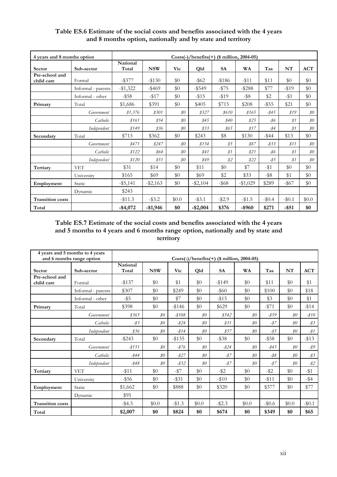| 4 years and 8 months option |                    | Costs(-)/benefits(+) ( $\frac{1}{2}$ million, 2004-05) |             |                |             |           |           |          |          |                |
|-----------------------------|--------------------|--------------------------------------------------------|-------------|----------------|-------------|-----------|-----------|----------|----------|----------------|
| Sector                      | Sub-sector         | National<br>Total                                      | <b>NSW</b>  | Vic            | Qld         | <b>SA</b> | WA        | Tas      | NT       | <b>ACT</b>     |
| Pre-school and              |                    |                                                        |             |                |             |           |           |          |          |                |
| child care                  | Formal             | $-$ \$377                                              | $-130$      | \$0            | $-$ \$62    | $-186$    | $-11$     | \$11     | \$0      | \$0            |
|                             | Informal - parents | $-$1,322$                                              | $-$ \$469   | \$0            | $-$ \$549   | $-1575$   | $-$ \$288 | \$77     | $-19$    | \$0            |
|                             | Informal - other   | $-$ \$58                                               | $-117$      | \$0            | $-15$       | $-119$    | $-$ \$8   | \$2      | $-11$    | \$0            |
| Primary                     | Total              | \$1,686                                                | \$391       | \$0            | \$405       | \$715     | \$208     | $-$ \$55 | \$21     | \$0            |
|                             | Government         | \$1,376                                                | \$301       | $\mathcal{S}O$ | \$327       | \$610     | \$165     | $-$ \$45 | \$19     | $\mathcal{S}O$ |
|                             | Catholic           | \$161                                                  | \$54        | $\$0$          | \$45        | \$40      | \$25      | -\$6     | \$1      | $\mathcal{S}O$ |
|                             | Independent        | \$149                                                  | 836         | $\$0$          | 833         | \$65      | \$17      | $-$ \$4  | \$1      | $\$0$          |
| Secondary                   | Total              | \$713                                                  | \$362       | \$0            | \$243       | \$8       | \$130     | $-$ \$44 | \$13     | \$0            |
|                             | Government         | \$471                                                  | \$247       | $\$0$          | \$154       | \$5       | \$87      | $-833$   | \$11     | \$0\$          |
|                             | Catholic           | \$122                                                  | \$64        | $\$0$          | \$41        | \$1       | \$21      | -\$6     | \$1      | $\$0$          |
|                             | Independent        | \$120                                                  | \$51        | $\$0$          | \$49        | \$2\$     | \$22      | $-85$    | \$1      | \$0\$          |
| Tertiary                    | <b>VET</b>         | \$31                                                   | \$14        | \$0            | \$11        | \$0       | \$7       | $-$ \$1  | \$0      | \$0            |
|                             | University         | \$165                                                  | \$69        | \$0            | \$69        | \$2       | \$33      | $-$ \$8  | \$1      | \$0            |
| Employment                  | Static             | $-$ \$5,141                                            | $-$ \$2,163 | \$0            | $-$ \$2,104 | $-$ \$68  | $-$1,029$ | \$289    | $-$ \$67 | \$0            |
|                             | Dynamic            | \$243                                                  |             |                |             |           |           |          |          |                |
| <b>Transition costs</b>     |                    | $-11.3$                                                | $-$ \$3.2   | \$0.0          | $-$ \$3.1   | $-$ \$2.9 | $-1.5$    | $-\$0.4$ | $-\$0.1$ | \$0.0          |
| Total                       |                    | $-$4,072$                                              | $-$1,946$   | \$0            | $-$ \$2,004 | \$376     | -\$960    | \$271    | $-$ \$51 | \$0            |

#### **Table ES.6 Estimate of the social costs and benefits associated with the 4 years and 8 months option, nationally and by state and territory**

**Table ES.7 Estimate of the social costs and benefits associated with the 4 years and 5 months to 4 years and 6 months range option, nationally and by state and territory** 

|                              | 4 years and 5 months to 4 years<br>and 6 months range option | $Costs(-)/benefits(+)$ (\$ million, 2004-05) |                |           |                |           |                |          |                |                 |
|------------------------------|--------------------------------------------------------------|----------------------------------------------|----------------|-----------|----------------|-----------|----------------|----------|----------------|-----------------|
| Sector                       | Sub-sector                                                   | National<br>Total                            | <b>NSW</b>     | Vic       | Qld            | <b>SA</b> | <b>WA</b>      | Tas      | NT             | ACT             |
| Pre-school and<br>child care | Formal                                                       | $-$ \$137                                    | \$0            | \$1       | \$0            | $-149$    | \$0            | \$11     | \$0            | \$1             |
|                              | Informal - parents                                           | \$307                                        | \$0            | \$249     | \$0            | $-$ \$60  | \$0            | \$100    | \$0            | \$18            |
|                              | Informal - other                                             | $-$ \$5                                      | \$0            | \$7       | \$0            | $-15$     | \$0            | \$3      | \$0            | \$1             |
| Primary                      | Total                                                        | \$398                                        | \$0            | $-$146$   | \$0            | \$629     | \$0            | $- $71$  | \$0            | $-$ \$14        |
|                              | Government                                                   | 8365                                         | $\mathcal{S}O$ | $-$ \$108 | $\mathcal{S}O$ | \$542     | $\mathcal{S}O$ | $-859$   | $\mathcal{S}O$ | $-810$          |
|                              | Catholic                                                     | $-83$                                        | $\mathcal{S}O$ | $-824$    | $\mathcal{S}O$ | 831       | $\mathcal{S}O$ | $-87$    | $\mathcal{S}O$ | $-\frac{83}{5}$ |
|                              | Independent                                                  | 836                                          | $\mathcal{S}O$ | $-814$    | $\mathcal{S}O$ | \$57      | $\mathcal{S}O$ | $-85$    | $\mathcal{S}O$ | $-81$           |
| Secondary                    | Total                                                        | $-$ \$243                                    | \$0            | $-$ \$135 | \$0            | $-$ \$38  | \$0            | $-$ \$58 | $\$0$          | $-13$           |
|                              | Government                                                   | $-8151$                                      | $\mathcal{S}O$ | $-876$    | $\mathcal{S}O$ | $-824$    | $\$0$          | $-$ \$43 | $\mathcal{S}O$ | -\$9            |
|                              | Catholic                                                     | $-844$                                       | $\mathcal{S}O$ | $-827$    | $\mathcal{S}O$ | $-87$     | $\$0$          | $-$ \$8  | $\mathcal{S}O$ | $-83$           |
|                              | Independent                                                  | $-$ \$48                                     | $\$0$          | $-$ \$32  | $\mathcal{S}O$ | $-87$     | $\mathcal{S}O$ | $-87$    | $\mathcal{S}O$ | $-$ \$2         |
| Tertiary                     | <b>VET</b>                                                   | $-$ \$11                                     | \$0            | $-157$    | \$0            | $-$ \$2   | \$0            | $-$ \$2  | \$0            | $-11$           |
|                              | University                                                   | $-$ \$56                                     | \$0            | $-$ \$31  | \$0            | $- $10$   | \$0            | $-11$    | \$0            | $-$ \$4         |
| Employment                   | Static                                                       | \$1,662                                      | \$0            | \$888     | \$0            | \$320     | \$0            | \$377    | \$0            | \$77            |
|                              | Dynamic                                                      | \$95                                         |                |           |                |           |                |          |                |                 |
| <b>Transition costs</b>      |                                                              | $-$ \$4.3                                    | \$0.0          | $-1.3$    | \$0.0          | $-$ \$2.3 | \$0.0          | $-\$0.6$ | \$0.0          | $-$0.1$         |
| Total                        |                                                              | \$2,007                                      | \$0            | \$824     | \$0            | \$674     | \$0            | \$349    | \$0            | \$65            |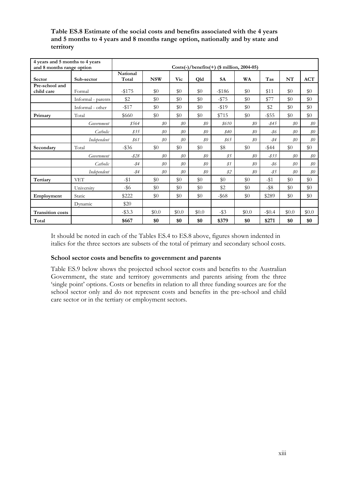| 4 years and 5 months to 4 years<br>and 8 months range option |                    | $Costs(-)/benefits(+)$ (\$ million, 2004-05) |                |                |                              |           |                              |          |                              |            |
|--------------------------------------------------------------|--------------------|----------------------------------------------|----------------|----------------|------------------------------|-----------|------------------------------|----------|------------------------------|------------|
| Sector                                                       | Sub-sector         | National<br>Total                            | <b>NSW</b>     | Vic            | Qld                          | <b>SA</b> | <b>WA</b>                    | Tas      | NT                           | <b>ACT</b> |
| Pre-school and<br>child care                                 | Formal             | $-$ \$175                                    | \$0            | \$0            | \$0                          | -\$186    | \$0                          | \$11     | \$0                          | \$0        |
|                                                              | Informal - parents | \$2                                          | \$0            | \$0            | \$0                          | $-1575$   | \$0                          | \$77     | \$0                          | \$0        |
|                                                              | Informal - other   | $-1517$                                      | \$0            | \$0            | \$0                          | $-1519$   | \$0                          | \$2      | \$0                          | \$0        |
| Primary                                                      | Total              | \$660                                        | \$0            | \$0            | \$0                          | \$715     | \$0                          | $-$ \$55 | \$0                          | \$0        |
|                                                              | Government         | \$564                                        | $\mathcal{S}O$ | $\mathcal{S}O$ | $\mathcal{S}O$               | \$610     | $\mathcal{S}O$               | $-845$   | $\mathcal{S}O$               | $\$0$      |
|                                                              | Catholic           | 835                                          | $\$0$          | $\$0$          | \$0                          | \$40      | $\mathcal{S}^{\prime\prime}$ | -\$6     | $\mathcal{S}^{\prime\prime}$ | $\$0$      |
|                                                              | Independent        | \$61                                         | $\mathcal{S}O$ | $\mathcal{S}O$ | $\mathcal{S}^{\prime\prime}$ | 865       | $\$0$                        | $-84$    | $\$0$                        | $\$0$      |
| Secondary                                                    | Total              | $-$ \$36                                     | \$0            | \$0            | \$0                          | \$8       | \$0                          | $-$ \$44 | \$0                          | \$0\$      |
|                                                              | Government         | $-828$                                       | $\$0$          | $\mathcal{S}O$ | $\mathcal{S}^{\prime\prime}$ | \$5       | $\mathcal{S}O$               | $-833$   | $\$0$                        | $\$0$      |
|                                                              | Catholic           | $-$ \$4                                      | $\$0$          | $\mathcal{S}O$ | $\mathcal{S}^{\prime\prime}$ | \$1       | $\mathcal{S}O$               | $-86$    | $\$0$                        | $\$0$      |
|                                                              | Independent        | $-$ \$4                                      | $\$0$          | $\mathcal{S}O$ | \$0\$                        | \$2\$     | $\mathcal{S}O$               | $-85$    | $\$0$                        | $\$0$      |
| Tertiary                                                     | <b>VET</b>         | $-$ \$1                                      | \$0            | \$0            | \$0                          | \$0       | \$0                          | $-$ \$1  | \$0                          | \$0        |
|                                                              | University         | -\$6                                         | \$0            | \$0            | \$0                          | \$2       | \$0                          | $-$ \$8  | \$0                          | \$0        |
| Employment                                                   | Static             | \$222                                        | \$0            | \$0            | \$0                          | $-$ \$68  | \$0                          | \$289    | \$0                          | \$0        |
|                                                              | Dynamic            | \$20                                         |                |                |                              |           |                              |          |                              |            |
| <b>Transition costs</b>                                      |                    | $-$ \$3.3                                    | \$0.0          | \$0.0          | \$0.0\$                      | $-$ \$3   | \$0.0                        | $-10.4$  | \$0.0                        | \$0.0      |
| Total                                                        |                    | \$667                                        | \$0            | \$0            | \$0                          | \$379     | \$0                          | \$271    | \$0                          | \$0        |

#### **Table ES.8 Estimate of the social costs and benefits associated with the 4 years and 5 months to 4 years and 8 months range option, nationally and by state and territory**

It should be noted in each of the Tables ES.4 to ES.8 above, figures shown indented in italics for the three sectors are subsets of the total of primary and secondary school costs.

#### **School sector costs and benefits to government and parents**

Table ES.9 below shows the projected school sector costs and benefits to the Australian Government, the state and territory governments and parents arising from the three 'single point' options. Costs or benefits in relation to all three funding sources are for the school sector only and do not represent costs and benefits in the pre-school and child care sector or in the tertiary or employment sectors.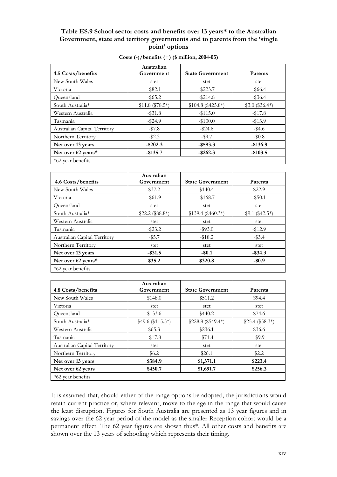#### **Table ES.9 School sector costs and benefits over 13 years\* to the Australian Government, state and territory governments and to parents from the 'single point' options**

| 4.5 Costs/benefits           | Australian<br>Government | <b>State Government</b> | Parents          |
|------------------------------|--------------------------|-------------------------|------------------|
| New South Wales              | stet                     | stet                    | stet             |
| Victoria                     | $-$ \$82.1               | $-$ \$223.7             | $-$ \$66.4       |
| Oueensland                   | $-$ \$65.2               | $-$ \$214.8             | $-$ \$36.4       |
| South Australia*             | $$11.8 ($78.5*)$         | $$104.8 ($425.8*)$      | $$3.0$ (\$36.4*) |
| Western Australia            | $-$ \$31.8               | $-115.0$                | $-17.8$          |
| Tasmania                     | $-$ \$24.9               | $-\$100.0$              | $-13.9$          |
| Australian Capital Territory | $-157.8$                 | $-$ \$24.8              | $-$ \$4.6        |
| Northern Territory           | $-\$2.3$                 | $-$ \$9.7               | $-10.8$          |
| Net over 13 years            | $-$ \$202.3              | $-$ \$583.3             | $-$136.9$        |
| Net over 62 years*           | $-$ \$135.7              | $-$ \$262.3             | $-$103.5$        |
| *62 year benefits            |                          |                         |                  |

| Costs $(-)/$ benefits $(+)$ (\$ million, 2004-05) |  |  |
|---------------------------------------------------|--|--|
|                                                   |  |  |

|                              | Australian       |                         |                  |
|------------------------------|------------------|-------------------------|------------------|
| 4.6 Costs/benefits           | Government       | <b>State Government</b> | Parents          |
| New South Wales              | \$37.2           | \$140.4                 | \$22.9           |
| Victoria                     | $-$ \$61.9       | $-168.7$                | $-$ \$50.1       |
| Oueensland                   | stet             | stet                    | stet             |
| South Australia*             | $$22.2 ($88.8*)$ | $$139.4 ($460.3*)$      | $$9.1 ($42.5^*)$ |
| Western Australia            | stet             | stet                    | stet             |
| Tasmania                     | $-$ \$23.2       | $-$ \$93.0              | $-12.9$          |
| Australian Capital Territory | $-$ \$5.7        | $-18.2$                 | $-$ \$3.4        |
| Northern Territory           | stet             | stet                    | stet             |
| Net over 13 years            | $-$ \$31.5       | $-$ \$0.1               | $-$ \$34.3       |
| Net over 62 years*           | \$35.2           | \$320.8                 | $-$0.9$          |
| *62 year benefits            |                  |                         |                  |

|                              | Australian        |                         |                  |
|------------------------------|-------------------|-------------------------|------------------|
| 4.8 Costs/benefits           | Government        | <b>State Government</b> | Parents          |
| New South Wales              | \$148.0           | \$511.2                 | \$94.4           |
| Victoria                     | stet              | stet                    | stet             |
| Oueensland                   | \$133.6           | \$440.2                 | \$74.6           |
| South Australia*             | $$49.6 ($115.5*)$ | $$228.8 ($549.4*)$      | $$25.4 ($58.3*)$ |
| Western Australia            | \$65.3            | \$236.1                 | \$36.6           |
| Tasmania                     | $-17.8$           | $- $71.4$               | $-$ \$9.9        |
| Australian Capital Territory | stet              | stet                    | stet             |
| Northern Territory           | \$6.2             | \$26.1                  | \$2.2            |
| Net over 13 years            | \$384.9           | \$1,371.1               | \$223.4          |
| Net over 62 years            | \$450.7           | \$1,691.7               | \$256.3          |
| *62 year benefits            |                   |                         |                  |

It is assumed that, should either of the range options be adopted, the jurisdictions would retain current practice or, where relevant, move to the age in the range that would cause the least disruption. Figures for South Australia are presented as 13 year figures and in savings over the 62 year period of the model as the smaller Reception cohort would be a permanent effect. The 62 year figures are shown thus\*. All other costs and benefits are shown over the 13 years of schooling which represents their timing.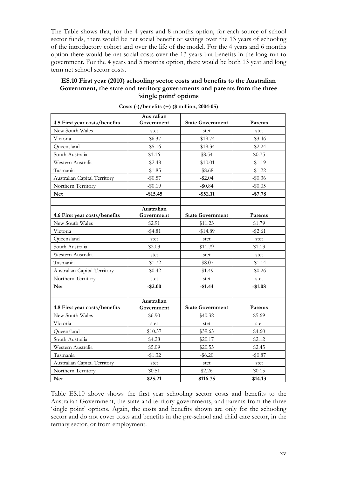The Table shows that, for the 4 years and 8 months option, for each source of school sector funds, there would be net social benefit or savings over the 13 years of schooling of the introductory cohort and over the life of the model. For the 4 years and 6 months option there would be net social costs over the 13 years but benefits in the long run to government. For the 4 years and 5 months option, there would be both 13 year and long term net school sector costs.

#### **ES.10 First year (2010) schooling sector costs and benefits to the Australian Government, the state and territory governments and parents from the three 'single point' options**

| 4.5 First year costs/benefits | Australian<br>Government | <b>State Government</b> | Parents    |
|-------------------------------|--------------------------|-------------------------|------------|
| New South Wales               | stet                     | stet                    | stet       |
| Victoria                      | $-$ \$6.37               | $-$19.74$               | $-\$3.46$  |
| Queensland                    | $-$ \$5.16               | $-$19.34$               | $-$ \$2.24 |
| South Australia               | \$1.16                   | \$8.54                  | \$0.75     |
| Western Australia             | $-$ \$2.48               | $-$10.01$               | $-$1.19$   |
| Tasmania                      | $-$ \$1.85               | $-$ \$8.68              | $-$1.22$   |
| Australian Capital Territory  | $-$0.57$                 | $-$ \$2.04              | $-\$0.36$  |
| Northern Territory            | $-$0.19$                 |                         | $-$ \$0.05 |
|                               |                          | $-\$0.84$               |            |
| <b>Net</b>                    | $-$15.45$                | $-$ \$52.11             | $-$7.78$   |
|                               | Australian               |                         |            |
| 4.6 First year costs/benefits | Government               | <b>State Government</b> | Parents    |
| New South Wales               | \$2.91                   | \$11.23                 | \$1.79     |
| Victoria                      | $-$ \$4.81               | $-$14.89$               | $-$ \$2.61 |
| Queensland                    | stet                     | stet                    | stet       |
| South Australia               | \$2.03                   | \$11.79                 | \$1.13     |
| Western Australia             | stet                     | stet                    | stet       |
| Tasmania                      | $-$1.72$                 | $-$ \$8.07              | $-$1.14$   |
| Australian Capital Territory  | $-\$0.42$                | $-$1.49$                | $-\$0.26$  |
| Northern Territory            | stet                     | stet                    | stet       |
| <b>Net</b>                    | -\$2.00                  | $-$1.44$                | $-$1.08$   |
|                               |                          |                         |            |
|                               | Australian               |                         |            |
| 4.8 First year costs/benefits | Government               | <b>State Government</b> | Parents    |
| New South Wales               | \$6.90                   | \$40.32                 | \$5.69     |
| Victoria                      | stet                     | stet                    | stet       |
| Queensland                    | \$10.57                  | \$39.65                 | \$4.60     |
| South Australia               | \$4.28                   | \$20.17                 | \$2.12     |
| Western Australia             | \$5.09                   | \$20.55                 | \$2.45     |
| Tasmania                      | $-$1.32$                 | $-$ \$6.20              | $-$0.87$   |
| Australian Capital Territory  | stet                     | stet                    | stet       |
| Northern Territory            | \$0.51                   | \$2.26                  | \$0.15     |
| <b>Net</b>                    | \$25.21                  | \$116.75                | \$14.13    |

**Costs (-)/benefits (+) (\$ million, 2004-05)** 

Table ES.10 above shows the first year schooling sector costs and benefits to the Australian Government, the state and territory governments, and parents from the three 'single point' options. Again, the costs and benefits shown are only for the schooling sector and do not cover costs and benefits in the pre-school and child care sector, in the tertiary sector, or from employment.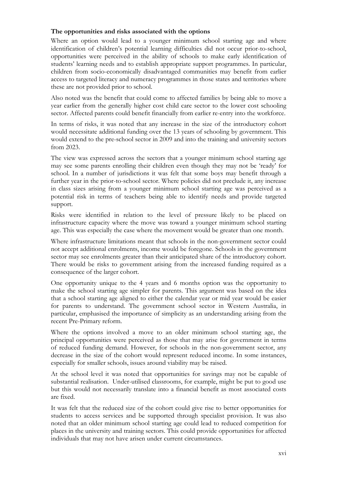#### **The opportunities and risks associated with the options**

Where an option would lead to a younger minimum school starting age and where identification of children's potential learning difficulties did not occur prior-to-school, opportunities were perceived in the ability of schools to make early identification of students' learning needs and to establish appropriate support programmes. In particular, children from socio-economically disadvantaged communities may benefit from earlier access to targeted literacy and numeracy programmes in those states and territories where these are not provided prior to school.

Also noted was the benefit that could come to affected families by being able to move a year earlier from the generally higher cost child care sector to the lower cost schooling sector. Affected parents could benefit financially from earlier re-entry into the workforce.

In terms of risks, it was noted that any increase in the size of the introductory cohort would necessitate additional funding over the 13 years of schooling by government. This would extend to the pre-school sector in 2009 and into the training and university sectors from 2023.

The view was expressed across the sectors that a younger minimum school starting age may see some parents enrolling their children even though they may not be 'ready' for school. In a number of jurisdictions it was felt that some boys may benefit through a further year in the prior-to-school sector. Where policies did not preclude it, any increase in class sizes arising from a younger minimum school starting age was perceived as a potential risk in terms of teachers being able to identify needs and provide targeted support.

Risks were identified in relation to the level of pressure likely to be placed on infrastructure capacity where the move was toward a younger minimum school starting age. This was especially the case where the movement would be greater than one month.

Where infrastructure limitations meant that schools in the non-government sector could not accept additional enrolments, income would be foregone. Schools in the government sector may see enrolments greater than their anticipated share of the introductory cohort. There would be risks to government arising from the increased funding required as a consequence of the larger cohort.

One opportunity unique to the 4 years and 6 months option was the opportunity to make the school starting age simpler for parents. This argument was based on the idea that a school starting age aligned to either the calendar year or mid year would be easier for parents to understand. The government school sector in Western Australia, in particular, emphasised the importance of simplicity as an understanding arising from the recent Pre-Primary reform.

Where the options involved a move to an older minimum school starting age, the principal opportunities were perceived as those that may arise for government in terms of reduced funding demand. However, for schools in the non-government sector, any decrease in the size of the cohort would represent reduced income. In some instances, especially for smaller schools, issues around viability may be raised.

At the school level it was noted that opportunities for savings may not be capable of substantial realisation. Under-utilised classrooms, for example, might be put to good use but this would not necessarily translate into a financial benefit as most associated costs are fixed.

It was felt that the reduced size of the cohort could give rise to better opportunities for students to access services and be supported through specialist provision. It was also noted that an older minimum school starting age could lead to reduced competition for places in the university and training sectors. This could provide opportunities for affected individuals that may not have arisen under current circumstances.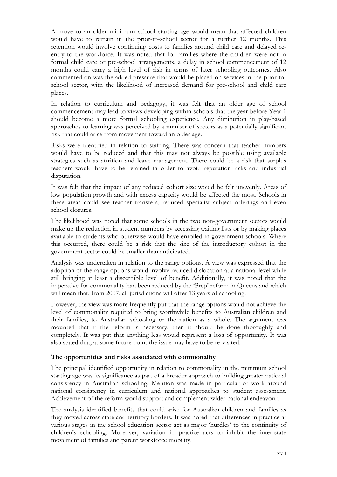A move to an older minimum school starting age would mean that affected children would have to remain in the prior-to-school sector for a further 12 months. This retention would involve continuing costs to families around child care and delayed reentry to the workforce. It was noted that for families where the children were not in formal child care or pre-school arrangements, a delay in school commencement of 12 months could carry a high level of risk in terms of later schooling outcomes. Also commented on was the added pressure that would be placed on services in the prior-toschool sector, with the likelihood of increased demand for pre-school and child care places.

In relation to curriculum and pedagogy, it was felt that an older age of school commencement may lead to views developing within schools that the year before Year 1 should become a more formal schooling experience. Any diminution in play-based approaches to learning was perceived by a number of sectors as a potentially significant risk that could arise from movement toward an older age.

Risks were identified in relation to staffing. There was concern that teacher numbers would have to be reduced and that this may not always be possible using available strategies such as attrition and leave management. There could be a risk that surplus teachers would have to be retained in order to avoid reputation risks and industrial disputation.

It was felt that the impact of any reduced cohort size would be felt unevenly. Areas of low population growth and with excess capacity would be affected the most. Schools in these areas could see teacher transfers, reduced specialist subject offerings and even school closures.

The likelihood was noted that some schools in the two non-government sectors would make up the reduction in student numbers by accessing waiting lists or by making places available to students who otherwise would have enrolled in government schools. Where this occurred, there could be a risk that the size of the introductory cohort in the government sector could be smaller than anticipated.

Analysis was undertaken in relation to the range options. A view was expressed that the adoption of the range options would involve reduced dislocation at a national level while still bringing at least a discernible level of benefit. Additionally, it was noted that the imperative for commonality had been reduced by the 'Prep' reform in Queensland which will mean that, from 2007, all jurisdictions will offer 13 years of schooling.

However, the view was more frequently put that the range options would not achieve the level of commonality required to bring worthwhile benefits to Australian children and their families, to Australian schooling or the nation as a whole. The argument was mounted that if the reform is necessary, then it should be done thoroughly and completely. It was put that anything less would represent a loss of opportunity. It was also stated that, at some future point the issue may have to be re-visited.

#### **The opportunities and risks associated with commonality**

The principal identified opportunity in relation to commonality in the minimum school starting age was its significance as part of a broader approach to building greater national consistency in Australian schooling. Mention was made in particular of work around national consistency in curriculum and national approaches to student assessment. Achievement of the reform would support and complement wider national endeavour.

The analysis identified benefits that could arise for Australian children and families as they moved across state and territory borders. It was noted that differences in practice at various stages in the school education sector act as major 'hurdles' to the continuity of children's schooling. Moreover, variation in practice acts to inhibit the inter-state movement of families and parent workforce mobility.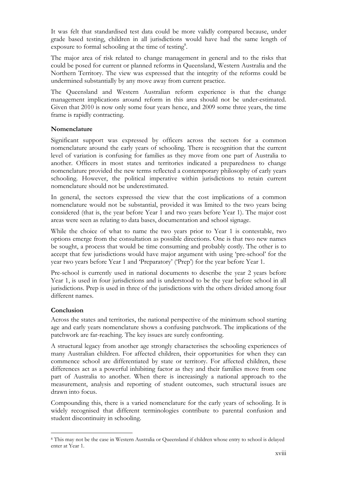It was felt that standardised test data could be more validly compared because, under grade based testing, children in all jurisdictions would have had the same length of exposure to formal schooling at the time of testing<sup>8</sup>.

The major area of risk related to change management in general and to the risks that could be posed for current or planned reforms in Queensland, Western Australia and the Northern Territory. The view was expressed that the integrity of the reforms could be undermined substantially by any move away from current practice.

The Queensland and Western Australian reform experience is that the change management implications around reform in this area should not be under-estimated. Given that 2010 is now only some four years hence, and 2009 some three years, the time frame is rapidly contracting.

#### **Nomenclature**

Significant support was expressed by officers across the sectors for a common nomenclature around the early years of schooling. There is recognition that the current level of variation is confusing for families as they move from one part of Australia to another. Officers in most states and territories indicated a preparedness to change nomenclature provided the new terms reflected a contemporary philosophy of early years schooling. However, the political imperative within jurisdictions to retain current nomenclature should not be underestimated.

In general, the sectors expressed the view that the cost implications of a common nomenclature would not be substantial, provided it was limited to the two years being considered (that is, the year before Year 1 and two years before Year 1). The major cost areas were seen as relating to data bases, documentation and school signage.

While the choice of what to name the two years prior to Year 1 is contestable, two options emerge from the consultation as possible directions. One is that two new names be sought, a process that would be time consuming and probably costly. The other is to accept that few jurisdictions would have major argument with using 'pre-school' for the year two years before Year 1 and 'Preparatory' ('Prep') for the year before Year 1.

Pre-school is currently used in national documents to describe the year 2 years before Year 1, is used in four jurisdictions and is understood to be the year before school in all jurisdictions. Prep is used in three of the jurisdictions with the others divided among four different names.

#### **Conclusion**

 $\overline{a}$ 

Across the states and territories, the national perspective of the minimum school starting age and early years nomenclature shows a confusing patchwork. The implications of the patchwork are far-reaching. The key issues are surely confronting.

A structural legacy from another age strongly characterises the schooling experiences of many Australian children. For affected children, their opportunities for when they can commence school are differentiated by state or territory. For affected children, these differences act as a powerful inhibiting factor as they and their families move from one part of Australia to another. When there is increasingly a national approach to the measurement, analysis and reporting of student outcomes, such structural issues are drawn into focus.

Compounding this, there is a varied nomenclature for the early years of schooling. It is widely recognised that different terminologies contribute to parental confusion and student discontinuity in schooling.

<sup>8</sup> This may not be the case in Western Australia or Queensland if children whose entry to school is delayed enter at Year 1.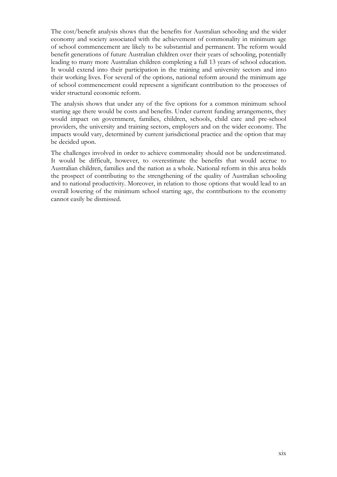The cost/benefit analysis shows that the benefits for Australian schooling and the wider economy and society associated with the achievement of commonality in minimum age of school commencement are likely to be substantial and permanent. The reform would benefit generations of future Australian children over their years of schooling, potentially leading to many more Australian children completing a full 13 years of school education. It would extend into their participation in the training and university sectors and into their working lives. For several of the options, national reform around the minimum age of school commencement could represent a significant contribution to the processes of wider structural economic reform.

The analysis shows that under any of the five options for a common minimum school starting age there would be costs and benefits. Under current funding arrangements, they would impact on government, families, children, schools, child care and pre-school providers, the university and training sectors, employers and on the wider economy. The impacts would vary, determined by current jurisdictional practice and the option that may be decided upon.

The challenges involved in order to achieve commonality should not be underestimated. It would be difficult, however, to overestimate the benefits that would accrue to Australian children, families and the nation as a whole. National reform in this area holds the prospect of contributing to the strengthening of the quality of Australian schooling and to national productivity. Moreover, in relation to those options that would lead to an overall lowering of the minimum school starting age, the contributions to the economy cannot easily be dismissed.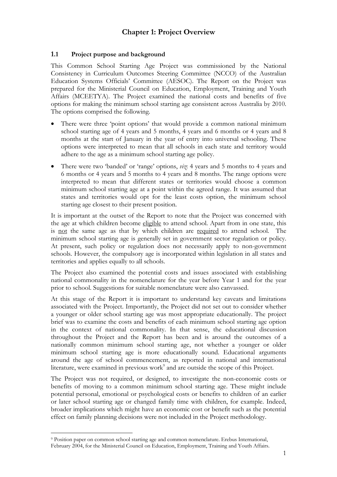#### **1.1 Project purpose and background**

This Common School Starting Age Project was commissioned by the National Consistency in Curriculum Outcomes Steering Committee (NCCO) of the Australian Education Systems Officials' Committee (AESOC). The Report on the Project was prepared for the Ministerial Council on Education, Employment, Training and Youth Affairs (MCEETYA). The Project examined the national costs and benefits of five options for making the minimum school starting age consistent across Australia by 2010. The options comprised the following.

- There were three 'point options' that would provide a common national minimum school starting age of 4 years and 5 months, 4 years and 6 months or 4 years and 8 months at the start of January in the year of entry into universal schooling. These options were interpreted to mean that all schools in each state and territory would adhere to the age as a minimum school starting age policy.
- There were two 'banded' or 'range' options, *viz*: 4 years and 5 months to 4 years and 6 months or 4 years and 5 months to 4 years and 8 months. The range options were interpreted to mean that different states or territories would choose a common minimum school starting age at a point within the agreed range. It was assumed that states and territories would opt for the least costs option, the minimum school starting age closest to their present position.

It is important at the outset of the Report to note that the Project was concerned with the age at which children become eligible to attend school. Apart from in one state, this is not the same age as that by which children are required to attend school. The minimum school starting age is generally set in government sector regulation or policy. At present, such policy or regulation does not necessarily apply to non-government schools. However, the compulsory age is incorporated within legislation in all states and territories and applies equally to all schools.

The Project also examined the potential costs and issues associated with establishing national commonality in the nomenclature for the year before Year 1 and for the year prior to school. Suggestions for suitable nomenclature were also canvassed.

At this stage of the Report it is important to understand key caveats and limitations associated with the Project. Importantly, the Project did not set out to consider whether a younger or older school starting age was most appropriate educationally. The project brief was to examine the costs and benefits of each minimum school starting age option in the context of national commonality. In that sense, the educational discussion throughout the Project and the Report has been and is around the outcomes of a nationally common minimum school starting age, not whether a younger or older minimum school starting age is more educationally sound. Educational arguments around the age of school commencement, as reported in national and international literature, were examined in previous work<sup>9</sup> and are outside the scope of this Project.

The Project was not required, or designed, to investigate the non-economic costs or benefits of moving to a common minimum school starting age. These might include potential personal, emotional or psychological costs or benefits to children of an earlier or later school starting age or changed family time with children, for example. Indeed, broader implications which might have an economic cost or benefit such as the potential effect on family planning decisions were not included in the Project methodology.

 $\overline{a}$ 

<sup>9</sup> Position paper on common school starting age and common nomenclature. Erebus International, February 2004, for the Ministerial Council on Education, Employment, Training and Youth Affairs.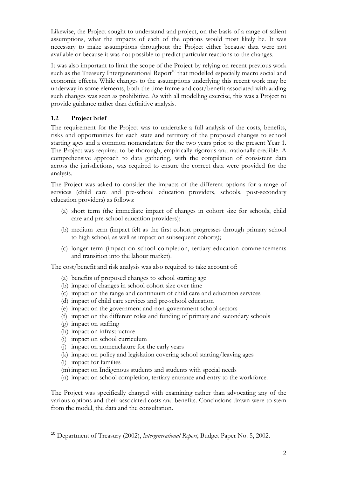Likewise, the Project sought to understand and project, on the basis of a range of salient assumptions, what the impacts of each of the options would most likely be. It was necessary to make assumptions throughout the Project either because data were not available or because it was not possible to predict particular reactions to the changes.

It was also important to limit the scope of the Project by relying on recent previous work such as the Treasury Intergenerational Report<sup>10</sup> that modelled especially macro social and economic effects. While changes to the assumptions underlying this recent work may be underway in some elements, both the time frame and cost/benefit associated with adding such changes was seen as prohibitive. As with all modelling exercise, this was a Project to provide guidance rather than definitive analysis.

#### **1.2 Project brief**

The requirement for the Project was to undertake a full analysis of the costs, benefits, risks and opportunities for each state and territory of the proposed changes to school starting ages and a common nomenclature for the two years prior to the present Year 1. The Project was required to be thorough, empirically rigorous and nationally credible. A comprehensive approach to data gathering, with the compilation of consistent data across the jurisdictions, was required to ensure the correct data were provided for the analysis.

The Project was asked to consider the impacts of the different options for a range of services (child care and pre-school education providers, schools, post-secondary education providers) as follows:

- (a) short term (the immediate impact of changes in cohort size for schools, child care and pre-school education providers);
- (b) medium term (impact felt as the first cohort progresses through primary school to high school, as well as impact on subsequent cohorts);
- (c) longer term (impact on school completion, tertiary education commencements and transition into the labour market).

The cost/benefit and risk analysis was also required to take account of:

- (a) benefits of proposed changes to school starting age
- (b) impact of changes in school cohort size over time
- (c) impact on the range and continuum of child care and education services
- (d) impact of child care services and pre-school education
- (e) impact on the government and non-government school sectors
- (f) impact on the different roles and funding of primary and secondary schools
- (g) impact on staffing
- (h) impact on infrastructure
- (i) impact on school curriculum
- (j) impact on nomenclature for the early years
- (k) impact on policy and legislation covering school starting/leaving ages
- (l) impact for families

 $\overline{a}$ 

- (m) impact on Indigenous students and students with special needs
- (n) impact on school completion, tertiary entrance and entry to the workforce.

The Project was specifically charged with examining rather than advocating any of the various options and their associated costs and benefits. Conclusions drawn were to stem from the model, the data and the consultation.

<sup>10</sup> Department of Treasury (2002), *Intergenerational Report*, Budget Paper No. 5, 2002.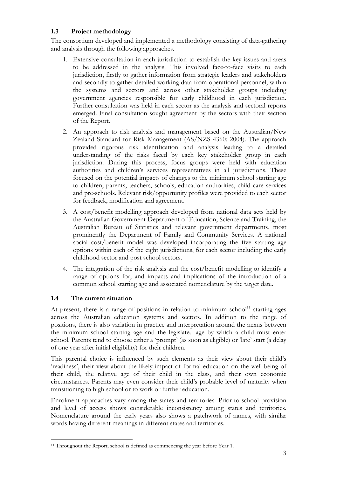#### **1.3 Project methodology**

The consortium developed and implemented a methodology consisting of data-gathering and analysis through the following approaches.

- 1. Extensive consultation in each jurisdiction to establish the key issues and areas to be addressed in the analysis. This involved face-to-face visits to each jurisdiction, firstly to gather information from strategic leaders and stakeholders and secondly to gather detailed working data from operational personnel, within the systems and sectors and across other stakeholder groups including government agencies responsible for early childhood in each jurisdiction. Further consultation was held in each sector as the analysis and sectoral reports emerged. Final consultation sought agreement by the sectors with their section of the Report.
- 2. An approach to risk analysis and management based on the Australian/New Zealand Standard for Risk Management (AS/NZS 4360: 2004). The approach provided rigorous risk identification and analysis leading to a detailed understanding of the risks faced by each key stakeholder group in each jurisdiction. During this process, focus groups were held with education authorities and children's services representatives in all jurisdictions. These focused on the potential impacts of changes to the minimum school starting age to children, parents, teachers, schools, education authorities, child care services and pre-schools. Relevant risk/opportunity profiles were provided to each sector for feedback, modification and agreement.
- 3. A cost/benefit modelling approach developed from national data sets held by the Australian Government Department of Education, Science and Training, the Australian Bureau of Statistics and relevant government departments, most prominently the Department of Family and Community Services**.** A national social cost/benefit model was developed incorporating the five starting age options within each of the eight jurisdictions, for each sector including the early childhood sector and post school sectors.
- 4. The integration of the risk analysis and the cost/benefit modelling to identify a range of options for, and impacts and implications of the introduction of a common school starting age and associated nomenclature by the target date.

#### **1.4 The current situation**

At present, there is a range of positions in relation to minimum school<sup>11</sup> starting ages across the Australian education systems and sectors. In addition to the range of positions, there is also variation in practice and interpretation around the nexus between the minimum school starting age and the legislated age by which a child must enter school. Parents tend to choose either a 'prompt' (as soon as eligible) or 'late' start (a delay of one year after initial eligibility) for their children.

This parental choice is influenced by such elements as their view about their child's 'readiness', their view about the likely impact of formal education on the well-being of their child, the relative age of their child in the class, and their own economic circumstances. Parents may even consider their child's probable level of maturity when transitioning to high school or to work or further education.

Enrolment approaches vary among the states and territories. Prior-to-school provision and level of access shows considerable inconsistency among states and territories. Nomenclature around the early years also shows a patchwork of names, with similar words having different meanings in different states and territories.

 $\overline{a}$ <sup>11</sup> Throughout the Report, school is defined as commencing the year before Year 1.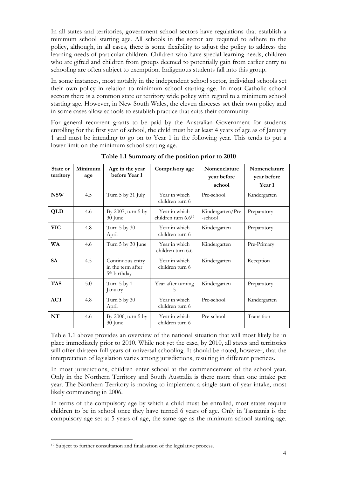In all states and territories, government school sectors have regulations that establish a minimum school starting age. All schools in the sector are required to adhere to the policy, although, in all cases, there is some flexibility to adjust the policy to address the learning needs of particular children. Children who have special learning needs, children who are gifted and children from groups deemed to potentially gain from earlier entry to schooling are often subject to exemption. Indigenous students fall into this group.

In some instances, most notably in the independent school sector, individual schools set their own policy in relation to minimum school starting age. In most Catholic school sectors there is a common state or territory wide policy with regard to a minimum school starting age. However, in New South Wales, the eleven dioceses set their own policy and in some cases allow schools to establish practice that suits their community.

For general recurrent grants to be paid by the Australian Government for students enrolling for the first year of school, the child must be at least 4 years of age as of January 1 and must be intending to go on to Year 1 in the following year. This tends to put a lower limit on the minimum school starting age.

| State or<br>territory | Minimum<br>age | Age in the year<br>before Year 1                                  | Compulsory age                                   | Nomenclature<br>year before<br>school | Nomenclature<br>year before<br><b>Year 1</b> |
|-----------------------|----------------|-------------------------------------------------------------------|--------------------------------------------------|---------------------------------------|----------------------------------------------|
| <b>NSW</b>            | 4.5            | Turn 5 by 31 July                                                 | Year in which<br>children turn 6                 | Pre-school                            | Kindergarten                                 |
| QLD                   | 4.6            | By 2007, turn 5 by<br>30 June                                     | Year in which<br>children turn 6.6 <sup>12</sup> | Kindergarten/Pre<br>-school           | Preparatory                                  |
| <b>VIC</b>            | 4.8            | Turn 5 by 30<br>April                                             | Year in which<br>children turn 6                 | Kindergarten                          | Preparatory                                  |
| <b>WA</b>             | 4.6            | Turn 5 by 30 June                                                 | Year in which<br>children turn 6.6               | Kindergarten                          | Pre-Primary                                  |
| <b>SA</b>             | 4.5            | Continuous entry<br>in the term after<br>5 <sup>th</sup> birthday | Year in which<br>children turn 6                 | Kindergarten                          | Reception                                    |
| <b>TAS</b>            | 5.0            | Turn 5 by 1<br>January                                            | Year after turning<br>5                          | Kindergarten                          | Preparatory                                  |
| ACT                   | 4.8            | Turn 5 by 30<br>April                                             | Year in which<br>children turn 6                 | Pre-school                            | Kindergarten                                 |
| NT                    | 4.6            | By 2006, turn 5 by<br>30 June                                     | Year in which<br>children turn 6                 | Pre-school                            | Transition                                   |

**Table 1.1 Summary of the position prior to 2010** 

Table 1.1 above provides an overview of the national situation that will most likely be in place immediately prior to 2010. While not yet the case, by 2010, all states and territories will offer thirteen full years of universal schooling. It should be noted, however, that the interpretation of legislation varies among jurisdictions, resulting in different practices.

In most jurisdictions, children enter school at the commencement of the school year. Only in the Northern Territory and South Australia is there more than one intake per year. The Northern Territory is moving to implement a single start of year intake, most likely commencing in 2006.

In terms of the compulsory age by which a child must be enrolled, most states require children to be in school once they have turned 6 years of age. Only in Tasmania is the compulsory age set at 5 years of age, the same age as the minimum school starting age.

 $\overline{a}$ 

<sup>&</sup>lt;sup>12</sup> Subject to further consultation and finalisation of the legislative process.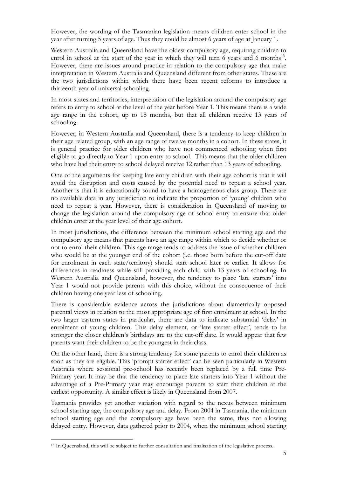However, the wording of the Tasmanian legislation means children enter school in the year after turning 5 years of age. Thus they could be almost 6 years of age at January 1.

Western Australia and Queensland have the oldest compulsory age, requiring children to enrol in school at the start of the year in which they will turn 6 years and 6 months<sup>13</sup>. However, there are issues around practice in relation to the compulsory age that make interpretation in Western Australia and Queensland different from other states. These are the two jurisdictions within which there have been recent reforms to introduce a thirteenth year of universal schooling.

In most states and territories, interpretation of the legislation around the compulsory age refers to entry to school at the level of the year before Year 1. This means there is a wide age range in the cohort, up to 18 months, but that all children receive 13 years of schooling.

However, in Western Australia and Queensland, there is a tendency to keep children in their age related group, with an age range of twelve months in a cohort. In these states, it is general practice for older children who have not commenced schooling when first eligible to go directly to Year 1 upon entry to school. This means that the older children who have had their entry to school delayed receive 12 rather than 13 years of schooling.

One of the arguments for keeping late entry children with their age cohort is that it will avoid the disruption and costs caused by the potential need to repeat a school year. Another is that it is educationally sound to have a homogeneous class group. There are no available data in any jurisdiction to indicate the proportion of 'young' children who need to repeat a year. However, there is consideration in Queensland of moving to change the legislation around the compulsory age of school entry to ensure that older children enter at the year level of their age cohort.

In most jurisdictions, the difference between the minimum school starting age and the compulsory age means that parents have an age range within which to decide whether or not to enrol their children. This age range tends to address the issue of whether children who would be at the younger end of the cohort (i.e. those born before the cut-off date for enrolment in each state/territory) should start school later or earlier. It allows for differences in readiness while still providing each child with 13 years of schooling. In Western Australia and Queensland, however, the tendency to place 'late starters' into Year 1 would not provide parents with this choice, without the consequence of their children having one year less of schooling.

There is considerable evidence across the jurisdictions about diametrically opposed parental views in relation to the most appropriate age of first enrolment at school. In the two larger eastern states in particular, there are data to indicate substantial 'delay' in enrolment of young children. This delay element, or 'late starter effect', tends to be stronger the closer children's birthdays are to the cut-off date. It would appear that few parents want their children to be the youngest in their class.

On the other hand, there is a strong tendency for some parents to enrol their children as soon as they are eligible. This 'prompt starter effect' can be seen particularly in Western Australia where sessional pre-school has recently been replaced by a full time Pre-Primary year. It may be that the tendency to place late starters into Year 1 without the advantage of a Pre-Primary year may encourage parents to start their children at the earliest opportunity. A similar effect is likely in Queensland from 2007.

Tasmania provides yet another variation with regard to the nexus between minimum school starting age, the compulsory age and delay. From 2004 in Tasmania, the minimum school starting age and the compulsory age have been the same, thus not allowing delayed entry. However, data gathered prior to 2004, when the minimum school starting

 $\overline{a}$ 

<sup>&</sup>lt;sup>13</sup> In Queensland, this will be subject to further consultation and finalisation of the legislative process.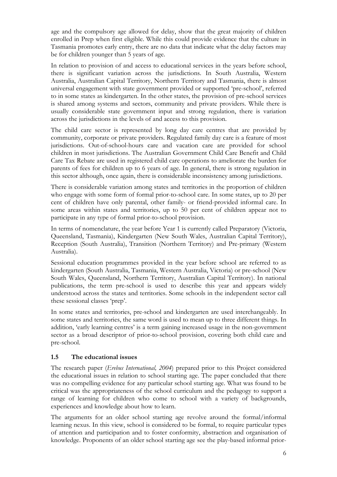age and the compulsory age allowed for delay, show that the great majority of children enrolled in Prep when first eligible. While this could provide evidence that the culture in Tasmania promotes early entry, there are no data that indicate what the delay factors may be for children younger than 5 years of age.

In relation to provision of and access to educational services in the years before school, there is significant variation across the jurisdictions. In South Australia, Western Australia, Australian Capital Territory, Northern Territory and Tasmania, there is almost universal engagement with state government provided or supported 'pre-school', referred to in some states as kindergarten. In the other states, the provision of pre-school services is shared among systems and sectors, community and private providers. While there is usually considerable state government input and strong regulation, there is variation across the jurisdictions in the levels of and access to this provision.

The child care sector is represented by long day care centres that are provided by community, corporate or private providers. Regulated family day care is a feature of most jurisdictions. Out-of-school-hours care and vacation care are provided for school children in most jurisdictions. The Australian Government Child Care Benefit and Child Care Tax Rebate are used in registered child care operations to ameliorate the burden for parents of fees for children up to 6 years of age. In general, there is strong regulation in this sector although, once again, there is considerable inconsistency among jurisdictions.

There is considerable variation among states and territories in the proportion of children who engage with some form of formal prior-to-school care. In some states, up to 20 per cent of children have only parental, other family- or friend-provided informal care. In some areas within states and territories, up to 50 per cent of children appear not to participate in any type of formal prior-to-school provision.

In terms of nomenclature, the year before Year 1 is currently called Preparatory (Victoria, Queensland, Tasmania), Kindergarten (New South Wales, Australian Capital Territory), Reception (South Australia), Transition (Northern Territory) and Pre-primary (Western Australia).

Sessional education programmes provided in the year before school are referred to as kindergarten (South Australia, Tasmania, Western Australia, Victoria) or pre-school (New South Wales, Queensland, Northern Territory, Australian Capital Territory). In national publications, the term pre-school is used to describe this year and appears widely understood across the states and territories. Some schools in the independent sector call these sessional classes 'prep'.

In some states and territories, pre-school and kindergarten are used interchangeably. In some states and territories, the same word is used to mean up to three different things. In addition, 'early learning centres' is a term gaining increased usage in the non-government sector as a broad descriptor of prior-to-school provision, covering both child care and pre-school.

#### **1.5 The educational issues**

The research paper (*Erebus International, 2004*) prepared prior to this Project considered the educational issues in relation to school starting age. The paper concluded that there was no compelling evidence for any particular school starting age. What was found to be critical was the appropriateness of the school curriculum and the pedagogy to support a range of learning for children who come to school with a variety of backgrounds, experiences and knowledge about how to learn.

The arguments for an older school starting age revolve around the formal/informal learning nexus. In this view, school is considered to be formal, to require particular types of attention and participation and to foster conformity, abstraction and organisation of knowledge. Proponents of an older school starting age see the play-based informal prior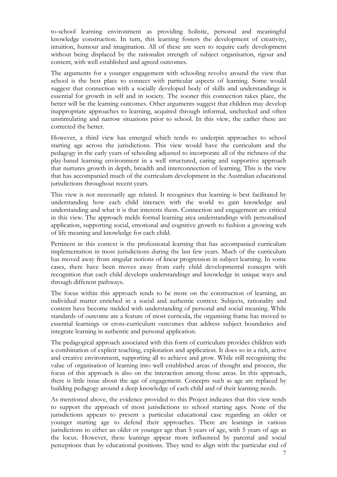to-school learning environment as providing holistic, personal and meaningful knowledge construction. In turn, this learning fosters the development of creativity, intuition, humour and imagination. All of these are seen to require early development without being displaced by the rationalist strength of subject organisation, rigour and content, with well established and agreed outcomes.

The arguments for a younger engagement with schooling revolve around the view that school is the best place to connect with particular aspects of learning. Some would suggest that connection with a socially developed body of skills and understandings is essential for growth in self and in society. The sooner this connection takes place, the better will be the learning outcomes. Other arguments suggest that children may develop inappropriate approaches to learning, acquired through informal, unchecked and often unstimulating and narrow situations prior to school. In this view, the earlier these are corrected the better.

However, a third view has emerged which tends to underpin approaches to school starting age across the jurisdictions. This view would have the curriculum and the pedagogy in the early years of schooling adjusted to incorporate all of the richness of the play-based learning environment in a well structured, caring and supportive approach that nurtures growth in depth, breadth and interconnection of learning. This is the view that has accompanied much of the curriculum development in the Australian educational jurisdictions throughout recent years.

This view is not necessarily age related. It recognises that learning is best facilitated by understanding how each child interacts with the world to gain knowledge and understanding and what it is that interests them. Connection and engagement are critical in this view. The approach melds formal learning area understandings with personalised application, supporting social, emotional and cognitive growth to fashion a growing web of life meaning and knowledge for each child.

Pertinent in this context is the professional learning that has accompanied curriculum implementation in most jurisdictions during the last few years. Much of the curriculum has moved away from singular notions of linear progression in subject learning. In some cases, there have been moves away from early child developmental concepts with recognition that each child develops understandings and knowledge in unique ways and through different pathways.

The focus within this approach tends to be more on the construction of learning, an individual matter enriched in a social and authentic context. Subjects, rationality and content have become melded with understanding of personal and social meaning. While standards of outcome are a feature of most curricula, the organising frame has moved to essential learnings or cross-curriculum outcomes that address subject boundaries and integrate learning in authentic and personal application.

The pedagogical approach associated with this form of curriculum provides children with a combination of explicit teaching, exploration and application. It does so in a rich, active and creative environment, supporting all to achieve and grow. While still recognising the value of organisation of learning into well established areas of thought and process, the focus of this approach is also on the interaction among those areas. In this approach, there is little issue about the age of engagement. Concepts such as age are replaced by building pedagogy around a deep knowledge of each child and of their learning needs.

As mentioned above, the evidence provided to this Project indicates that this view tends to support the approach of most jurisdictions to school starting ages. None of the jurisdictions appears to present a particular educational case regarding an older or younger starting age to defend their approaches. There are leanings in various jurisdictions to either an older or younger age than 5 years of age, with 5 years of age as the locus. However, these leanings appear more influenced by parental and social perceptions than by educational positions. They tend to align with the particular end of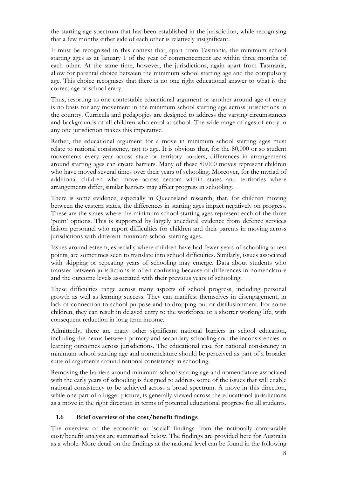the starting age spectrum that has been established in the jurisdiction, while recognising that a few months either side of each other is relatively insignificant.

It must be recognised in this context that, apart from Tasmania, the minimum school starting ages as at January 1 of the year of commencement are within three months of each other. At the same time, however, the jurisdictions, again apart from Tasmania, allow for parental choice between the minimum school starting age and the compulsory age. This choice recognises that there is no one right educational answer to what is the correct age of school entry.

Thus, resorting to one contestable educational argument or another around age of entry is no basis for any movement in the minimum school starting age across jurisdictions in the country. Curricula and pedagogies are designed to address the varying circumstances and backgrounds of all children who enrol at school. The wide range of ages of entry in any one jurisdiction makes this imperative.

Rather, the educational argument for a move in minimum school starting ages must relate to national consistency, not to age. It is obvious that, for the 80,000 or so student movements every year across state or territory borders, differences in arrangements around starting ages can create barriers. Many of these 80,000 moves represent children who have moved several times over their years of schooling. Moreover, for the myriad of additional children who move across sectors within states and territories where arrangements differ, similar barriers may affect progress in schooling.

There is some evidence, especially in Queensland research, that, for children moving between the eastern states, the differences in starting ages impact negatively on progress. These are the states where the minimum school starting ages represent each of the three 'point' options. This is supported by largely anecdotal evidence from defence services liaison personnel who report difficulties for children and their parents in moving across jurisdictions with different minimum school starting ages.

Issues around esteem, especially where children have had fewer years of schooling at test points, are sometimes seen to translate into school difficulties. Similarly, issues associated with skipping or repeating years of schooling may emerge. Data about students who transfer between jurisdictions is often confusing because of differences in nomenclature and the outcome levels associated with their previous years of schooling.

These difficulties range across many aspects of school progress, including personal growth as well as learning success. They can manifest themselves in disengagement, in lack of connection to school purpose and to dropping out or disillusionment. For some children, they can result in delayed entry to the workforce or a shorter working life, with consequent reduction in long term income.

Admittedly, there are many other significant national barriers in school education, including the nexus between primary and secondary schooling and the inconsistencies in learning outcomes across jurisdictions. The educational case for national consistency in minimum school starting age and nomenclature should be perceived as part of a broader suite of arguments around national consistency in schooling.

Removing the barriers around minimum school starting age and nomenclature associated with the early years of schooling is designed to address some of the issues that will enable national consistency to be achieved across a broad spectrum. A move in this direction, while one part of a bigger picture, is generally viewed across the educational jurisdictions as a move in the right direction in terms of potential educational progress for all students.

#### **1.6 Brief overview of the cost/benefit findings**

The overview of the economic or 'social' findings from the nationally comparable cost/benefit analysis are summarised below. The findings are provided here for Australia as a whole. More detail on the findings at the national level can be found in the following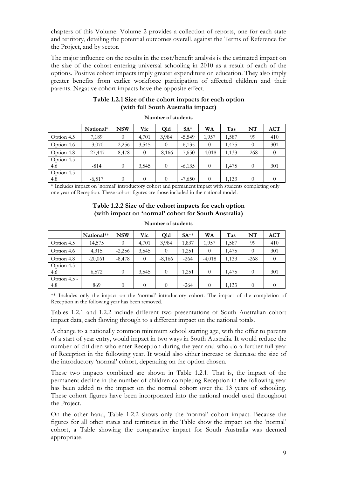chapters of this Volume. Volume 2 provides a collection of reports, one for each state and territory, detailing the potential outcomes overall, against the Terms of Reference for the Project, and by sector.

The major influence on the results in the cost/benefit analysis is the estimated impact on the size of the cohort entering universal schooling in 2010 as a result of each of the options. Positive cohort impacts imply greater expenditure on education. They also imply greater benefits from earlier workforce participation of affected children and their parents. Negative cohort impacts have the opposite effect.

| Table 1.2.1 Size of the cohort impacts for each option |
|--------------------------------------------------------|
| (with full South Australia impact)                     |

|              | National* | <b>NSW</b> | Vic      | Old      | $SA*$    | WA       | Tas   | NT       | <b>ACT</b> |
|--------------|-----------|------------|----------|----------|----------|----------|-------|----------|------------|
| Option 4.5   | 7,189     | $\Omega$   | 4,701    | 3,984    | $-5,549$ | 1,957    | 1,587 | 99       | 410        |
| Option 4.6   | $-3,070$  | $-2,256$   | 3,545    | $\theta$ | $-6,135$ | $\theta$ | 1,475 | $\theta$ | 301        |
| Option 4.8   | $-27,447$ | $-8,478$   | $\theta$ | $-8,166$ | $-7,650$ | $-4,018$ | 1,133 | $-268$   | 0          |
| Option 4.5 - |           |            |          |          |          |          |       |          |            |
| 4.6          | $-814$    | $\Omega$   | 3,545    | $\theta$ | $-6,135$ | $\theta$ | 1,475 | $\theta$ | 301        |
| Option 4.5 - |           |            |          |          |          |          |       |          |            |
| 4.8          | $-6,517$  | 0          | $\theta$ | $\theta$ | $-7,650$ | $\theta$ | 1,133 | $\Omega$ |            |

**Number of students** 

\* Includes impact on 'normal' introductory cohort and permanent impact with students completing only one year of Reception. These cohort figures are those included in the national model.

#### **Table 1.2.2 Size of the cohort impacts for each option (with impact on 'normal' cohort for South Australia)**

|                | National** | <b>NSW</b> | Vic      | Old      | $SA**$ | WA       | Tas   | NT       | <b>ACT</b> |
|----------------|------------|------------|----------|----------|--------|----------|-------|----------|------------|
| Option 4.5     | 14,575     | $\theta$   | 4,701    | 3,984    | 1,837  | 1.957    | 1,587 | 99       | 410        |
| Option 4.6     | 4,315      | $-2,256$   | 3,545    | 0        | 1,251  | $\theta$ | 1,475 | $\theta$ | 301        |
| Option 4.8     | $-20,061$  | $-8,478$   | $\theta$ | $-8,166$ | $-264$ | $-4,018$ | 1,133 | $-268$   |            |
| Option $4.5 -$ |            |            |          |          |        |          |       |          |            |
| 4.6            | 6,572      | $\Omega$   | 3,545    | $\theta$ | 1,251  | $\theta$ | 1,475 | $\theta$ | 301        |
| Option $4.5 -$ |            |            |          |          |        |          |       |          |            |
| 4.8            | 869        | $\Omega$   | $\Omega$ | 0        | $-264$ | $\Omega$ | 1,133 | $\theta$ | $\theta$   |

#### **Number of students**

\*\* Includes only the impact on the 'normal' introductory cohort. The impact of the completion of Reception in the following year has been removed.

Tables 1.2.1 and 1.2.2 include different two presentations of South Australian cohort impact data, each flowing through to a different impact on the national totals.

A change to a nationally common minimum school starting age, with the offer to parents of a start of year entry, would impact in two ways in South Australia. It would reduce the number of children who enter Reception during the year and who do a further full year of Reception in the following year. It would also either increase or decrease the size of the introductory 'normal' cohort, depending on the option chosen.

These two impacts combined are shown in Table 1.2.1. That is, the impact of the permanent decline in the number of children completing Reception in the following year has been added to the impact on the normal cohort over the 13 years of schooling. These cohort figures have been incorporated into the national model used throughout the Project.

On the other hand, Table 1.2.2 shows only the 'normal' cohort impact. Because the figures for all other states and territories in the Table show the impact on the 'normal' cohort, a Table showing the comparative impact for South Australia was deemed appropriate.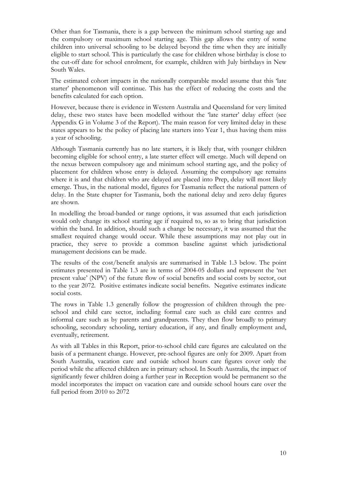Other than for Tasmania, there is a gap between the minimum school starting age and the compulsory or maximum school starting age. This gap allows the entry of some children into universal schooling to be delayed beyond the time when they are initially eligible to start school. This is particularly the case for children whose birthday is close to the cut-off date for school enrolment, for example, children with July birthdays in New South Wales.

The estimated cohort impacts in the nationally comparable model assume that this 'late starter' phenomenon will continue. This has the effect of reducing the costs and the benefits calculated for each option.

However, because there is evidence in Western Australia and Queensland for very limited delay, these two states have been modelled without the 'late starter' delay effect (see Appendix G in Volume 3 of the Report). The main reason for very limited delay in these states appears to be the policy of placing late starters into Year 1, thus having them miss a year of schooling.

Although Tasmania currently has no late starters, it is likely that, with younger children becoming eligible for school entry, a late starter effect will emerge. Much will depend on the nexus between compulsory age and minimum school starting age, and the policy of placement for children whose entry is delayed. Assuming the compulsory age remains where it is and that children who are delayed are placed into Prep, delay will most likely emerge. Thus, in the national model, figures for Tasmania reflect the national pattern of delay. In the State chapter for Tasmania, both the national delay and zero delay figures are shown.

In modelling the broad-banded or range options, it was assumed that each jurisdiction would only change its school starting age if required to, so as to bring that jurisdiction within the band. In addition, should such a change be necessary, it was assumed that the smallest required change would occur. While these assumptions may not play out in practice, they serve to provide a common baseline against which jurisdictional management decisions can be made.

The results of the cost/benefit analysis are summarised in Table 1.3 below. The point estimates presented in Table 1.3 are in terms of 2004-05 dollars and represent the 'net present value' (NPV) of the future flow of social benefits and social costs by sector, out to the year 2072. Positive estimates indicate social benefits. Negative estimates indicate social costs.

The rows in Table 1.3 generally follow the progression of children through the preschool and child care sector, including formal care such as child care centres and informal care such as by parents and grandparents. They then flow broadly to primary schooling, secondary schooling, tertiary education, if any, and finally employment and, eventually, retirement.

As with all Tables in this Report, prior-to-school child care figures are calculated on the basis of a permanent change. However, pre-school figures are only for 2009. Apart from South Australia, vacation care and outside school hours care figures cover only the period while the affected children are in primary school. In South Australia, the impact of significantly fewer children doing a further year in Reception would be permanent so the model incorporates the impact on vacation care and outside school hours care over the full period from 2010 to 2072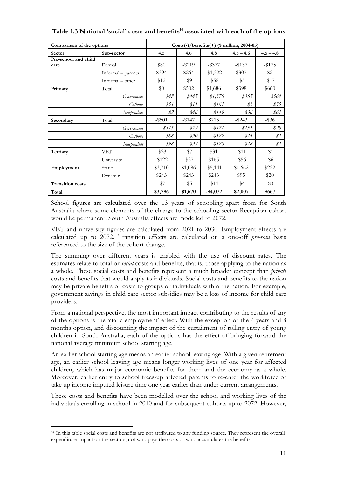| Comparison of the options    |                    | $Costs(-)/benefits(+)$ (\$ million, 2004-05) |           |             |                 |             |  |
|------------------------------|--------------------|----------------------------------------------|-----------|-------------|-----------------|-------------|--|
| Sector                       | Sub-sector         | 4.5                                          | 4.6       | 4.8         | $4.5 - 4.6$     | $4.5 - 4.8$ |  |
| Pre-school and child<br>care | Formal             | \$80                                         | $-$ \$219 | $-$ \$377   | $-$ \$137       | $-1175$     |  |
|                              | Informal – parents | \$394                                        | \$264     | $-\$1,322$  | \$307           | \$2         |  |
|                              | $Informal - other$ | \$12                                         | -\$9      | $-$ \$58    | $-$ \$5         | $-$ \$17    |  |
| Primary                      | Total              | \$0                                          | \$502     | \$1,686     | \$398           | \$660       |  |
|                              | Government         | \$48                                         | \$445     | \$1,376     | \$365           | \$564       |  |
|                              | Catholic           | $-$ \$51                                     | \$11      | \$161       | $-\frac{83}{5}$ | \$35        |  |
|                              | Independent        | \$2                                          | \$46      | \$149       | \$36            | \$61        |  |
| Secondary                    | Total              | $-$ \$501                                    | $-$ \$147 | \$713       | $-$ \$243       | $-$ \$36    |  |
|                              | Government         | $-$ \$315                                    | -\$79     | \$471       | $-$ \$151       | $-$ \$28    |  |
|                              | Catholic           | $-$ \$88                                     | $-$ \$30  | \$122       | -\$44           | -\$4        |  |
|                              | Independent        | -\$98                                        | -\$39     | \$120       | -\$48           | -\$4        |  |
| Tertiary                     | <b>VET</b>         | $-$ \$23                                     | $-$ \$7   | \$31        | $- $11$         | $-$ \$1     |  |
|                              | University         | $-122$                                       | $-$ \$37  | \$165       | -\$56           | -\$6        |  |
| Employment                   | Static             | \$3,710                                      | \$1,086   | $-$ \$5,141 | \$1,662         | \$222       |  |
|                              | Dynamic            | \$243                                        | \$243     | \$243       | \$95            | \$20        |  |
| <b>Transition costs</b>      |                    | $-$ \$7                                      | $-$ \$5   | $-$ \$11    | $-$ \$4         | $-$ \$3     |  |
| Total                        |                    | \$3,786                                      | \$1,670   | $-$4,072$   | \$2,007         | \$667       |  |

Table 1.3 National 'social' costs and benefits<sup>14</sup> associated with each of the options

School figures are calculated over the 13 years of schooling apart from for South Australia where some elements of the change to the schooling sector Reception cohort would be permanent. South Australia effects are modelled to 2072.

VET and university figures are calculated from 2021 to 2030. Employment effects are calculated up to 2072. Transition effects are calculated on a one-off *pro-rata* basis referenced to the size of the cohort change.

The summing over different years is enabled with the use of discount rates. The estimates relate to total or *social* costs and benefits, that is, those applying to the nation as a whole. These social costs and benefits represent a much broader concept than *private* costs and benefits that would apply to individuals. Social costs and benefits to the nation may be private benefits or costs to groups or individuals within the nation. For example, government savings in child care sector subsidies may be a loss of income for child care providers.

From a national perspective, the most important impact contributing to the results of any of the options is the 'static employment' effect. With the exception of the 4 years and 8 months option, and discounting the impact of the curtailment of rolling entry of young children in South Australia, each of the options has the effect of bringing forward the national average minimum school starting age.

An earlier school starting age means an earlier school leaving age. With a given retirement age, an earlier school leaving age means longer working lives of one year for affected children, which has major economic benefits for them and the economy as a whole. Moreover, earlier entry to school frees-up affected parents to re-enter the workforce or take up income imputed leisure time one year earlier than under current arrangements.

These costs and benefits have been modelled over the school and working lives of the individuals enrolling in school in 2010 and for subsequent cohorts up to 2072. However,

 $\overline{a}$ 

<sup>&</sup>lt;sup>14</sup> In this table social costs and benefits are not attributed to any funding source. They represent the overall expenditure impact on the sectors, not who pays the costs or who accumulates the benefits.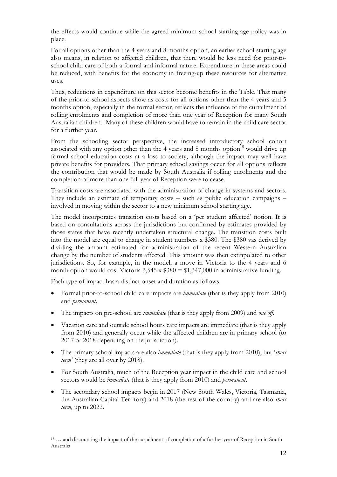the effects would continue while the agreed minimum school starting age policy was in place.

For all options other than the 4 years and 8 months option, an earlier school starting age also means, in relation to affected children, that there would be less need for prior-toschool child care of both a formal and informal nature. Expenditure in these areas could be reduced, with benefits for the economy in freeing-up these resources for alternative uses.

Thus, reductions in expenditure on this sector become benefits in the Table. That many of the prior-to-school aspects show as costs for all options other than the 4 years and 5 months option, especially in the formal sector, reflects the influence of the curtailment of rolling enrolments and completion of more than one year of Reception for many South Australian children. Many of these children would have to remain in the child care sector for a further year.

From the schooling sector perspective, the increased introductory school cohort associated with any option other than the 4 years and 8 months option<sup>15</sup> would drive up formal school education costs at a loss to society, although the impact may well have private benefits for providers. That primary school savings occur for all options reflects the contribution that would be made by South Australia if rolling enrolments and the completion of more than one full year of Reception were to cease.

Transition costs are associated with the administration of change in systems and sectors. They include an estimate of temporary costs – such as public education campaigns – involved in moving within the sector to a new minimum school starting age.

The model incorporates transition costs based on a 'per student affected' notion. It is based on consultations across the jurisdictions but confirmed by estimates provided by those states that have recently undertaken structural change. The transition costs built into the model are equal to change in student numbers x \$380. The \$380 vas derived by dividing the amount estimated for administration of the recent Western Australian change by the number of students affected. This amount was then extrapolated to other jurisdictions. So, for example, in the model, a move in Victoria to the 4 years and 6 month option would cost Victoria  $3,545 \times $380 = $1,347,000$  in administrative funding.

Each type of impact has a distinct onset and duration as follows.

 $\overline{a}$ 

- Formal prior-to-school child care impacts are *immediate* (that is they apply from 2010) and *permanent*.
- The impacts on pre-school are *immediate* (that is they apply from 2009) and *one off*.
- Vacation care and outside school hours care impacts are immediate (that is they apply from 2010) and generally occur while the affected children are in primary school (to 2017 or 2018 depending on the jurisdiction).
- The primary school impacts are also *immediate* (that is they apply from 2010), but '*short term'* (they are all over by 2018).
- For South Australia, much of the Reception year impact in the child care and school sectors would be *immediate* (that is they apply from 2010) and *permanent*.
- The secondary school impacts begin in 2017 (New South Wales, Victoria, Tasmania, the Australian Capital Territory) and 2018 (the rest of the country) and are also *short term,* up to 2022.

<sup>15 …</sup> and discounting the impact of the curtailment of completion of a further year of Reception in South Australia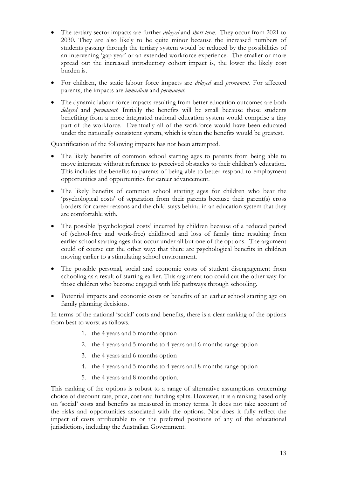- The tertiary sector impacts are further *delayed* and *short term*. They occur from 2021 to 2030. They are also likely to be quite minor because the increased numbers of students passing through the tertiary system would be reduced by the possibilities of an intervening 'gap year' or an extended workforce experience. The smaller or more spread out the increased introductory cohort impact is, the lower the likely cost burden is.
- For children, the static labour force impacts are *delayed* and *permanent*. For affected parents, the impacts are *immediate* and *permanent*.
- The dynamic labour force impacts resulting from better education outcomes are both *delayed* and *permanent.* Initially the benefits will be small because those students benefiting from a more integrated national education system would comprise a tiny part of the workforce. Eventually all of the workforce would have been educated under the nationally consistent system, which is when the benefits would be greatest.

Quantification of the following impacts has not been attempted.

- The likely benefits of common school starting ages to parents from being able to move interstate without reference to perceived obstacles to their children's education. This includes the benefits to parents of being able to better respond to employment opportunities and opportunities for career advancement.
- The likely benefits of common school starting ages for children who bear the 'psychological costs' of separation from their parents because their parent(s) cross borders for career reasons and the child stays behind in an education system that they are comfortable with.
- The possible 'psychological costs' incurred by children because of a reduced period of (school-free and work-free) childhood and loss of family time resulting from earlier school starting ages that occur under all but one of the options. The argument could of course cut the other way: that there are psychological benefits in children moving earlier to a stimulating school environment.
- The possible personal, social and economic costs of student disengagement from schooling as a result of starting earlier. This argument too could cut the other way for those children who become engaged with life pathways through schooling.
- Potential impacts and economic costs or benefits of an earlier school starting age on family planning decisions.

In terms of the national 'social' costs and benefits, there is a clear ranking of the options from best to worst as follows.

- 1. the 4 years and 5 months option
- 2. the 4 years and 5 months to 4 years and 6 months range option
- 3. the 4 years and 6 months option
- 4. the 4 years and 5 months to 4 years and 8 months range option
- 5. the 4 years and 8 months option.

This ranking of the options is robust to a range of alternative assumptions concerning choice of discount rate, price, cost and funding splits. However, it is a ranking based only on 'social' costs and benefits as measured in money terms. It does not take account of the risks and opportunities associated with the options. Nor does it fully reflect the impact of costs attributable to or the preferred positions of any of the educational jurisdictions, including the Australian Government.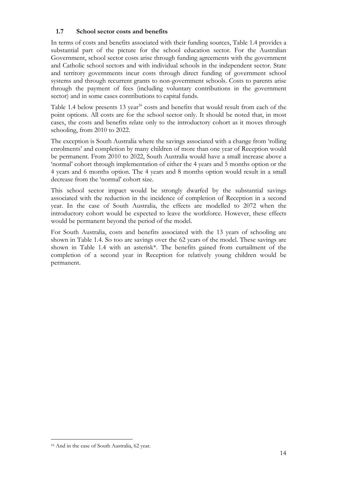#### **1.7 School sector costs and benefits**

In terms of costs and benefits associated with their funding sources, Table 1.4 provides a substantial part of the picture for the school education sector. For the Australian Government, school sector costs arise through funding agreements with the government and Catholic school sectors and with individual schools in the independent sector. State and territory governments incur costs through direct funding of government school systems and through recurrent grants to non-government schools. Costs to parents arise through the payment of fees (including voluntary contributions in the government sector) and in some cases contributions to capital funds.

Table 1.4 below presents 13 year<sup>16</sup> costs and benefits that would result from each of the point options. All costs are for the school sector only. It should be noted that, in most cases, the costs and benefits relate only to the introductory cohort as it moves through schooling, from 2010 to 2022.

The exception is South Australia where the savings associated with a change from 'rolling enrolments' and completion by many children of more than one year of Reception would be permanent. From 2010 to 2022, South Australia would have a small increase above a 'normal' cohort through implementation of either the 4 years and 5 months option or the 4 years and 6 months option. The 4 years and 8 months option would result in a small decrease from the 'normal' cohort size.

This school sector impact would be strongly dwarfed by the substantial savings associated with the reduction in the incidence of completion of Reception in a second year. In the case of South Australia, the effects are modelled to 2072 when the introductory cohort would be expected to leave the workforce. However, these effects would be permanent beyond the period of the model.

For South Australia, costs and benefits associated with the 13 years of schooling are shown in Table 1.4. So too are savings over the 62 years of the model. These savings are shown in Table 1.4 with an asterisk\*. The benefits gained from curtailment of the completion of a second year in Reception for relatively young children would be permanent.

 $\overline{a}$ 

<sup>16</sup> And in the case of South Australia, 62 year.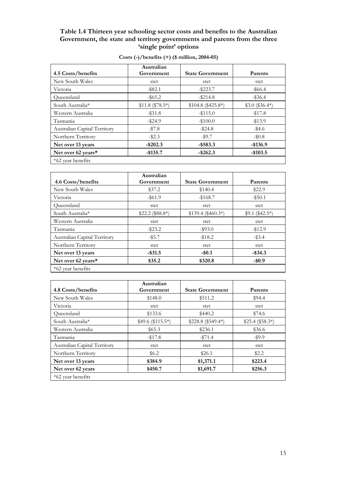#### **Table 1.4 Thirteen year schooling sector costs and benefits to the Australian Government, the state and territory governments and parents from the three 'single point' options**

| 4.5 Costs/benefits           | Australian<br>Government | <b>State Government</b> | Parents          |
|------------------------------|--------------------------|-------------------------|------------------|
| New South Wales              | stet                     | stet                    | stet             |
| Victoria                     | $-$ \$82.1               | $-$ \$223.7             | $-$ \$66.4       |
| Queensland                   | $-$ \$65.2               | $-$ \$214.8             | $-$ \$36.4       |
| South Australia*             | $$11.8 ($78.5*)$         | $$104.8 ($425.8*)$      | $$3.0$ (\$36.4*) |
| Western Australia            | $-$ \$31.8               | $-$ \$115.0             | $-17.8$          |
| Tasmania                     | $-$ \$24.9               | $-\$100.0$              | $-13.9$          |
| Australian Capital Territory | $-157.8$                 | $-$ \$24.8              | $-$ \$4.6        |
| Northern Territory           | $-\$2.3$                 | $-$ \$9.7               | $-10.8$          |
| Net over 13 years            | $-$ \$202.3              | $-$ \$583.3             | $-$136.9$        |
| Net over 62 years*           | $-$ \$135.7              | $-$ \$262.3             | $-$103.5$        |
| *62 year benefits            |                          |                         |                  |

| Costs $\left(\frac{\cdot}{\cdot}\right)$ /benefits $\left(\frac{\cdot}{\cdot}\right)$ (\$ million, 2004-05) |  |
|-------------------------------------------------------------------------------------------------------------|--|
|-------------------------------------------------------------------------------------------------------------|--|

|                              | Australian       |                         |                  |
|------------------------------|------------------|-------------------------|------------------|
| 4.6 Costs/benefits           | Government       | <b>State Government</b> | Parents          |
| New South Wales              | \$37.2           | \$140.4                 | \$22.9           |
| Victoria                     | $-$ \$61.9       | $-168.7$                | $-$ \$50.1       |
| Oueensland                   | stet             | stet                    | stet             |
| South Australia*             | $$22.2 ($88.8*)$ | $$139.4 ($460.3*)$      | $$9.1 ($42.5^*)$ |
| Western Australia            | stet             | stet                    | stet             |
| Tasmania                     | $-$ \$23.2       | $-$ \$93.0              | $-12.9$          |
| Australian Capital Territory | $-$ \$5.7        | $-18.2$                 | $-$ \$3.4        |
| Northern Territory           | stet             | stet                    | stet             |
| Net over 13 years            | $-$ \$31.5       | $-$ \$0.1               | $-$ \$34.3       |
| Net over 62 years*           | \$35.2           | \$320.8                 | $-$0.9$          |
| *62 year benefits            |                  |                         |                  |

|                              | Australian                  |                         |                  |  |
|------------------------------|-----------------------------|-------------------------|------------------|--|
| 4.8 Costs/benefits           | Government                  | <b>State Government</b> | Parents          |  |
| New South Wales              | \$148.0                     | \$511.2                 | \$94.4           |  |
| Victoria                     | stet                        | stet                    | stet             |  |
| Oueensland                   | \$133.6                     | \$440.2                 | \$74.6           |  |
| South Australia*             | $$49.6 \text{ ($}115.5^*)$$ | $$228.8 ($549.4*)$      | $$25.4 ($58.3*)$ |  |
| Western Australia            | \$65.3                      | \$236.1                 | \$36.6           |  |
| Tasmania                     | $-$17.8$                    | $-$ \$71.4              | $-$ \$9.9        |  |
| Australian Capital Territory | stet                        | stet                    | stet             |  |
| Northern Territory           | \$6.2\$                     | \$26.1                  | \$2.2            |  |
| Net over 13 years            | \$384.9                     | \$1,371.1               | \$223.4          |  |
| Net over 62 years            | \$450.7                     | \$1,691.7               | \$256.3          |  |
| *62 year benefits            |                             |                         |                  |  |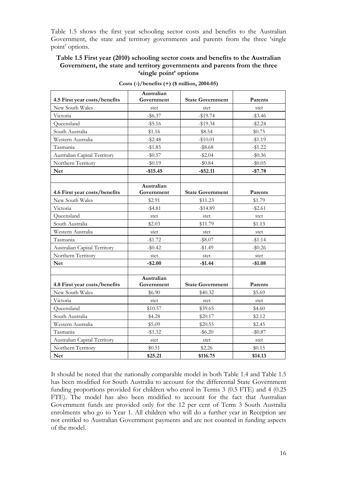Table 1.5 shows the first year schooling sector costs and benefits to the Australian Government, the state and territory governments and parents from the three 'single point' options.

#### **Table 1.5 First year (2010) schooling sector costs and benefits to the Australian Government, the state and territory governments and parents from the three 'single point' options**

| 4.5 First year costs/benefits | Australian<br>Government | <b>State Government</b> | Parents    |
|-------------------------------|--------------------------|-------------------------|------------|
| New South Wales               |                          |                         |            |
| Victoria                      | stet<br>$-$ \$6.37       | stet<br>$-19.74$        | stet       |
|                               |                          |                         | $-\$3.46$  |
| Queensland                    | $-$ \$5.16               | $-19.34$                | $-$ \$2.24 |
| South Australia               | \$1.16                   | \$8.54                  | \$0.75     |
| Western Australia             | $-$ \$2.48               | $-$10.01$               | $-$1.19$   |
| Tasmania                      | $-$1.85$                 | $-$ \$8.68              | $-$1.22$   |
| Australian Capital Territory  | $-$ \$0.57               | $-$ \$2.04              | $-\$0.36$  |
| Northern Territory            | $-$ \$0.19               | $-$ \$0.84              | $-$ \$0.05 |
| <b>Net</b>                    | $-$15.45$                | $-$ \$52.11             | $-$7.78$   |
|                               |                          |                         |            |
|                               | Australian               |                         |            |
| 4.6 First year costs/benefits | Government               | <b>State Government</b> | Parents    |
| New South Wales               | \$2.91                   | \$11.23                 | \$1.79     |
| Victoria                      | $-$ \$4.81               | $-14.89$                | $-$ \$2.61 |
| Oueensland                    | stet                     | stet                    | stet       |
| South Australia               | \$2.03                   | \$11.79                 | \$1.13     |
| Western Australia             | stet                     | stet                    | stet       |
| Tasmania                      | $-$1.72$                 | $-$ \$8.07              | $-$1.14$   |
| Australian Capital Territory  | $-\$0.42$                | $-$1.49$                | $-\$0.26$  |
| Northern Territory            | stet                     | stet                    | stet       |
| <b>Net</b>                    | $-$2.00$                 | $-$1.44$                | $-$1.08$   |
|                               |                          |                         |            |
|                               | Australian               |                         |            |
| 4.8 First year costs/benefits | Government               | <b>State Government</b> | Parents    |
| New South Wales               | \$6.90                   | \$40.32                 | \$5.69     |
| Victoria                      | stet                     | stet                    | stet       |
| Queensland                    | \$10.57                  | \$39.65                 | \$4.60     |
| South Australia               | \$4.28                   | \$20.17                 | \$2.12     |
| Western Australia             | \$5.09                   | \$20.55                 | \$2.45     |
| Tasmania                      | $-\$1.32$                | $-$ \$6.20              | $-$ \$0.87 |
| Australian Capital Territory  | stet                     | stet                    | stet       |
| Northern Territory            | \$0.51                   | \$2.26                  | \$0.15     |
| <b>Net</b>                    | \$25.21                  | \$116.75                | \$14.13    |

**Costs (-)/benefits (+) (\$ million, 2004-05)** 

It should be noted that the nationally comparable model in both Table 1.4 and Table 1.5 has been modified for South Australia to account for the differential State Government funding proportions provided for children who enrol in Terms 3 (0.5 FTE) and 4 (0.25 FTE). The model has also been modified to account for the fact that Australian Government funds are provided only for the 12 per cent of Term 3 South Australia enrolments who go to Year 1. All children who will do a further year in Reception are not entitled to Australian Government payments and are not counted in funding aspects of the model.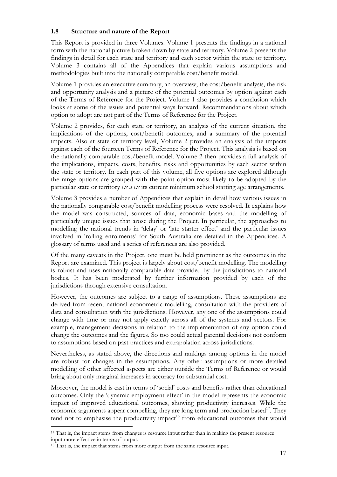# **1.8 Structure and nature of the Report**

This Report is provided in three Volumes. Volume 1 presents the findings in a national form with the national picture broken down by state and territory. Volume 2 presents the findings in detail for each state and territory and each sector within the state or territory. Volume 3 contains all of the Appendices that explain various assumptions and methodologies built into the nationally comparable cost/benefit model.

Volume 1 provides an executive summary, an overview, the cost/benefit analysis, the risk and opportunity analysis and a picture of the potential outcomes by option against each of the Terms of Reference for the Project. Volume 1 also provides a conclusion which looks at some of the issues and potential ways forward. Recommendations about which option to adopt are not part of the Terms of Reference for the Project.

Volume 2 provides, for each state or territory, an analysis of the current situation, the implications of the options, cost/benefit outcomes, and a summary of the potential impacts. Also at state or territory level, Volume 2 provides an analysis of the impacts against each of the fourteen Terms of Reference for the Project. This analysis is based on the nationally comparable cost/benefit model. Volume 2 then provides a full analysis of the implications, impacts, costs, benefits, risks and opportunities by each sector within the state or territory. In each part of this volume, all five options are explored although the range options are grouped with the point option most likely to be adopted by the particular state or territory *vis a vis* its current minimum school starting age arrangements.

Volume 3 provides a number of Appendices that explain in detail how various issues in the nationally comparable cost/benefit modelling process were resolved. It explains how the model was constructed, sources of data, economic bases and the modelling of particularly unique issues that arose during the Project. In particular, the approaches to modelling the national trends in 'delay' or 'late starter effect' and the particular issues involved in 'rolling enrolments' for South Australia are detailed in the Appendices. A glossary of terms used and a series of references are also provided.

Of the many caveats in the Project, one must be held prominent as the outcomes in the Report are examined. This project is largely about cost/benefit modelling. The modelling is robust and uses nationally comparable data provided by the jurisdictions to national bodies. It has been moderated by further information provided by each of the jurisdictions through extensive consultation.

However, the outcomes are subject to a range of assumptions. These assumptions are derived from recent national econometric modelling, consultation with the providers of data and consultation with the jurisdictions. However, any one of the assumptions could change with time or may not apply exactly across all of the systems and sectors. For example, management decisions in relation to the implementation of any option could change the outcomes and the figures. So too could actual parental decisions not conform to assumptions based on past practices and extrapolation across jurisdictions.

Nevertheless, as stated above, the directions and rankings among options in the model are robust for changes in the assumptions. Any other assumptions or more detailed modelling of other affected aspects are either outside the Terms of Reference or would bring about only marginal increases in accuracy for substantial cost.

Moreover, the model is cast in terms of 'social' costs and benefits rather than educational outcomes. Only the 'dynamic employment effect' in the model represents the economic impact of improved educational outcomes, showing productivity increases. While the economic arguments appear compelling, they are long term and production based $17$ . They tend not to emphasise the productivity impact<sup>18</sup> from educational outcomes that would

<sup>&</sup>lt;sup>17</sup> That is, the impact stems from changes is resource input rather than in making the present resource input more effective in terms of output.

<sup>&</sup>lt;sup>18</sup> That is, the impact that stems from more output from the same resource input.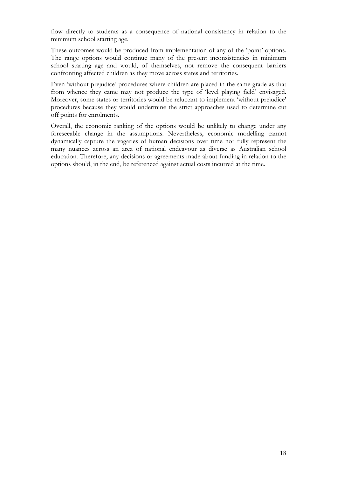flow directly to students as a consequence of national consistency in relation to the minimum school starting age.

These outcomes would be produced from implementation of any of the 'point' options. The range options would continue many of the present inconsistencies in minimum school starting age and would, of themselves, not remove the consequent barriers confronting affected children as they move across states and territories.

Even 'without prejudice' procedures where children are placed in the same grade as that from whence they came may not produce the type of 'level playing field' envisaged. Moreover, some states or territories would be reluctant to implement 'without prejudice' procedures because they would undermine the strict approaches used to determine cut off points for enrolments.

Overall, the economic ranking of the options would be unlikely to change under any foreseeable change in the assumptions. Nevertheless, economic modelling cannot dynamically capture the vagaries of human decisions over time nor fully represent the many nuances across an area of national endeavour as diverse as Australian school education. Therefore, any decisions or agreements made about funding in relation to the options should, in the end, be referenced against actual costs incurred at the time.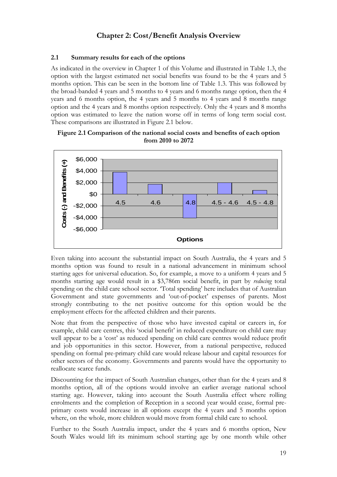# **Chapter 2: Cost/Benefit Analysis Overview**

# **2.1 Summary results for each of the options**

As indicated in the overview in Chapter 1 of this Volume and illustrated in Table 1.3, the option with the largest estimated net social benefits was found to be the 4 years and 5 months option. This can be seen in the bottom line of Table 1.3. This was followed by the broad-banded 4 years and 5 months to 4 years and 6 months range option, then the 4 years and 6 months option, the 4 years and 5 months to 4 years and 8 months range option and the 4 years and 8 months option respectively. Only the 4 years and 8 months option was estimated to leave the nation worse off in terms of long term social cost. These comparisons are illustrated in Figure 2.1 below.





Even taking into account the substantial impact on South Australia, the 4 years and 5 months option was found to result in a national advancement in minimum school starting ages for universal education. So, for example, a move to a uniform 4 years and 5 months starting age would result in a \$3,786m social benefit, in part by *reducing* total spending on the child care school sector. 'Total spending' here includes that of Australian Government and state governments and 'out-of-pocket' expenses of parents. Most strongly contributing to the net positive outcome for this option would be the employment effects for the affected children and their parents.

Note that from the perspective of those who have invested capital or careers in, for example, child care centres, this 'social benefit' in reduced expenditure on child care may well appear to be a 'cost' as reduced spending on child care centres would reduce profit and job opportunities in this sector. However, from a national perspective, reduced spending on formal pre-primary child care would release labour and capital resources for other sectors of the economy. Governments and parents would have the opportunity to reallocate scarce funds.

Discounting for the impact of South Australian changes, other than for the 4 years and 8 months option, all of the options would involve an earlier average national school starting age. However, taking into account the South Australia effect where rolling enrolments and the completion of Reception in a second year would cease, formal preprimary costs would increase in all options except the 4 years and 5 months option where, on the whole, more children would move from formal child care to school.

Further to the South Australia impact, under the 4 years and 6 months option, New South Wales would lift its minimum school starting age by one month while other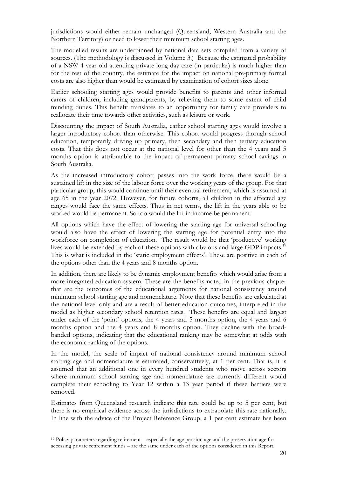jurisdictions would either remain unchanged (Queensland, Western Australia and the Northern Territory) or need to lower their minimum school starting ages.

The modelled results are underpinned by national data sets compiled from a variety of sources. (The methodology is discussed in Volume 3.) Because the estimated probability of a NSW 4 year old attending private long day care (in particular) is much higher than for the rest of the country, the estimate for the impact on national pre-primary formal costs are also higher than would be estimated by examination of cohort sizes alone.

Earlier schooling starting ages would provide benefits to parents and other informal carers of children, including grandparents, by relieving them to some extent of child minding duties. This benefit translates to an opportunity for family care providers to reallocate their time towards other activities, such as leisure or work.

Discounting the impact of South Australia, earlier school starting ages would involve a larger introductory cohort than otherwise. This cohort would progress through school education, temporarily driving up primary, then secondary and then tertiary education costs. That this does not occur at the national level for other than the 4 years and 5 months option is attributable to the impact of permanent primary school savings in South Australia.

As the increased introductory cohort passes into the work force, there would be a sustained lift in the size of the labour force over the working years of the group. For that particular group, this would continue until their eventual retirement, which is assumed at age 65 in the year 2072. However, for future cohorts, all children in the affected age ranges would face the same effects. Thus in net terms, the lift in the years able to be worked would be permanent. So too would the lift in income be permanent.

All options which have the effect of lowering the starting age for universal schooling would also have the effect of lowering the starting age for potential entry into the workforce on completion of education. The result would be that 'productive' working lives would be extended by each of these options with obvious and large GDP impacts.<sup>19</sup> This is what is included in the 'static employment effects'. These are positive in each of the options other than the 4 years and 8 months option.

In addition, there are likely to be dynamic employment benefits which would arise from a more integrated education system. These are the benefits noted in the previous chapter that are the outcomes of the educational arguments for national consistency around minimum school starting age and nomenclature. Note that these benefits are calculated at the national level only and are a result of better education outcomes, interpreted in the model as higher secondary school retention rates. These benefits are equal and largest under each of the 'point' options, the 4 years and 5 months option, the 4 years and 6 months option and the 4 years and 8 months option. They decline with the broadbanded options, indicating that the educational ranking may be somewhat at odds with the economic ranking of the options.

In the model, the scale of impact of national consistency around minimum school starting age and nomenclature is estimated, conservatively, at 1 per cent. That is, it is assumed that an additional one in every hundred students who move across sectors where minimum school starting age and nomenclature are currently different would complete their schooling to Year 12 within a 13 year period if these barriers were removed.

Estimates from Queensland research indicate this rate could be up to 5 per cent, but there is no empirical evidence across the jurisdictions to extrapolate this rate nationally. In line with the advice of the Project Reference Group, a 1 per cent estimate has been

<sup>19</sup> Policy parameters regarding retirement – especially the age pension age and the preservation age for accessing private retirement funds – are the same under each of the options considered in this Report.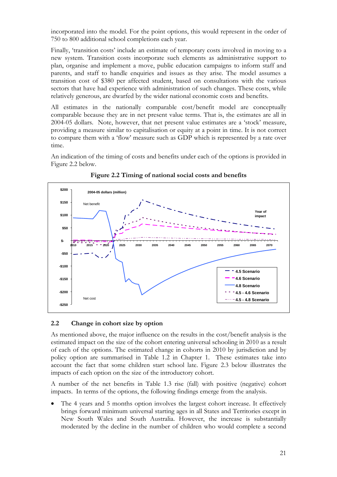incorporated into the model. For the point options, this would represent in the order of 750 to 800 additional school completions each year.

Finally, 'transition costs' include an estimate of temporary costs involved in moving to a new system. Transition costs incorporate such elements as administrative support to plan, organise and implement a move, public education campaigns to inform staff and parents, and staff to handle enquiries and issues as they arise. The model assumes a transition cost of \$380 per affected student, based on consultations with the various sectors that have had experience with administration of such changes. These costs, while relatively generous, are dwarfed by the wider national economic costs and benefits.

All estimates in the nationally comparable cost/benefit model are conceptually comparable because they are in net present value terms. That is, the estimates are all in 2004-05 dollars. Note, however, that net present value estimates are a 'stock' measure, providing a measure similar to capitalisation or equity at a point in time. It is not correct to compare them with a 'flow' measure such as GDP which is represented by a rate over time.

An indication of the timing of costs and benefits under each of the options is provided in Figure 2.2 below.



**Figure 2.2 Timing of national social costs and benefits** 

# **2.2 Change in cohort size by option**

As mentioned above, the major influence on the results in the cost/benefit analysis is the estimated impact on the size of the cohort entering universal schooling in 2010 as a result of each of the options. The estimated change in cohorts in 2010 by jurisdiction and by policy option are summarised in Table 1.2 in Chapter 1. These estimates take into account the fact that some children start school late. Figure 2.3 below illustrates the impacts of each option on the size of the introductory cohort.

A number of the net benefits in Table 1.3 rise (fall) with positive (negative) cohort impacts. In terms of the options, the following findings emerge from the analysis.

The 4 years and 5 months option involves the largest cohort increase. It effectively brings forward minimum universal starting ages in all States and Territories except in New South Wales and South Australia. However, the increase is substantially moderated by the decline in the number of children who would complete a second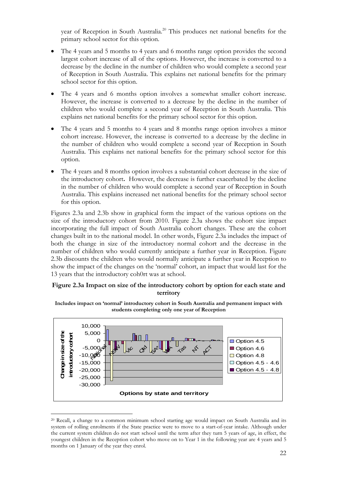year of Reception in South Australia.<sup>20</sup> This produces net national benefits for the primary school sector for this option.

- The 4 years and 5 months to 4 years and 6 months range option provides the second largest cohort increase of all of the options. However, the increase is converted to a decrease by the decline in the number of children who would complete a second year of Reception in South Australia. This explains net national benefits for the primary school sector for this option.
- The 4 years and 6 months option involves a somewhat smaller cohort increase. However, the increase is converted to a decrease by the decline in the number of children who would complete a second year of Reception in South Australia. This explains net national benefits for the primary school sector for this option.
- The 4 years and 5 months to 4 years and 8 months range option involves a minor cohort increase. However, the increase is converted to a decrease by the decline in the number of children who would complete a second year of Reception in South Australia. This explains net national benefits for the primary school sector for this option.
- The 4 years and 8 months option involves a substantial cohort decrease in the size of the introductory cohort**.** However, the decrease is further exacerbated by the decline in the number of children who would complete a second year of Reception in South Australia. This explains increased net national benefits for the primary school sector for this option.

Figures 2.3a and 2.3b show in graphical form the impact of the various options on the size of the introductory cohort from 2010. Figure 2.3a shows the cohort size impact incorporating the full impact of South Australia cohort changes. These are the cohort changes built in to the national model. In other words, Figure 2.3a includes the impact of both the change in size of the introductory normal cohort and the decrease in the number of children who would currently anticipate a further year in Reception. Figure 2.3b discounts the children who would normally anticipate a further year in Reception to show the impact of the changes on the 'normal' cohort, an impact that would last for the 13 years that the introductory coh0rt was at school.

### **Figure 2.3a Impact on size of the introductory cohort by option for each state and territory**



**Includes impact on 'normal' introductory cohort in South Australia and permanent impact with students completing only one year of Reception** 

<sup>20</sup> Recall, a change to a common minimum school starting age would impact on South Australia and its system of rolling enrolments if the State practice were to move to a start-of-year intake. Although under the current system children do not start school until the term after they turn 5 years of age, in effect, the youngest children in the Reception cohort who move on to Year 1 in the following year are 4 years and 5 months on 1 January of the year they enrol.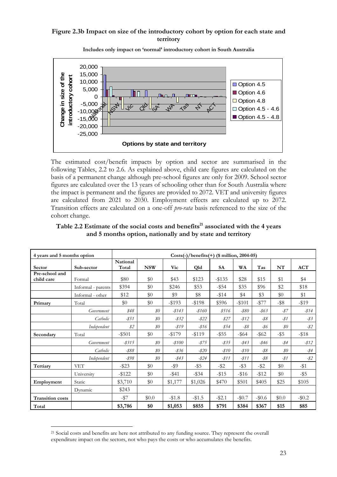# **Figure 2.3b Impact on size of the introductory cohort by option for each state and territory**



**Includes only impact on 'normal' introductory cohort in South Australia**

The estimated cost/benefit impacts by option and sector are summarised in the following Tables, 2.2 to 2.6. As explained above, child care figures are calculated on the basis of a permanent change although pre-school figures are only for 2009. School sector figures are calculated over the 13 years of schooling other than for South Australia where the impact is permanent and the figures are provided to 2072. VET and university figures are calculated from 2021 to 2030. Employment effects are calculated up to 2072. Transition effects are calculated on a one-off *pro-rata* basis referenced to the size of the cohort change.

| 4 years and 5 months option  |                    |                          |            |           | $Costs(-)/benefits(+)$ (\$ million, 2004-05) |           |          |          |                |            |
|------------------------------|--------------------|--------------------------|------------|-----------|----------------------------------------------|-----------|----------|----------|----------------|------------|
| Sector                       | Sub-sector         | <b>National</b><br>Total | <b>NSW</b> | Vic       | Qld                                          | <b>SA</b> | WA       | Tas      | NT             | <b>ACT</b> |
| Pre-school and<br>child care | Formal             | \$80                     | \$0        | \$43      | \$123                                        | $-$ \$135 | \$28     | \$15     | \$1            | \$4        |
|                              | Informal - parents | \$394                    | \$0        | \$246     | \$53                                         | $-$ \$54  | \$35     | \$96     | \$2            | \$18       |
|                              | Informal - other   | \$12                     | \$0        | \$9       | \$8                                          | $-$ \$14  | \$4      | \$3      | \$0            | \$1        |
| Primary                      | Total              | \$0                      | \$0        | $-193$    | $-198$                                       | \$596     | $-$101$  | $-$ \$77 | $-$ \$8        | $-119$     |
|                              | Government         | \$48                     | $\$0$      | $-8143$   | $-$ \$160                                    | \$516     | $-$ \$80 | -\$63    | $-87$          | $-$ \$14   |
|                              | Catholic           | $-851$                   | $\$0$      | $-832$    | $-$ \$22                                     | \$27      | $-812$   | $-$ \$8  | -\$1           | $-83$      |
|                              | Independent        | \$2\$                    | $\$0$      | $-$ \$19  | $-816$                                       | \$54      | -\$8     | $-$ \$6  | $\mathcal{S}O$ | -\$2       |
| Secondary                    | Total              | $-$ \$501                | \$0        | $-15179$  | $-119$                                       | $-$ \$55  | $-$ \$64 | $-$ \$62 | $-$ \$5        | $-$ \$18   |
|                              | Government         | $-$ \$315                | $\$0$      | $-$ \$100 | $-875$                                       | $-835$    | $-$ \$43 | -\$46    | -\$4           | $-$ \$12   |
|                              | Catholic           | $-$ \$88                 | $\$0$      | -\$36     | $-$ \$20                                     | $-$ \$10  | $-810$   | $-$ \$8  | $\mathcal{S}O$ | $-$ \$4    |
|                              | Independent        | -\$98                    | $\$0$      | $-$ \$43  | -\$24                                        | $-811$    | $-811$   | $-88$    | -\$1           | -\$2       |
| Tertiary                     | <b>VET</b>         | $-$ \$23                 | \$0        | -\$9      | $-$ \$5                                      | $-$ \$2   | $-$ \$3  | $-$ \$2  | \$0            | $-$ \$1    |
|                              | University         | $-$ \$122                | \$0        | $-$ \$41  | $-$ \$34                                     | $-15$     | $-1516$  | $-112$   | \$0            | -\$5       |
| Employment                   | Static             | \$3,710                  | \$0        | \$1,177   | \$1,026                                      | \$470     | \$501    | \$405    | \$25           | \$105      |
|                              | Dynamic            | \$243                    |            |           |                                              |           |          |          |                |            |
| <b>Transition costs</b>      |                    | $-157$                   | \$0.0      | $- $1.8$  | $-1.5$                                       | $-$ \$2.1 | $-\$0.7$ | $-\$0.6$ | \$0.0          | $-\$0.2$   |
| Total                        |                    | \$3,786                  | \$0        | \$1,053   | \$855                                        | \$791     | \$384    | \$367    | \$15           | \$85       |

Table 2.2 Estimate of the social costs and benefits<sup>21</sup> associated with the 4 years **and 5 months option, nationally and by state and territory** 

<sup>&</sup>lt;sup>21</sup> Social costs and benefits are here not attributed to any funding source. They represent the overall expenditure impact on the sectors, not who pays the costs or who accumulates the benefits.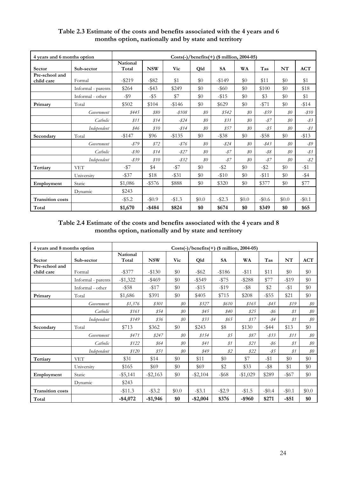| 4 years and 6 months option  |                    |                          |            |            |       | $Costs(-)/benefits(+)$ (\$ million, 2004-05) |           |          |                                      |                 |
|------------------------------|--------------------|--------------------------|------------|------------|-------|----------------------------------------------|-----------|----------|--------------------------------------|-----------------|
| Sector                       | Sub-sector         | <b>National</b><br>Total | <b>NSW</b> | <b>Vic</b> | Qld   | <b>SA</b>                                    | <b>WA</b> | Tas      | NT                                   | <b>ACT</b>      |
| Pre-school and<br>child care | Formal             | $-$ \$219                | $-$ \$82   | \$1        | \$0   | $-1149$                                      | \$0       | \$11     | \$0                                  | \$1             |
|                              | Informal - parents | \$264                    | $-$ \$43   | \$249      | \$0   | $-$ \$60                                     | \$0       | \$100    | \$0                                  | \$18            |
|                              | Informal - other   | -\$9                     | $-$ \$5    | \$7        | \$0   | $-15$                                        | \$0       | \$3      | \$0                                  | \$1             |
| Primary                      | Total              | \$502                    | \$104      | $-$ \$146  | \$0   | \$629                                        | \$0       | $- $71$  | \$0                                  | $-114$          |
|                              | Government         | \$445                    | \$80       | $-$ \$108  | $\$0$ | \$542                                        | $\$0$     | $-$ \$59 | $\mathcal{S}O$                       | $-810$          |
|                              | Catholic           | \$11                     | \$14       | $-824$     | $\$0$ | \$31                                         | $\$0$     | $-87$    | \$0\$                                | $-\frac{83}{5}$ |
|                              | Independent        | \$46                     | \$10       | $-814$     | $\$0$ | \$57                                         | $\$0$     | $-85$    | $\$0$                                | $-81$           |
| Secondary                    | Total              | $-$147$                  | \$96       | $-$135$    | \$0   | $-$ \$38                                     | \$0       | $- $58$  | \$0                                  | $-13$           |
|                              | Government         | $-879$                   | \$72       | $-876$     | $\$0$ | $-824$                                       | $\$0$     | $-$ \$43 | $\mathcal{S}O$                       | $-$ \$9         |
|                              | Catholic           | $-$ \$30                 | \$14       | $-$ \$27   | $\$0$ | $-87$                                        | 80        | $-$ \$8  | $\$0$                                | $-\frac{83}{5}$ |
|                              | Independent        | $-$ \$39                 | \$10       | $-$ \$32   | $\$0$ | $-87$                                        | $\$0$     | $-87$    | $\mathcal{S}^{\scriptscriptstyle O}$ | $-\$2$          |
| Tertiary                     | <b>VET</b>         | $-$ \$7                  | \$4        | $-$ \$7    | \$0   | $-$ \$2                                      | \$0       | $-$ \$2  | \$0                                  | $-11$           |
|                              | University         | $-$ \$37                 | \$18       | $-$ \$31   | \$0   | $- $10$                                      | \$0       | $-11$    | \$0                                  | $-$ \$4         |
| Employment                   | Static             | \$1,086                  | $-$ \$576  | \$888      | \$0   | \$320                                        | \$0       | \$377    | \$0                                  | \$77            |
|                              | Dynamic            | \$243                    |            |            |       |                                              |           |          |                                      |                 |
| <b>Transition costs</b>      |                    | $-$ \$5.2                | $-\$0.9$   | $-1.3$     | \$0.0 | $-$ \$2.3                                    | \$0.0     | $-\$0.6$ | \$0.0                                | $-$ \$0.1       |
| Total                        |                    | \$1,670                  | $-$ \$484  | \$824      | \$0   | \$674                                        | \$0       | \$349    | \$0                                  | \$65            |

# **Table 2.3 Estimate of the costs and benefits associated with the 4 years and 6 months option, nationally and by state and territory**

**Table 2.4 Estimate of the costs and benefits associated with the 4 years and 8 months option, nationally and by state and territory** 

| 4 years and 8 months option  |                    |                   |             |                | $Costs(-)/benefits(+)$ (\$ million, 2004-05) |           |           |          |           |            |
|------------------------------|--------------------|-------------------|-------------|----------------|----------------------------------------------|-----------|-----------|----------|-----------|------------|
| Sector                       | Sub-sector         | National<br>Total | <b>NSW</b>  | Vic            | Qld                                          | <b>SA</b> | <b>WA</b> | Tas      | NT        | <b>ACT</b> |
| Pre-school and<br>child care | Formal             | $-$ \$377         | $-$ \$130   | \$0            | $-$ \$62                                     | $-$ \$186 | $-$ \$11  | \$11     | \$0       | \$0        |
|                              | Informal - parents | $-$1,322$         | $-$ \$469   | \$0            | $-$ \$549                                    | $-1575$   | $-$ \$288 | \$77     | $-119$    | \$0        |
|                              | Informal - other   | $-$ \$58          | $-1517$     | \$0            | $-$ \$15                                     | $-119$    | $-$ \$8   | \$2      | $-11$     | \$0        |
| Primary                      | Total              | \$1,686           | \$391       | \$0            | \$405                                        | \$715     | \$208     | $-$ \$55 | \$21      | \$0        |
|                              | Government         | \$1,376           | \$301       | $\$0$          | \$327                                        | \$610     | \$165     | $-$ \$45 | \$19      | $\$0$      |
|                              | Catholic           | \$161             | \$54        | $\$0$          | \$45                                         | \$40      | \$25      | -\$6     | \$1       | $\$0$      |
|                              | Independent        | \$149             | 836         | $\$0$          | 833                                          | 865       | \$17      | -\$4     | \$1       | \$0\$      |
| Secondary                    | Total              | \$713             | \$362       | \$0            | \$243                                        | \$8       | \$130     | $-$ \$44 | \$13      | \$0        |
|                              | Government         | \$471             | \$247       | $\mathcal{S}O$ | \$154                                        | \$5       | \$87      | $-833$   | \$11      | \$0\$      |
|                              | Catholic           | \$122             | \$64        | $\mathcal{S}O$ | \$41                                         | \$1       | \$21      | -\$6     | \$1       | $\$0$      |
|                              | Independent        | \$120             | \$51        | $\$0$          | \$49                                         | \$2\$     | \$22      | $-85$    | \$1       | $\$0$      |
| Tertiary                     | <b>VET</b>         | \$31              | \$14        | \$0            | \$11                                         | \$0       | \$7       | $-$ \$1  | \$0       | \$0        |
|                              | University         | \$165             | \$69        | \$0            | \$69                                         | \$2       | \$33      | $-$ \$8  | \$1       | \$0        |
| Employment                   | Static             | $-$ \$5,141       | $-$ \$2,163 | \$0            | $-$ \$2,104                                  | $-$ \$68  | $-$1,029$ | \$289    | $-$ \$67  | \$0        |
|                              | Dynamic            | \$243             |             |                |                                              |           |           |          |           |            |
| <b>Transition costs</b>      |                    | $-$ \$11.3        | $-$ \$3.2   | \$0.0          | $-$ \$3.1                                    | $-$ \$2.9 | $-1.5$    | $-\$0.4$ | $-$ \$0.1 | \$0.0      |
| Total                        |                    | $-$ \$4,072       | $-$1,946$   | \$0            | $-$ \$2,004                                  | \$376     | $-$ \$960 | \$271    | $-$ \$51  | \$0        |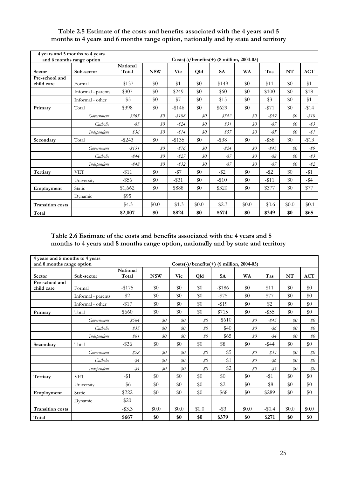|                              | 4 years and 5 months to 4 years<br>and 6 months range option |                   | $Costs(-)/benefits(+)$ (\$ million, 2004-05) |           |                |           |                |          |                |                 |
|------------------------------|--------------------------------------------------------------|-------------------|----------------------------------------------|-----------|----------------|-----------|----------------|----------|----------------|-----------------|
| Sector                       | Sub-sector                                                   | National<br>Total | <b>NSW</b>                                   | Vic       | Qld            | <b>SA</b> | <b>WA</b>      | Tas      | NT             | <b>ACT</b>      |
| Pre-school and<br>child care | Formal                                                       | $-$ \$137         | \$0                                          | \$1       | \$0            | $-149$    | \$0            | \$11     | \$0            | \$1             |
|                              | Informal - parents                                           | \$307             | \$0                                          | \$249     | \$0            | $-$ \$60  | \$0            | \$100    | \$0            | \$18            |
|                              | Informal - other                                             | $-$ \$5           | \$0                                          | \$7       | \$0            | $-1515$   | \$0            | \$3      | \$0            | \$1             |
| Primary                      | Total                                                        | \$398             | \$0                                          | $-146$    | \$0            | \$629     | \$0            | $-1571$  | \$0            | $-114$          |
|                              | Government                                                   | \$365             | $\mathcal{S}O$                               | $-$ \$108 | $\mathcal{S}O$ | \$542     | $\$0$          | -\$59    | $\$0$          | $-$ \$10        |
|                              | Catholic                                                     | $-83$             | $\mathcal{S}O$                               | $-824$    | $\mathcal{S}O$ | \$31      | $\$0$          | $-87$    | $\mathcal{S}O$ | $-\frac{83}{2}$ |
|                              | Independent                                                  | \$36              | $\$0$                                        | $-814$    | $\$0$          | \$57      | $\$0$          | $-85$    | $\$0$          | -\$1            |
| Secondary                    | Total                                                        | $-$ \$243         | \$0                                          | $- $135$  | \$0            | $-$ \$38  | \$0            | $-$ \$58 | \$0            | $-13$           |
|                              | Government                                                   | $-8151$           | $\mathcal{S}O$                               | $-876$    | $\$0$          | $-824$    | $\$0$          | $-$ \$43 | $\$0$          | -\$9            |
|                              | Catholic                                                     | -\$44             | $\mathcal{S}O$                               | $-$ \$27  | $\mathcal{S}O$ | $-87$     | \$0\$          | $-$ \$8  | $\mathcal{S}O$ | -\$3            |
|                              | Independent                                                  | $-$ \$48          | $\mathcal{S}O$                               | $-832$    | $\mathcal{S}O$ | $-87$     | $\mathcal{S}O$ | $-87$    | $\mathcal{S}O$ | $-$ \$2         |
| Tertiary                     | <b>VET</b>                                                   | $-11$             | \$0                                          | $-157$    | \$0            | $-$ \$2   | \$0            | $-$ \$2  | \$0            | $-$ \$1         |
|                              | University                                                   | $-$ \$56          | \$0                                          | $-$ \$31  | \$0            | $-10$     | \$0            | $-$ \$11 | \$0            | $-$ \$4         |
| Employment                   | Static                                                       | \$1,662           | \$0                                          | \$888     | \$0            | \$320     | \$0            | \$377    | \$0            | \$77            |
|                              | Dynamic                                                      | \$95              |                                              |           |                |           |                |          |                |                 |
| <b>Transition costs</b>      |                                                              | $-$ \$4.3         | \$0.0                                        | $-1.3$    | \$0.0          | $-$ \$2.3 | \$0.0          | $-\$0.6$ | \$0.0          | $-10.1$         |
| Total                        |                                                              | \$2,007           | \$0                                          | \$824     | \$0            | \$674     | \$0            | \$349    | \$0            | \$65            |

# **Table 2.5 Estimate of the costs and benefits associated with the 4 years and 5 months to 4 years and 6 months range option, nationally and by state and territory**

**Table 2.6 Estimate of the costs and benefits associated with the 4 years and 5 months to 4 years and 8 months range option, nationally and by state and territory** 

| 4 years and 5 months to 4 years<br>and 8 months range option |                    |                          | Costs(-)/benefits(+) ( $\frac{1}{2}$ million, 2004-05) |                |                |           |                |          |                |                |
|--------------------------------------------------------------|--------------------|--------------------------|--------------------------------------------------------|----------------|----------------|-----------|----------------|----------|----------------|----------------|
| Sector                                                       | Sub-sector         | <b>National</b><br>Total | <b>NSW</b>                                             | Vic            | Qld            | <b>SA</b> | <b>WA</b>      | Tas      | NT             | <b>ACT</b>     |
| Pre-school and<br>child care                                 | Formal             | $-$ \$175                | \$0                                                    | \$0            | \$0            | $-186$    | \$0            | \$11     | $\$0$          | \$0            |
|                                                              | Informal - parents | \$2                      | \$0                                                    | \$0            | \$0            | $-$ \$75  | \$0            | \$77     | \$0            | \$0            |
|                                                              | Informal - other   | $-117$                   | \$0                                                    | \$0            | \$0            | $-119$    | \$0            | \$2      | \$0            | \$0            |
| Primary                                                      | Total              | \$660                    | \$0                                                    | \$0            | \$0            | \$715     | \$0            | $-$ \$55 | \$0            | \$0            |
|                                                              | Government         | \$564                    | $\mathcal{S}O$                                         | $\mathcal{S}O$ | \$0            | \$610     | $\mathcal{S}O$ | $-845$   | $\mathcal{S}O$ | $\$0$          |
|                                                              | Catholic           | 835                      | $\mathcal{S}O$                                         | $\mathcal{S}O$ | $\mathcal{S}O$ | \$40      | $\$0$          | -\$6     | $\mathcal{S}O$ | $\$0$          |
|                                                              | Independent        | \$61                     | $\mathcal{S}O$                                         | $\mathcal{S}O$ | $\$0$          | \$65      | $\mathcal{S}O$ | $-$ \$4  | $\$0$          | $\$0$          |
| Secondary                                                    | Total              | $-$ \$36                 | \$0                                                    | \$0            | \$0            | \$8       | \$0            | $-$ \$44 | \$0            | \$0            |
|                                                              | Government         | $-828$                   | $\mathcal{S}O$                                         | $\$0$          | $\$0$          | \$5       | $\$0$          | $-833$   | $\$0$          | $\$0$          |
|                                                              | Catholic           | $-$ \$4                  | $\mathcal{S}O$                                         | $\$0$          | $\mathcal{S}O$ | \$1       | $\$0$          | $-86$    | $\$0$          | $\$0$          |
|                                                              | Independent        | $-$ \$4                  | $\$0$                                                  | \$0\$          | \$0\$          | \$2       | \$0\$          | $-85$    | $\$0$          | $\mathcal{S}O$ |
| Tertiary                                                     | <b>VET</b>         | $-$ \$1                  | \$0                                                    | \$0            | \$0            | \$0       | \$0            | $-11$    | \$0\$          | \$0            |
|                                                              | University         | $-$ \$6                  | \$0                                                    | \$0            | \$0            | \$2       | \$0            | $-$ \$8  | \$0            | \$0            |
| Employment                                                   | Static             | \$222                    | \$0                                                    | \$0            | \$0            | $-$ \$68  | \$0            | \$289    | \$0            | \$0            |
|                                                              | Dynamic            | \$20                     |                                                        |                |                |           |                |          |                |                |
| <b>Transition costs</b>                                      |                    | $-$ \$3.3                | \$0.0                                                  | \$0.0          | \$0.0          | $-$ \$3   | \$0.0          | $-$0.4$  | \$0.0          | \$0.0          |
| Total                                                        |                    | \$667                    | \$0                                                    | \$0            | \$0            | \$379     | \$0            | \$271    | \$0            | \$0            |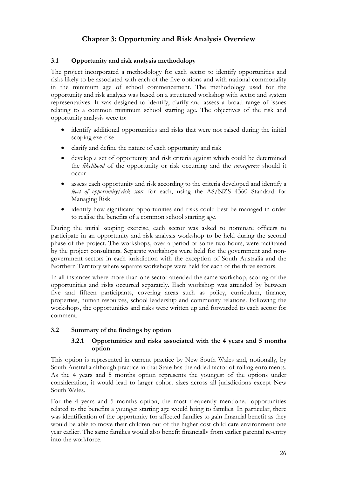# **Chapter 3: Opportunity and Risk Analysis Overview**

# **3.1 Opportunity and risk analysis methodology**

The project incorporated a methodology for each sector to identify opportunities and risks likely to be associated with each of the five options and with national commonality in the minimum age of school commencement. The methodology used for the opportunity and risk analysis was based on a structured workshop with sector and system representatives. It was designed to identify, clarify and assess a broad range of issues relating to a common minimum school starting age. The objectives of the risk and opportunity analysis were to:

- identify additional opportunities and risks that were not raised during the initial scoping exercise
- clarify and define the nature of each opportunity and risk
- develop a set of opportunity and risk criteria against which could be determined the *likelihood* of the opportunity or risk occurring and the *consequence* should it occur
- assess each opportunity and risk according to the criteria developed and identify a *level of opportunity/risk score* for each, using the AS/NZS 4360 Standard for Managing Risk
- identify how significant opportunities and risks could best be managed in order to realise the benefits of a common school starting age.

During the initial scoping exercise, each sector was asked to nominate officers to participate in an opportunity and risk analysis workshop to be held during the second phase of the project. The workshops, over a period of some two hours, were facilitated by the project consultants. Separate workshops were held for the government and nongovernment sectors in each jurisdiction with the exception of South Australia and the Northern Territory where separate workshops were held for each of the three sectors.

In all instances where more than one sector attended the same workshop, scoring of the opportunities and risks occurred separately. Each workshop was attended by between five and fifteen participants, covering areas such as policy, curriculum, finance, properties, human resources, school leadership and community relations. Following the workshops, the opportunities and risks were written up and forwarded to each sector for comment.

# **3.2 Summary of the findings by option**

## **3.2.1 Opportunities and risks associated with the 4 years and 5 months option**

This option is represented in current practice by New South Wales and, notionally, by South Australia although practice in that State has the added factor of rolling enrolments. As the 4 years and 5 months option represents the youngest of the options under consideration, it would lead to larger cohort sizes across all jurisdictions except New South Wales.

For the 4 years and 5 months option, the most frequently mentioned opportunities related to the benefits a younger starting age would bring to families. In particular, there was identification of the opportunity for affected families to gain financial benefit as they would be able to move their children out of the higher cost child care environment one year earlier. The same families would also benefit financially from earlier parental re-entry into the workforce.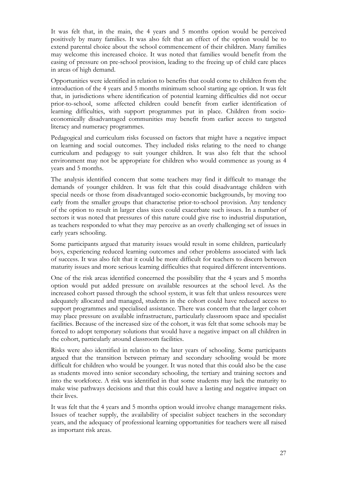It was felt that, in the main, the 4 years and 5 months option would be perceived positively by many families. It was also felt that an effect of the option would be to extend parental choice about the school commencement of their children. Many families may welcome this increased choice. It was noted that families would benefit from the easing of pressure on pre-school provision, leading to the freeing up of child care places in areas of high demand.

Opportunities were identified in relation to benefits that could come to children from the introduction of the 4 years and 5 months minimum school starting age option. It was felt that, in jurisdictions where identification of potential learning difficulties did not occur prior-to-school, some affected children could benefit from earlier identification of learning difficulties, with support programmes put in place. Children from socioeconomically disadvantaged communities may benefit from earlier access to targeted literacy and numeracy programmes.

Pedagogical and curriculum risks focussed on factors that might have a negative impact on learning and social outcomes. They included risks relating to the need to change curriculum and pedagogy to suit younger children. It was also felt that the school environment may not be appropriate for children who would commence as young as 4 years and 5 months.

The analysis identified concern that some teachers may find it difficult to manage the demands of younger children. It was felt that this could disadvantage children with special needs or those from disadvantaged socio-economic backgrounds, by moving too early from the smaller groups that characterise prior-to-school provision. Any tendency of the option to result in larger class sizes could exacerbate such issues. In a number of sectors it was noted that pressures of this nature could give rise to industrial disputation, as teachers responded to what they may perceive as an overly challenging set of issues in early years schooling.

Some participants argued that maturity issues would result in some children, particularly boys, experiencing reduced learning outcomes and other problems associated with lack of success. It was also felt that it could be more difficult for teachers to discern between maturity issues and more serious learning difficulties that required different interventions.

One of the risk areas identified concerned the possibility that the 4 years and 5 months option would put added pressure on available resources at the school level. As the increased cohort passed through the school system, it was felt that unless resources were adequately allocated and managed, students in the cohort could have reduced access to support programmes and specialised assistance. There was concern that the larger cohort may place pressure on available infrastructure, particularly classroom space and specialist facilities. Because of the increased size of the cohort, it was felt that some schools may be forced to adopt temporary solutions that would have a negative impact on all children in the cohort, particularly around classroom facilities.

Risks were also identified in relation to the later years of schooling. Some participants argued that the transition between primary and secondary schooling would be more difficult for children who would be younger. It was noted that this could also be the case as students moved into senior secondary schooling, the tertiary and training sectors and into the workforce. A risk was identified in that some students may lack the maturity to make wise pathways decisions and that this could have a lasting and negative impact on their lives.

It was felt that the 4 years and 5 months option would involve change management risks. Issues of teacher supply, the availability of specialist subject teachers in the secondary years, and the adequacy of professional learning opportunities for teachers were all raised as important risk areas.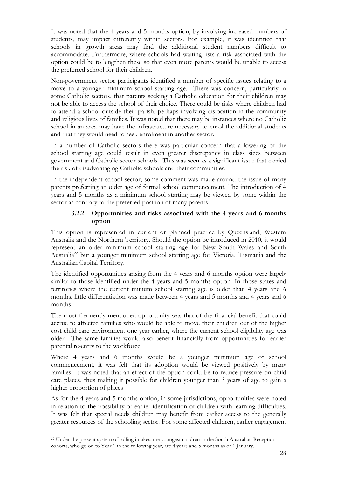It was noted that the 4 years and 5 months option, by involving increased numbers of students, may impact differently within sectors. For example, it was identified that schools in growth areas may find the additional student numbers difficult to accommodate. Furthermore, where schools had waiting lists a risk associated with the option could be to lengthen these so that even more parents would be unable to access the preferred school for their children.

Non-government sector participants identified a number of specific issues relating to a move to a younger minimum school starting age. There was concern, particularly in some Catholic sectors, that parents seeking a Catholic education for their children may not be able to access the school of their choice. There could be risks where children had to attend a school outside their parish, perhaps involving dislocation in the community and religious lives of families. It was noted that there may be instances where no Catholic school in an area may have the infrastructure necessary to enrol the additional students and that they would need to seek enrolment in another sector.

In a number of Catholic sectors there was particular concern that a lowering of the school starting age could result in even greater discrepancy in class sizes between government and Catholic sector schools. This was seen as a significant issue that carried the risk of disadvantaging Catholic schools and their communities.

In the independent school sector, some comment was made around the issue of many parents preferring an older age of formal school commencement. The introduction of 4 years and 5 months as a minimum school starting may be viewed by some within the sector as contrary to the preferred position of many parents.

## **3.2.2 Opportunities and risks associated with the 4 years and 6 months option**

This option is represented in current or planned practice by Queensland, Western Australia and the Northern Territory. Should the option be introduced in 2010, it would represent an older minimum school starting age for New South Wales and South Australia<sup>22</sup> but a younger minimum school starting age for Victoria, Tasmania and the Australian Capital Territory.

The identified opportunities arising from the 4 years and 6 months option were largely similar to those identified under the 4 years and 5 months option. In those states and territories where the current minium school starting age is older than 4 years and 6 months, little differentiation was made between 4 years and 5 months and 4 years and 6 months.

The most frequently mentioned opportunity was that of the financial benefit that could accrue to affected families who would be able to move their children out of the higher cost child care environment one year earlier, where the current school eligibility age was older. The same families would also benefit financially from opportunities for earlier parental re-entry to the workforce.

Where 4 years and 6 months would be a younger minimum age of school commencement, it was felt that its adoption would be viewed positively by many families. It was noted that an effect of the option could be to reduce pressure on child care places, thus making it possible for children younger than 3 years of age to gain a higher proportion of places

As for the 4 years and 5 months option, in some jurisdictions, opportunities were noted in relation to the possibility of earlier identification of children with learning difficulties. It was felt that special needs children may benefit from earlier access to the generally greater resources of the schooling sector. For some affected children, earlier engagement

<sup>22</sup> Under the present system of rolling intakes, the youngest children in the South Australian Reception cohorts, who go on to Year 1 in the following year, are 4 years and 5 months as of 1 January.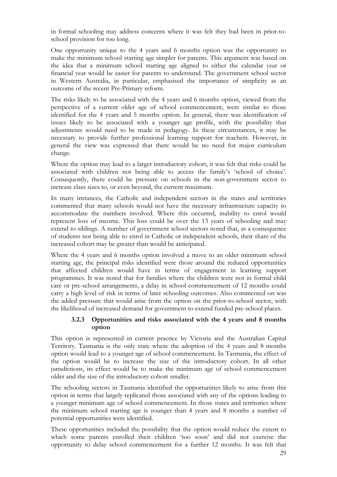in formal schooling may address concerns where it was felt they had been in prior-toschool provision for too long.

One opportunity unique to the 4 years and 6 months option was the opportunity to make the minimum school starting age simpler for parents. This argument was based on the idea that a minimum school starting age aligned to either the calendar year or financial year would be easier for parents to understand. The government school sector in Western Australia, in particular, emphasised the importance of simplicity as an outcome of the recent Pre-Primary reform.

The risks likely to be associated with the 4 years and 6 months option, viewed from the perspective of a current older age of school commencement, were similar to those identified for the 4 years and 5 months option. In general, there was identification of issues likely to be associated with a younger age profile, with the possibility that adjustments would need to be made in pedagogy. In these circumstances, it may be necessary to provide further professional learning support for teachers. However, in general the view was expressed that there would be no need for major curriculum change.

Where the option may lead to a larger introductory cohort, it was felt that risks could be associated with children not being able to access the family's 'school of choice'. Consequently, there could be pressure on schools in the non-government sector to increase class sizes to, or even beyond, the current maximum.

In many instances, the Catholic and independent sectors in the states and territories commented that many schools would not have the necessary infrastructure capacity to accommodate the numbers involved. Where this occurred, inability to enrol would represent loss of income. This loss could be over the 13 years of schooling and may extend to siblings. A number of government school sectors noted that, as a consequence of students not being able to enrol in Catholic or independent schools, their share of the increased cohort may be greater than would be anticipated.

Where the 4 years and 6 months option involved a move to an older minimum school starting age, the principal risks identified were those around the reduced opportunities that affected children would have in terms of engagement in learning support programmes. It was noted that for families where the children were not in formal child care or pre-school arrangements, a delay in school commencement of 12 months could carry a high level of risk in terms of later schooling outcomes. Also commented on was the added pressure that would arise from the option on the prior-to-school sector, with the likelihood of increased demand for government to extend funded pre-school places.

### **3.2.3 Opportunities and risks associated with the 4 years and 8 months option**

This option is represented in current practice by Victoria and the Australian Capital Territory. Tasmania is the only state where the adoption of the 4 years and 8 months option would lead to a younger age of school commencement. In Tasmania, the effect of the option would be to increase the size of the introductory cohort. In all other jurisdictions, its effect would be to make the minimum age of school commencement older and the size of the introductory cohort smaller.

The schooling sectors in Tasmania identified the opportunities likely to arise from this option in terms that largely replicated those associated with any of the options leading to a younger minimum age of school commencement. In those states and territories where the minimum school starting age is younger than 4 years and 8 months a number of potential opportunities were identified.

These opportunities included the possibility that the option would reduce the extent to which some parents enrolled their children 'too soon' and did not exercise the opportunity to delay school commencement for a further 12 months. It was felt that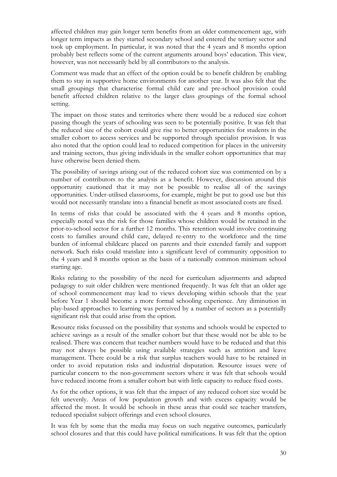affected children may gain longer term benefits from an older commencement age, with longer term impacts as they started secondary school and entered the tertiary sector and took up employment. In particular, it was noted that the 4 years and 8 months option probably best reflects some of the current arguments around boys' education. This view, however, was not necessarily held by all contributors to the analysis.

Comment was made that an effect of the option could be to benefit children by enabling them to stay in supportive home environments for another year. It was also felt that the small groupings that characterise formal child care and pre-school provision could benefit affected children relative to the larger class groupings of the formal school setting.

The impact on those states and territories where there would be a reduced size cohort passing though the years of schooling was seen to be potentially positive. It was felt that the reduced size of the cohort could give rise to better opportunities for students in the smaller cohort to access services and be supported through specialist provision. It was also noted that the option could lead to reduced competition for places in the university and training sectors, thus giving individuals in the smaller cohort opportunities that may have otherwise been denied them.

The possibility of savings arising out of the reduced cohort size was commented on by a number of contributors to the analysis as a benefit. However, discussion around this opportunity cautioned that it may not be possible to realise all of the savings opportunities. Under-utilised classrooms, for example, might be put to good use but this would not necessarily translate into a financial benefit as most associated costs are fixed.

In terms of risks that could be associated with the 4 years and 8 months option, especially noted was the risk for those families whose children would be retained in the prior-to-school sector for a further 12 months. This retention would involve continuing costs to families around child care, delayed re-entry to the workforce and the time burden of informal childcare placed on parents and their extended family and support network. Such risks could translate into a significant level of community opposition to the 4 years and 8 months option as the basis of a nationally common minimum school starting age.

Risks relating to the possibility of the need for curriculum adjustments and adapted pedagogy to suit older children were mentioned frequently. It was felt that an older age of school commencement may lead to views developing within schools that the year before Year 1 should become a more formal schooling experience. Any diminution in play-based approaches to learning was perceived by a number of sectors as a potentially significant risk that could arise from the option.

Resource risks focussed on the possibility that systems and schools would be expected to achieve savings as a result of the smaller cohort but that these would not be able to be realised. There was concern that teacher numbers would have to be reduced and that this may not always be possible using available strategies such as attrition and leave management. There could be a risk that surplus teachers would have to be retained in order to avoid reputation risks and industrial disputation. Resource issues were of particular concern to the non-government sectors where it was felt that schools would have reduced income from a smaller cohort but with little capacity to reduce fixed costs.

As for the other options, it was felt that the impact of any reduced cohort size would be felt unevenly. Areas of low population growth and with excess capacity would be affected the most. It would be schools in these areas that could see teacher transfers, reduced specialist subject offerings and even school closures.

It was felt by some that the media may focus on such negative outcomes, particularly school closures and that this could have political ramifications. It was felt that the option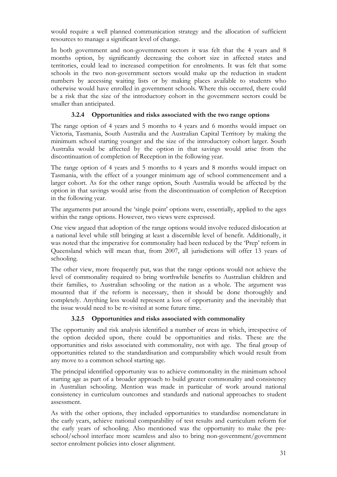would require a well planned communication strategy and the allocation of sufficient resources to manage a significant level of change.

In both government and non-government sectors it was felt that the 4 years and 8 months option, by significantly decreasing the cohort size in affected states and territories, could lead to increased competition for enrolments. It was felt that some schools in the two non-government sectors would make up the reduction in student numbers by accessing waiting lists or by making places available to students who otherwise would have enrolled in government schools. Where this occurred, there could be a risk that the size of the introductory cohort in the government sectors could be smaller than anticipated.

# **3.2.4 Opportunities and risks associated with the two range options**

The range option of 4 years and 5 months to 4 years and 6 months would impact on Victoria, Tasmania, South Australia and the Australian Capital Territory by making the minimum school starting younger and the size of the introductory cohort larger. South Australia would be affected by the option in that savings would arise from the discontinuation of completion of Reception in the following year.

The range option of 4 years and 5 months to 4 years and 8 months would impact on Tasmania, with the effect of a younger minimum age of school commencement and a larger cohort. As for the other range option, South Australia would be affected by the option in that savings would arise from the discontinuation of completion of Reception in the following year.

The arguments put around the 'single point' options were, essentially, applied to the ages within the range options. However, two views were expressed.

One view argued that adoption of the range options would involve reduced dislocation at a national level while still bringing at least a discernible level of benefit. Additionally, it was noted that the imperative for commonality had been reduced by the 'Prep' reform in Queensland which will mean that, from 2007, all jurisdictions will offer 13 years of schooling.

The other view, more frequently put, was that the range options would not achieve the level of commonality required to bring worthwhile benefits to Australian children and their families, to Australian schooling or the nation as a whole. The argument was mounted that if the reform is necessary, then it should be done thoroughly and completely. Anything less would represent a loss of opportunity and the inevitably that the issue would need to be re-visited at some future time.

# **3.2.5 Opportunities and risks associated with commonality**

The opportunity and risk analysis identified a number of areas in which, irrespective of the option decided upon, there could be opportunities and risks. These are the opportunities and risks associated with commonality, not with age. The final group of opportunities related to the standardisation and comparability which would result from any move to a common school starting age.

The principal identified opportunity was to achieve commonality in the minimum school starting age as part of a broader approach to build greater commonality and consistency in Australian schooling. Mention was made in particular of work around national consistency in curriculum outcomes and standards and national approaches to student assessment.

As with the other options, they included opportunities to standardise nomenclature in the early years, achieve national comparability of test results and curriculum reform for the early years of schooling. Also mentioned was the opportunity to make the preschool/school interface more seamless and also to bring non-government/government sector enrolment policies into closer alignment.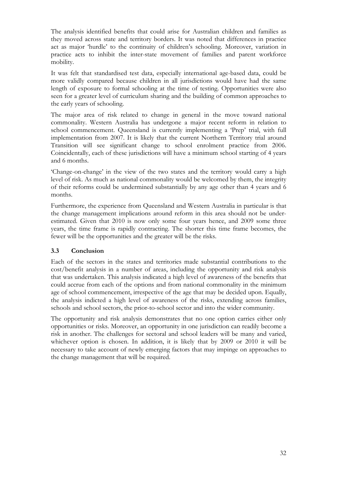The analysis identified benefits that could arise for Australian children and families as they moved across state and territory borders. It was noted that differences in practice act as major 'hurdle' to the continuity of children's schooling. Moreover, variation in practice acts to inhibit the inter-state movement of families and parent workforce mobility.

It was felt that standardised test data, especially international age-based data, could be more validly compared because children in all jurisdictions would have had the same length of exposure to formal schooling at the time of testing. Opportunities were also seen for a greater level of curriculum sharing and the building of common approaches to the early years of schooling.

The major area of risk related to change in general in the move toward national commonality. Western Australia has undergone a major recent reform in relation to school commencement. Queensland is currently implementing a 'Prep' trial, with full implementation from 2007. It is likely that the current Northern Territory trial around Transition will see significant change to school enrolment practice from 2006. Coincidentally, each of these jurisdictions will have a minimum school starting of 4 years and 6 months.

'Change-on-change' in the view of the two states and the territory would carry a high level of risk. As much as national commonality would be welcomed by them, the integrity of their reforms could be undermined substantially by any age other than 4 years and 6 months.

Furthermore, the experience from Queensland and Western Australia in particular is that the change management implications around reform in this area should not be underestimated. Given that 2010 is now only some four years hence, and 2009 some three years, the time frame is rapidly contracting. The shorter this time frame becomes, the fewer will be the opportunities and the greater will be the risks.

# **3.3 Conclusion**

Each of the sectors in the states and territories made substantial contributions to the cost/benefit analysis in a number of areas, including the opportunity and risk analysis that was undertaken. This analysis indicated a high level of awareness of the benefits that could accrue from each of the options and from national commonality in the minimum age of school commencement, irrespective of the age that may be decided upon. Equally, the analysis indicted a high level of awareness of the risks, extending across families, schools and school sectors, the prior-to-school sector and into the wider community.

The opportunity and risk analysis demonstrates that no one option carries either only opportunities or risks. Moreover, an opportunity in one jurisdiction can readily become a risk in another. The challenges for sectoral and school leaders will be many and varied, whichever option is chosen. In addition, it is likely that by 2009 or 2010 it will be necessary to take account of newly emerging factors that may impinge on approaches to the change management that will be required.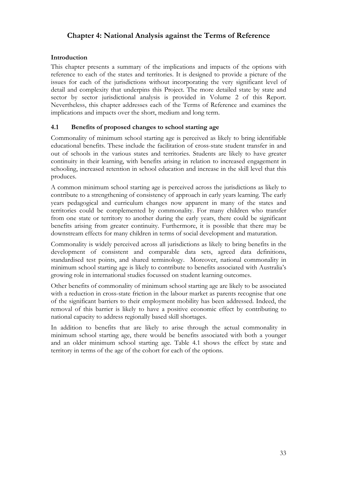# **Chapter 4: National Analysis against the Terms of Reference**

# **Introduction**

This chapter presents a summary of the implications and impacts of the options with reference to each of the states and territories. It is designed to provide a picture of the issues for each of the jurisdictions without incorporating the very significant level of detail and complexity that underpins this Project. The more detailed state by state and sector by sector jurisdictional analysis is provided in Volume 2 of this Report. Nevertheless, this chapter addresses each of the Terms of Reference and examines the implications and impacts over the short, medium and long term.

## **4.1 Benefits of proposed changes to school starting age**

Commonality of minimum school starting age is perceived as likely to bring identifiable educational benefits. These include the facilitation of cross-state student transfer in and out of schools in the various states and territories. Students are likely to have greater continuity in their learning, with benefits arising in relation to increased engagement in schooling, increased retention in school education and increase in the skill level that this produces.

A common minimum school starting age is perceived across the jurisdictions as likely to contribute to a strengthening of consistency of approach in early years learning. The early years pedagogical and curriculum changes now apparent in many of the states and territories could be complemented by commonality. For many children who transfer from one state or territory to another during the early years, there could be significant benefits arising from greater continuity. Furthermore, it is possible that there may be downstream effects for many children in terms of social development and maturation.

Commonality is widely perceived across all jurisdictions as likely to bring benefits in the development of consistent and comparable data sets, agreed data definitions, standardised test points, and shared terminology. Moreover, national commonality in minimum school starting age is likely to contribute to benefits associated with Australia's growing role in international studies focussed on student learning outcomes.

Other benefits of commonality of minimum school starting age are likely to be associated with a reduction in cross-state friction in the labour market as parents recognise that one of the significant barriers to their employment mobility has been addressed. Indeed, the removal of this barrier is likely to have a positive economic effect by contributing to national capacity to address regionally based skill shortages.

In addition to benefits that are likely to arise through the actual commonality in minimum school starting age, there would be benefits associated with both a younger and an older minimum school starting age. Table 4.1 shows the effect by state and territory in terms of the age of the cohort for each of the options.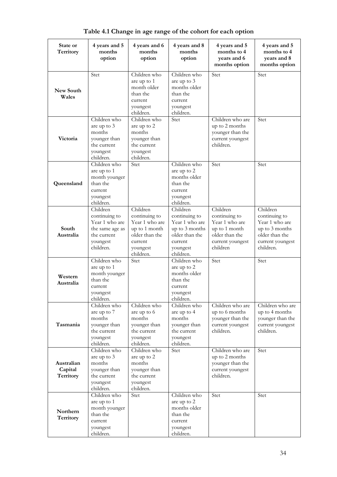| State or<br>Territory              | 4 years and 5<br>months<br>option                                                                      | 4 years and 6<br>months<br>option                                                                                  | 4 years and 8<br>months<br>option                                                                                   | 4 years and 5<br>months to 4<br>years and 6<br>months option                                                   | 4 years and 5<br>months to 4<br>years and 8<br>months option                                                     |
|------------------------------------|--------------------------------------------------------------------------------------------------------|--------------------------------------------------------------------------------------------------------------------|---------------------------------------------------------------------------------------------------------------------|----------------------------------------------------------------------------------------------------------------|------------------------------------------------------------------------------------------------------------------|
| New South<br>Wales                 | Stet                                                                                                   | Children who<br>are up to 1<br>month older<br>than the<br>current<br>youngest<br>children.                         | Children who<br>are up to 3<br>months older<br>than the<br>current<br>youngest<br>children.                         | Stet                                                                                                           | Stet                                                                                                             |
| Victoria                           | Children who<br>are up to 3<br>months<br>younger than<br>the current<br>youngest<br>children.          | Children who<br>are up to 2<br>months<br>younger than<br>the current<br>youngest<br>children.                      | Stet                                                                                                                | Children who are<br>up to 2 months<br>younger than the<br>current youngest<br>children.                        | Stet                                                                                                             |
| Queensland                         | Children who<br>are up to 1<br>month younger<br>than the<br>current<br>youngest<br>children.           | <b>Stet</b>                                                                                                        | Children who<br>are up to 2<br>months older<br>than the<br>current<br>youngest<br>children.                         | Stet                                                                                                           | Stet                                                                                                             |
| South<br>Australia                 | Children<br>continuing to<br>Year 1 who are<br>the same age as<br>the current<br>youngest<br>children. | Children<br>continuing to<br>Year 1 who are<br>up to 1 month<br>older than the<br>current<br>youngest<br>children. | Children<br>continuing to<br>Year 1 who are<br>up to 3 months<br>older than the<br>current<br>youngest<br>children. | Children<br>continuing to<br>Year 1 who are<br>up to 1 month<br>older than the<br>current youngest<br>children | Children<br>continuing to<br>Year 1 who are<br>up to 3 months<br>older than the<br>current youngest<br>children. |
| Western<br>Australia               | Children who<br>are up to 1<br>month younger<br>than the<br>current<br>youngest<br>children.           | Stet                                                                                                               | Children who<br>are up to 2<br>months older<br>than the<br>current<br>youngest<br>children.                         | Stet                                                                                                           | Stet                                                                                                             |
| Tasmania                           | Children who<br>are up to 7<br>months<br>younger than<br>the current<br>youngest<br>children.          | Children who<br>are up to 6<br>months<br>younger than<br>the current<br>youngest<br>children.                      | Children who<br>are up to 4<br>months<br>younger than<br>the current<br>youngest<br>children.                       | Children who are<br>up to 6 months<br>younger than the<br>current youngest<br>children.                        | Children who are<br>up to 4 months<br>younger than the<br>current youngest<br>children.                          |
| Australian<br>Capital<br>Territory | Children who<br>are up to 3<br>months<br>younger than<br>the current<br>youngest<br>children.          | Children who<br>are up to 2<br>months<br>younger than<br>the current<br>youngest<br>children.                      | Stet                                                                                                                | Children who are<br>up to 2 months<br>younger than the<br>current youngest<br>children.                        | Stet                                                                                                             |
| Northern<br>Territory              | Children who<br>are up to 1<br>month younger<br>than the<br>current<br>youngest<br>children.           | Stet                                                                                                               | Children who<br>are up to 2<br>months older<br>than the<br>current<br>youngest<br>children.                         | Stet                                                                                                           | Stet                                                                                                             |

**Table 4.1 Change in age range of the cohort for each option**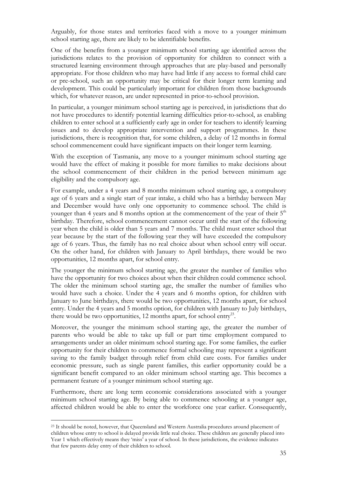Arguably, for those states and territories faced with a move to a younger minimum school starting age, there are likely to be identifiable benefits.

One of the benefits from a younger minimum school starting age identified across the jurisdictions relates to the provision of opportunity for children to connect with a structured learning environment through approaches that are play-based and personally appropriate. For those children who may have had little if any access to formal child care or pre-school, such an opportunity may be critical for their longer term learning and development. This could be particularly important for children from those backgrounds which, for whatever reason, are under represented in prior-to-school provision.

In particular, a younger minimum school starting age is perceived, in jurisdictions that do not have procedures to identify potential learning difficulties prior-to-school, as enabling children to enter school at a sufficiently early age in order for teachers to identify learning issues and to develop appropriate intervention and support programmes. In these jurisdictions, there is recognition that, for some children, a delay of 12 months in formal school commencement could have significant impacts on their longer term learning.

With the exception of Tasmania, any move to a younger minimum school starting age would have the effect of making it possible for more families to make decisions about the school commencement of their children in the period between minimum age eligibility and the compulsory age.

For example, under a 4 years and 8 months minimum school starting age, a compulsory age of 6 years and a single start of year intake, a child who has a birthday between May and December would have only one opportunity to commence school. The child is younger than 4 years and 8 months option at the commencement of the year of their  $5<sup>th</sup>$ birthday. Therefore, school commencement cannot occur until the start of the following year when the child is older than 5 years and 7 months. The child must enter school that year because by the start of the following year they will have exceeded the compulsory age of 6 years. Thus, the family has no real choice about when school entry will occur. On the other hand, for children with January to April birthdays, there would be two opportunities, 12 months apart, for school entry.

The younger the minimum school starting age, the greater the number of families who have the opportunity for two choices about when their children could commence school. The older the minimum school starting age, the smaller the number of families who would have such a choice. Under the 4 years and 6 months option, for children with January to June birthdays, there would be two opportunities, 12 months apart, for school entry. Under the 4 years and 5 months option, for children with January to July birthdays, there would be two opportunities, 12 months apart, for school entry<sup>23</sup>.

Moreover, the younger the minimum school starting age, the greater the number of parents who would be able to take up full or part time employment compared to arrangements under an older minimum school starting age. For some families, the earlier opportunity for their children to commence formal schooling may represent a significant saving to the family budget through relief from child care costs. For families under economic pressure, such as single parent families, this earlier opportunity could be a significant benefit compared to an older minimum school starting age. This becomes a permanent feature of a younger minimum school starting age.

Furthermore, there are long term economic considerations associated with a younger minimum school starting age. By being able to commence schooling at a younger age, affected children would be able to enter the workforce one year earlier. Consequently,

<sup>&</sup>lt;sup>23</sup> It should be noted, however, that Queensland and Western Australia procedures around placement of children whose entry to school is delayed provide little real choice. These children are generally placed into Year 1 which effectively means they 'miss' a year of school. In these jurisdictions, the evidence indicates that few parents delay entry of their children to school.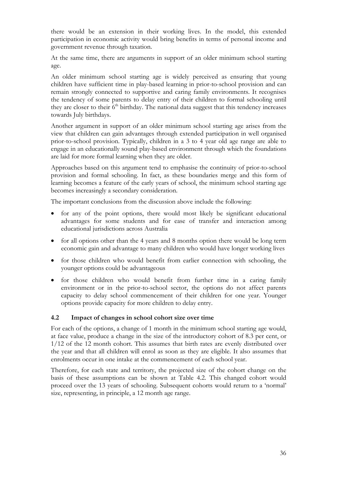there would be an extension in their working lives. In the model, this extended participation in economic activity would bring benefits in terms of personal income and government revenue through taxation.

At the same time, there are arguments in support of an older minimum school starting age.

An older minimum school starting age is widely perceived as ensuring that young children have sufficient time in play-based learning in prior-to-school provision and can remain strongly connected to supportive and caring family environments. It recognises the tendency of some parents to delay entry of their children to formal schooling until they are closer to their  $6<sup>th</sup>$  birthday. The national data suggest that this tendency increases towards July birthdays.

Another argument in support of an older minimum school starting age arises from the view that children can gain advantages through extended participation in well organised prior-to-school provision. Typically, children in a 3 to 4 year old age range are able to engage in an educationally sound play-based environment through which the foundations are laid for more formal learning when they are older.

Approaches based on this argument tend to emphasise the continuity of prior-to-school provision and formal schooling. In fact, as these boundaries merge and this form of learning becomes a feature of the early years of school, the minimum school starting age becomes increasingly a secondary consideration.

The important conclusions from the discussion above include the following:

- for any of the point options, there would most likely be significant educational advantages for some students and for ease of transfer and interaction among educational jurisdictions across Australia
- for all options other than the 4 years and 8 months option there would be long term economic gain and advantage to many children who would have longer working lives
- for those children who would benefit from earlier connection with schooling, the younger options could be advantageous
- for those children who would benefit from further time in a caring family environment or in the prior-to-school sector, the options do not affect parents capacity to delay school commencement of their children for one year. Younger options provide capacity for more children to delay entry.

# **4.2 Impact of changes in school cohort size over time**

For each of the options, a change of 1 month in the minimum school starting age would, at face value, produce a change in the size of the introductory cohort of 8.3 per cent, or 1/12 of the 12 month cohort. This assumes that birth rates are evenly distributed over the year and that all children will enrol as soon as they are eligible. It also assumes that enrolments occur in one intake at the commencement of each school year.

Therefore, for each state and territory, the projected size of the cohort change on the basis of these assumptions can be shown at Table 4.2. This changed cohort would proceed over the 13 years of schooling. Subsequent cohorts would return to a 'normal' size, representing, in principle, a 12 month age range.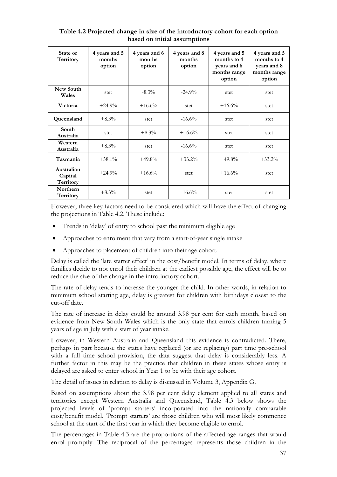| State or<br>Territory              | 4 years and 5<br>months<br>option | 4 years and 6<br>months<br>option | 4 years and 8<br>months<br>option | 4 years and 5<br>months to 4<br>years and 6<br>months range<br>option | 4 years and 5<br>months to 4<br>years and 8<br>months range<br>option |
|------------------------------------|-----------------------------------|-----------------------------------|-----------------------------------|-----------------------------------------------------------------------|-----------------------------------------------------------------------|
| New South<br>Wales                 | stet                              | $-8.3\%$                          | $-24.9%$                          | stet                                                                  | stet                                                                  |
| Victoria                           | $+24.9%$                          | $+16.6%$                          | stet                              | $+16.6%$                                                              | stet                                                                  |
| Queensland                         | $+8.3\%$                          | stet                              | $-16.6%$                          | stet                                                                  | stet                                                                  |
| South<br>Australia                 | stet                              | $+8.3\%$                          | $+16.6%$                          | stet                                                                  | stet                                                                  |
| Western<br>Australia               | $+8.3\%$                          | stet                              | $-16.6\%$                         | stet                                                                  | stet                                                                  |
| Tasmania                           | $+58.1\%$                         | $+49.8%$                          | $+33.2\%$                         | $+49.8%$                                                              | $+33.2%$                                                              |
| Australian<br>Capital<br>Territory | $+24.9%$                          | $+16.6%$                          | stet                              | $+16.6%$                                                              | stet                                                                  |
| Northern<br>Territory              | $+8.3%$                           | stet                              | $-16.6%$                          | stet                                                                  | stet                                                                  |

**Table 4.2 Projected change in size of the introductory cohort for each option based on initial assumptions** 

However, three key factors need to be considered which will have the effect of changing the projections in Table 4.2. These include:

- Trends in 'delay' of entry to school past the minimum eligible age
- Approaches to enrolment that vary from a start-of-year single intake
- Approaches to placement of children into their age cohort.

Delay is called the 'late starter effect' in the cost/benefit model. In terms of delay, where families decide to not enrol their children at the earliest possible age, the effect will be to reduce the size of the change in the introductory cohort.

The rate of delay tends to increase the younger the child. In other words, in relation to minimum school starting age, delay is greatest for children with birthdays closest to the cut-off date.

The rate of increase in delay could be around 3.98 per cent for each month, based on evidence from New South Wales which is the only state that enrols children turning 5 years of age in July with a start of year intake.

However, in Western Australia and Queensland this evidence is contradicted. There, perhaps in part because the states have replaced (or are replacing) part time pre-school with a full time school provision, the data suggest that delay is considerably less. A further factor in this may be the practice that children in these states whose entry is delayed are asked to enter school in Year 1 to be with their age cohort.

The detail of issues in relation to delay is discussed in Volume 3, Appendix G.

Based on assumptions about the 3.98 per cent delay element applied to all states and territories except Western Australia and Queensland, Table 4.3 below shows the projected levels of 'prompt starters' incorporated into the nationally comparable cost/benefit model. 'Prompt starters' are those children who will most likely commence school at the start of the first year in which they become eligible to enrol.

The percentages in Table 4.3 are the proportions of the affected age ranges that would enrol promptly. The reciprocal of the percentages represents those children in the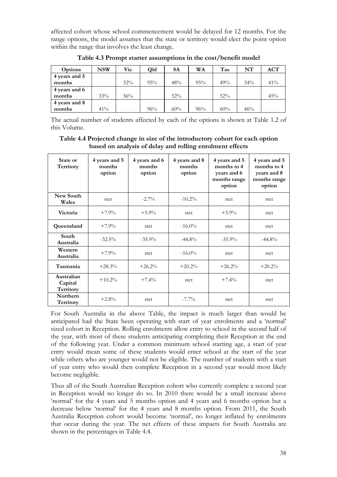affected cohort whose school commencement would be delayed for 12 months. For the range options, the model assumes that the state or territory would elect the point option within the range that involves the least change.

| Options       | NSW | Vic | <b>Old</b> | <b>SA</b> | WA  | Tas | NT  | ACT    |
|---------------|-----|-----|------------|-----------|-----|-----|-----|--------|
| 4 years and 5 |     |     |            |           |     |     |     |        |
| months        |     | 32% | 95%        | 48%       | 95% | 49% | 34% | $41\%$ |
| 4 years and 6 |     |     |            |           |     |     |     |        |
| months        | 33% | 36% |            | 52%       |     | 52% |     | 45%    |
| 4 years and 8 |     |     |            |           |     |     |     |        |
| months        | 41% |     | 96%        | 60%       | 96% | 60% | 46% |        |

**Table 4.3 Prompt starter assumptions in the cost/benefit model** 

The actual number of students affected by each of the options is shown at Table 1.2 of this Volume.

#### **Table 4.4 Projected change in size of the introductory cohort for each option based on analysis of delay and rolling enrolment effects**

| State or<br>Territory              | 4 years and 5<br>months<br>option | 4 years and 6<br>months<br>option | 4 years and 8<br>months<br>option | 4 years and 5<br>months to 4<br>years and 6<br>months range<br>option | 4 years and 5<br>months to 4<br>years and 8<br>months range<br>option |
|------------------------------------|-----------------------------------|-----------------------------------|-----------------------------------|-----------------------------------------------------------------------|-----------------------------------------------------------------------|
| New South<br>Wales                 | stet                              | $-2.7\%$                          | $-10.2\%$                         | stet                                                                  | stet                                                                  |
| Victoria                           | $+7.9\%$                          | $+5.9\%$                          | stet                              | $+5.9\%$                                                              | stet                                                                  |
| Queensland                         | $+7.9%$                           | stet                              | $-16.0\%$                         | stet                                                                  | stet                                                                  |
| South<br>Australia                 | $-32.5%$                          | $-35.9%$                          | $-44.8\%$                         | $-35.9\%$                                                             | $-44.8\%$                                                             |
| Western<br>Australia               | $+7.9%$                           | stet                              | $-16.0\%$                         | stet                                                                  | stet                                                                  |
| Tasmania                           | $+28.3%$                          | $+26.2%$                          | $+20.2%$                          | $+26.2%$                                                              | $+20.2%$                                                              |
| Australian<br>Capital<br>Territory | $+10.2%$                          | $+7.4\%$                          | stet                              | $+7.4\%$                                                              | stet                                                                  |
| Northern<br>Territory              | $+2.8%$                           | stet                              | $-7.7\%$                          | stet                                                                  | stet                                                                  |

For South Australia in the above Table, the impact is much larger than would be anticipated had the State been operating with start of year enrolments and a 'normal' sized cohort in Reception. Rolling enrolments allow entry to school in the second half of the year, with most of these students anticipating completing their Reception at the end of the following year. Under a common minimum school starting age, a start of year entry would mean some of these students would enter school at the start of the year while others who are younger would not be eligible. The number of students with a start of year entry who would then complete Reception in a second year would most likely become negligible.

Thus all of the South Australian Reception cohort who currently complete a second year in Reception would no longer do so. In 2010 there would be a small increase above 'normal' for the 4 years and 5 months option and 4 years and 6 months option but a decrease below 'normal' for the 4 years and 8 months option. From 2011, the South Australia Reception cohort would become 'normal', no longer inflated by enrolments that occur during the year. The net effects of these impacts for South Australia are shown in the percentages in Table 4.4.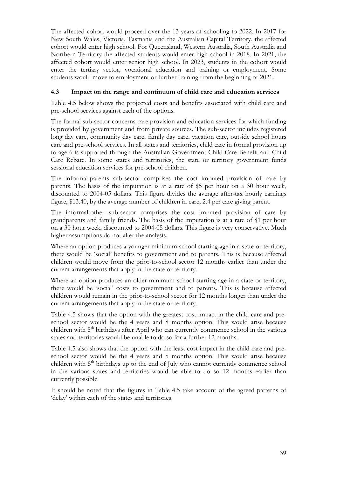The affected cohort would proceed over the 13 years of schooling to 2022. In 2017 for New South Wales, Victoria, Tasmania and the Australian Capital Territory, the affected cohort would enter high school. For Queensland, Western Australia, South Australia and Northern Territory the affected students would enter high school in 2018. In 2021, the affected cohort would enter senior high school. In 2023, students in the cohort would enter the tertiary sector, vocational education and training or employment. Some students would move to employment or further training from the beginning of 2021.

# **4.3 Impact on the range and continuum of child care and education services**

Table 4.5 below shows the projected costs and benefits associated with child care and pre-school services against each of the options.

The formal sub-sector concerns care provision and education services for which funding is provided by government and from private sources. The sub-sector includes registered long day care, community day care, family day care, vacation care, outside school hours care and pre-school services. In all states and territories, child care in formal provision up to age 6 is supported through the Australian Government Child Care Benefit and Child Care Rebate. In some states and territories, the state or territory government funds sessional education services for pre-school children.

The informal-parents sub-sector comprises the cost imputed provision of care by parents. The basis of the imputation is at a rate of \$5 per hour on a 30 hour week, discounted to 2004-05 dollars. This figure divides the average after-tax hourly earnings figure, \$13.40, by the average number of children in care, 2.4 per care giving parent.

The informal-other sub-sector comprises the cost imputed provision of care by grandparents and family friends. The basis of the imputation is at a rate of \$1 per hour on a 30 hour week, discounted to 2004-05 dollars. This figure is very conservative. Much higher assumptions do not alter the analysis.

Where an option produces a younger minimum school starting age in a state or territory, there would be 'social' benefits to government and to parents. This is because affected children would move from the prior-to-school sector 12 months earlier than under the current arrangements that apply in the state or territory.

Where an option produces an older minimum school starting age in a state or territory, there would be 'social' costs to government and to parents. This is because affected children would remain in the prior-to-school sector for 12 months longer than under the current arrangements that apply in the state or territory.

Table 4.5 shows that the option with the greatest cost impact in the child care and preschool sector would be the 4 years and 8 months option. This would arise because children with 5<sup>th</sup> birthdays after April who can currently commence school in the various states and territories would be unable to do so for a further 12 months.

Table 4.5 also shows that the option with the least cost impact in the child care and preschool sector would be the 4 years and 5 months option. This would arise because children with  $5<sup>th</sup>$  birthdays up to the end of July who cannot currently commence school in the various states and territories would be able to do so 12 months earlier than currently possible.

It should be noted that the figures in Table 4.5 take account of the agreed patterns of 'delay' within each of the states and territories.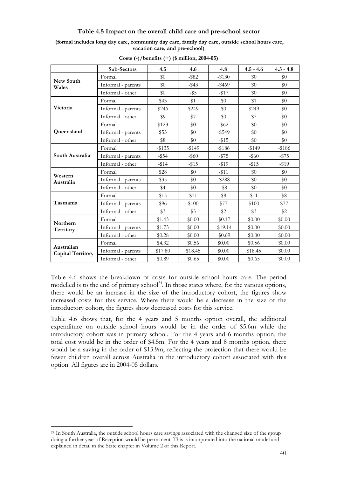#### **Table 4.5 Impact on the overall child care and pre-school sector**

**(formal includes long day care, community day care, family day care, outside school hours care, vacation care, and pre-school)** 

|                          | Sub-Sectors        | 4.5       | 4.6      | 4.8       | $4.5 - 4.6$ | $4.5 - 4.8$ |
|--------------------------|--------------------|-----------|----------|-----------|-------------|-------------|
|                          | Formal             | \$0       | $-$ \$82 | $-$130$   | \$0         | \$0         |
| New South<br>Wales       | Informal - parents | \$0       | $-$ \$43 | $-$ \$469 | \$0         | $\$0$       |
|                          | Informal - other   | \$0       | -\$5     | $-1517$   | \$0         | \$0         |
|                          | Formal             | \$43      | \$1      | \$0       | \$1         | $\$0$       |
| Victoria                 | Informal - parents | \$246     | \$249    | \$0       | \$249       | \$0         |
|                          | Informal - other   | \$9       | \$7      | \$0       | \$7         | $\$0$       |
|                          | Formal             | \$123     | \$0      | $-$ \$62  | \$0         | \$0         |
| Queensland               | Informal - parents | \$53      | $\$0$    | $-$ \$549 | \$0         | $\$0$       |
|                          | Informal - other   | \$8       | \$0      | $-1515$   | \$0         | \$0         |
|                          | Formal             | $-$ \$135 | $-149$   | $-186$    | $-149$      | $-186$      |
| South Australia          | Informal - parents | $-$ \$54  | $-$ \$60 | $-1575$   | $-$ \$60    | $-1575$     |
|                          | Informal - other   | $-114$    | $-15$    | $-19$     | $-$ \$15    | $-19$       |
| Western                  | Formal             | \$28      | \$0      | $-11$     | \$0         | \$0         |
| Australia                | Informal - parents | \$35      | \$0      | $-$ \$288 | \$0         | $\$0$       |
|                          | Informal - other   | \$4       | \$0      | $-$ \$8   | \$0         | \$0         |
|                          | Formal             | \$15      | \$11     | \$8       | \$11        | \$8         |
| Tasmania                 | Informal - parents | \$96      | \$100    | \$77      | \$100       | \$77        |
|                          | Informal - other   | \$3       | \$3      | \$2       | \$3         | \$2         |
| Northern                 | Formal             | \$1.43    | \$0.00   | $-$0.17$  | \$0.00      | \$0.00      |
| Territory                | Informal - parents | \$1.75    | \$0.00   | $-19.14$  | \$0.00      | \$0.00      |
|                          | Informal - other   | \$0.28    | \$0.00   | $-\$0.69$ | \$0.00      | \$0.00      |
| Australian               | Formal             | \$4.32    | \$0.56   | \$0.00    | \$0.56      | \$0.00      |
| <b>Capital Territory</b> | Informal - parents | \$17.80   | \$18.45  | \$0.00    | \$18.45     | \$0.00      |
|                          | Informal - other   | \$0.89    | \$0.65   | \$0.00    | \$0.65      | \$0.00      |

**Costs (-)/benefits (+) (\$ million, 2004-05)** 

Table 4.6 shows the breakdown of costs for outside school hours care. The period modelled is to the end of primary school<sup>24</sup>. In those states where, for the various options, there would be an increase in the size of the introductory cohort, the figures show increased costs for this service. Where there would be a decrease in the size of the introductory cohort, the figures show decreased costs for this service.

Table 4.6 shows that, for the 4 years and 5 months option overall, the additional expenditure on outside school hours would be in the order of \$5.6m while the introductory cohort was in primary school. For the 4 years and 6 months option, the total cost would be in the order of \$4.5m. For the 4 years and 8 months option, there would be a saving in the order of \$13.9m, reflecting the projection that there would be fewer children overall across Australia in the introductory cohort associated with this option. All figures are in 2004-05 dollars.

<sup>&</sup>lt;sup>24</sup> In South Australia, the outside school hours care savings associated with the changed size of the group doing a further year of Reception would be permanent. This is incorporated into the national model and explained in detail in the State chapter in Volume 2 of this Report.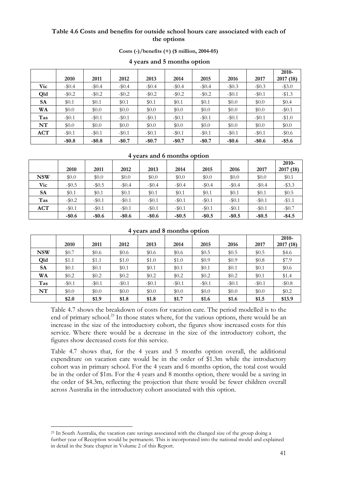### **Table 4.6 Costs and benefits for outside school hours care associated with each of the options**

| Costs $\left(\frac{\cdot}{\cdot}\right)$ /benefits $\left(\frac{+}{\cdot}\right)$ (\$ million, 2004-05) |  |
|---------------------------------------------------------------------------------------------------------|--|
|---------------------------------------------------------------------------------------------------------|--|

|            |          |          |          |         |          |          |          |          | 2010-     |
|------------|----------|----------|----------|---------|----------|----------|----------|----------|-----------|
|            | 2010     | 2011     | 2012     | 2013    | 2014     | 2015     | 2016     | 2017     | 2017 (18) |
| Vic        | $-\$0.4$ | $-\$0.4$ | $-\$0.4$ | $-10.4$ | $-\$0.4$ | $-10.4$  | $-\$0.3$ | $-\$0.3$ | $-$ \$3.0 |
| Qld        | $-\$0.2$ | $-\$0.2$ | $-\$0.2$ | $-10.2$ | $-\$0.2$ | $-10.2$  | $-10.1$  | $-$0.1$  | $-13.3$   |
| <b>SA</b>  | \$0.1    | \$0.1    | \$0.1    | \$0.1   | \$0.1    | \$0.1    | \$0.0    | \$0.0    | \$0.4     |
| WA         | \$0.0    | \$0.0    | \$0.0    | \$0.0   | \$0.0    | \$0.0    | \$0.0    | \$0.0    | $-$0.1$   |
| Tas        | $-\$0.1$ | $-\$0.1$ | $-\$0.1$ | $-$0.1$ | $-\$0.1$ | $-$0.1$  | $-10.1$  | $-$0.1$  | $-1.0$    |
| NT         | \$0.0    | \$0.0    | \$0.0    | \$0.0   | \$0.0    | \$0.0    | \$0.0    | \$0.0    | \$0.0     |
| <b>ACT</b> | $-$0.1$  | $-\$0.1$ | $-\$0.1$ | $-$0.1$ | $-$0.1$  | $-\$0.1$ | $-10.1$  | $-$0.1$  | $-10.6$   |
|            | $-$0.8$  | $-$0.8$  | $-$0.7$  | $-$0.7$ | $-$0.7$  | $-$0.7$  | $-$0.6$  | $-$0.6$  | $-$ \$5.6 |

#### **4 years and 5 months option**

#### **4 years and 6 months option**

|            |          |          |          |          |           |         |          |          | 2010-     |
|------------|----------|----------|----------|----------|-----------|---------|----------|----------|-----------|
|            | 2010     | 2011     | 2012     | 2013     | 2014      | 2015    | 2016     | 2017     | 2017 (18) |
| <b>NSW</b> | \$0.0    | \$0.0    | \$0.0    | \$0.0    | \$0.0     | \$0.0   | \$0.0    | \$0.0    | \$0.1     |
| Vic        | $-\$0.5$ | $-\$0.5$ | $-\$0.4$ | $-\$0.4$ | $-\$0.4$  | $-10.4$ | $-\$0.4$ | $-\$0.4$ | $-$ \$3.3 |
| <b>SA</b>  | \$0.1    | \$0.1    | \$0.1    | \$0.1    | \$0.1     | \$0.1   | \$0.1    | \$0.1    | \$0.5     |
| Tas        | $-10.2$  | $-\$0.1$ | $-\$0.1$ | $-$0.1$  | $-$0.1$   | $-$0.1$ | $-10.1$  | $-10.1$  | $-$1.1$   |
| ACT        | $-10.1$  | $-\$0.1$ | $-\$0.1$ | $-10.1$  | $-10.1$   | $-$0.1$ | $-10.1$  | $-10.1$  | $-$0.7$   |
|            | $-$0.6$  | $-$0.6$  | $-$0.6$  | $-$0.6$  | $-$ \$0.5 | $-$0.5$ | $-$0.5$  | $-$0.5$  | $-$4.5$   |

#### **4 years and 8 months option**

|            |          |          |         |         |         |         |         |         | 2010-     |
|------------|----------|----------|---------|---------|---------|---------|---------|---------|-----------|
|            | 2010     | 2011     | 2012    | 2013    | 2014    | 2015    | 2016    | 2017    | 2017 (18) |
| <b>NSW</b> | \$0.7    | \$0.6    | \$0.6   | \$0.6   | \$0.6   | \$0.5   | \$0.5   | \$0.5   | \$4.6     |
| Qld        | \$1.1    | \$1.1    | \$1.0   | \$1.0   | \$1.0   | \$0.9   | \$0.9   | \$0.8\$ | \$7.9     |
| <b>SA</b>  | \$0.1    | \$0.1    | \$0.1   | \$0.1   | \$0.1   | \$0.1   | \$0.1   | \$0.1   | \$0.6     |
| WA         | \$0.2    | \$0.2    | \$0.2\$ | \$0.2\$ | \$0.2\$ | \$0.2\$ | \$0.2\$ | \$0.1   | \$1.4     |
| Tas        | $-\$0.1$ | $-\$0.1$ | $-10.1$ | $-$0.1$ | $-$0.1$ | $-$0.1$ | $-$0.1$ | $-10.1$ | $-10.8$   |
| NT         | \$0.0    | \$0.0    | \$0.0   | \$0.0   | \$0.0   | \$0.0   | \$0.0   | \$0.0   | \$0.2     |
|            | \$2.0    | \$1.9    | \$1.8   | \$1.8   | \$1.7   | \$1.6   | \$1.6   | \$1.5   | \$13.9    |

Table 4.7 shows the breakdown of costs for vacation care. The period modelled is to the end of primary school.<sup>25</sup> In those states where, for the various options, there would be an increase in the size of the introductory cohort, the figures show increased costs for this service. Where there would be a decrease in the size of the introductory cohort, the figures show decreased costs for this service.

Table 4.7 shows that, for the 4 years and 5 months option overall, the additional expenditure on vacation care would be in the order of \$1.3m while the introductory cohort was in primary school. For the 4 years and 6 months option, the total cost would be in the order of \$1m. For the 4 years and 8 months option, there would be a saving in the order of \$4.3m, reflecting the projection that there would be fewer children overall across Australia in the introductory cohort associated with this option.

<sup>25</sup> In South Australia, the vacation care savings associated with the changed size of the group doing a further year of Reception would be permanent. This is incorporated into the national model and explained in detail in the State chapter in Volume 2 of this Report.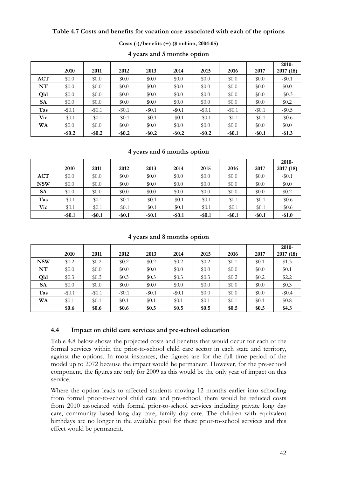#### **Table 4.7 Costs and benefits for vacation care associated with each of the options**

| Costs $(-)/$ benefits $(+)$ (\$ million, 2004-05) |  |
|---------------------------------------------------|--|
|---------------------------------------------------|--|

|            |           |           |           |           |           |         |         |         | $2010 -$  |
|------------|-----------|-----------|-----------|-----------|-----------|---------|---------|---------|-----------|
|            | 2010      | 2011      | 2012      | 2013      | 2014      | 2015    | 2016    | 2017    | 2017 (18) |
| <b>ACT</b> | \$0.0     | \$0.0     | \$0.0     | \$0.0     | \$0.0     | \$0.0   | \$0.0   | \$0.0   | $-10.1$   |
| NT         | \$0.0     | \$0.0     | \$0.0     | \$0.0     | \$0.0     | \$0.0   | \$0.0   | \$0.0   | \$0.0     |
| Qld        | \$0.0     | \$0.0     | \$0.0     | \$0.0     | \$0.0     | \$0.0   | \$0.0   | \$0.0   | $-\$0.3$  |
| SA         | \$0.0     | \$0.0     | \$0.0     | \$0.0     | \$0.0     | \$0.0   | \$0.0   | \$0.0   | \$0.2     |
| Tas        | $-$0.1$   | $-\$0.1$  | $-\$0.1$  | $-10.1$   | $-$0.1$   | $-10.1$ | $-$0.1$ | $-10.1$ | $-10.5$   |
| <b>Vic</b> | $-$0.1$   | $-\$0.1$  | $-10.1$   | $-10.1$   | $-10.1$   | $-10.1$ | $-10.1$ | $-10.1$ | $-\$0.6$  |
| WA         | \$0.0     | \$0.0     | \$0.0     | \$0.0     | \$0.0     | \$0.0   | \$0.0   | \$0.0   | \$0.0     |
|            | $-$ \$0.2 | $-$ \$0.2 | $-$ \$0.2 | $-$ \$0.2 | $-$ \$0.2 | $-$0.2$ | $-$0.1$ | $-$0.1$ | $-$1.3$   |

# **4 years and 5 months option**

#### **4 years and 6 months option**

|            | 2010     | 2011      | 2012      | 2013    | 2014     | 2015    | 2016    | 2017    | $2010 -$<br>2017 (18) |
|------------|----------|-----------|-----------|---------|----------|---------|---------|---------|-----------------------|
| ACT        | \$0.0    | \$0.0     | \$0.0     | \$0.0   | \$0.0    | \$0.0   | \$0.0   | \$0.0   | $-$0.1$               |
| <b>NSW</b> | \$0.0    | \$0.0     | \$0.0     | \$0.0   | \$0.0    | \$0.0   | \$0.0   | \$0.0   | \$0.0                 |
| <b>SA</b>  | \$0.0    | \$0.0     | \$0.0     | \$0.0   | \$0.0    | \$0.0   | \$0.0   | \$0.0   | \$0.2                 |
| Tas        | $-\$0.1$ | $-\$0.1$  | $-\$0.1$  | $-10.1$ | $-\$0.1$ | $-$0.1$ | $-$0.1$ | $-10.1$ | $-\$0.6$              |
| <b>Vic</b> | $-$0.1$  | $-$0.1$   | $-10.1$   | $-10.1$ | $-$0.1$  | $-$0.1$ | $-10.1$ | $-10.1$ | $-\$0.6$              |
|            | $-$0.1$  | $-$ \$0.1 | $-$ \$0.1 | $-$0.1$ | $-$0.1$  | $-$0.1$ | $-$0.1$ | $-$0.1$ | $-$1.0$               |

#### **4 years and 8 months option**

|            | 2010     | 2011    | 2012     | 2013    | 2014    | 2015    | 2016    | 2017    | $2010 -$<br>2017 (18) |
|------------|----------|---------|----------|---------|---------|---------|---------|---------|-----------------------|
| <b>NSW</b> | \$0.2\$  | \$0.2   | \$0.2\$  | \$0.2\$ | \$0.2   | \$0.2\$ | \$0.1   | \$0.1   | \$1.3                 |
| NT         | \$0.0    | \$0.0   | \$0.0    | \$0.0   | \$0.0   | \$0.0   | \$0.0   | \$0.0   | \$0.1                 |
| Qld        | \$0.3\$  | \$0.3\$ | \$0.3    | \$0.3\$ | \$0.3   | \$0.3\$ | \$0.2\$ | \$0.2\$ | \$2.2                 |
| <b>SA</b>  | \$0.0    | \$0.0   | \$0.0    | \$0.0   | \$0.0   | \$0.0   | \$0.0   | \$0.0   | \$0.3                 |
| Tas        | $-\$0.1$ | $-$0.1$ | $-\$0.1$ | $-$0.1$ | $-$0.1$ | \$0.0   | \$0.0   | \$0.0   | $-\$0.4$              |
| WA         | \$0.1    | \$0.1   | \$0.1    | \$0.1   | \$0.1   | \$0.1   | \$0.1   | \$0.1   | \$0.8\$               |
|            | \$0.6    | \$0.6   | \$0.6    | \$0.5   | \$0.5   | \$0.5   | \$0.5   | \$0.5   | \$4.3                 |

#### **4.4 Impact on child care services and pre-school education**

Table 4.8 below shows the projected costs and benefits that would occur for each of the formal services within the prior-to-school child care sector in each state and territory, against the options. In most instances, the figures are for the full time period of the model up to 2072 because the impact would be permanent. However, for the pre-school component, the figures are only for 2009 as this would be the only year of impact on this service.

Where the option leads to affected students moving 12 months earlier into schooling from formal prior-to-school child care and pre-school, there would be reduced costs from 2010 associated with formal prior-to-school services including private long day care, community based long day care, family day care. The children with equivalent birthdays are no longer in the available pool for these prior-to-school services and this effect would be permanent.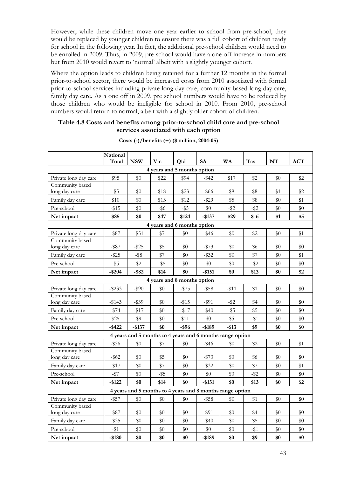However, while these children move one year earlier to school from pre-school, they would be replaced by younger children to ensure there was a full cohort of children ready for school in the following year. In fact, the additional pre-school children would need to be enrolled in 2009. Thus, in 2009, pre-school would have a one off increase in numbers but from 2010 would revert to 'normal' albeit with a slightly younger cohort.

Where the option leads to children being retained for a further 12 months in the formal prior-to-school sector, there would be increased costs from 2010 associated with formal prior-to-school services including private long day care, community based long day care, family day care. As a one off in 2009, pre school numbers would have to be reduced by those children who would be ineligible for school in 2010. From 2010, pre-school numbers would return to normal, albeit with a slightly older cohort of children.

### **Table 4.8 Costs and benefits among prior-to-school child care and pre-school services associated with each option**

|                                  | National<br>Total | <b>NSW</b> | <b>Vic</b> | Qld                                                       | <b>SA</b> | <b>WA</b> | Tas     | NT    | ACT   |
|----------------------------------|-------------------|------------|------------|-----------------------------------------------------------|-----------|-----------|---------|-------|-------|
|                                  |                   |            |            | 4 years and 5 months option                               |           |           |         |       |       |
| Private long day care            | \$95              | \$0        | \$22       | \$94                                                      | $-$ \$42  | \$17      | \$2     | \$0   | \$2   |
| Community based                  |                   |            |            |                                                           |           |           |         |       |       |
| long day care                    | $-$ \$5           | \$0        | \$18       | \$23                                                      | $-$ \$66  | \$9       | \$8     | \$1   | \$2   |
| Family day care                  | \$10              | \$0        | \$13       | \$12                                                      | $-$ \$29  | \$5       | \$8     | $\$0$ | \$1   |
| Pre-school                       | $-$ \$15          | \$0        | $-$ \$6    | $-$ \$5                                                   | \$0       | $-$ \$2   | $-$ \$2 | \$0   | \$0   |
| Net impact                       | \$85              | \$0        | \$47       | \$124                                                     | $-$137$   | \$29      | \$16    | \$1   | \$5   |
| 4 years and 6 months option      |                   |            |            |                                                           |           |           |         |       |       |
| Private long day care            | $-$ \$87          | $-$ \$51   | \$7        | \$0                                                       | $-$ \$46  | \$0       | \$2     | \$0   | \$1   |
| Community based                  |                   |            |            |                                                           |           |           |         |       |       |
| long day care                    | $-$ \$87          | $-$ \$25   | \$5        | \$0                                                       | $- $73$   | \$0       | \$6     | \$0   | $\$0$ |
| Family day care                  | $-$ \$25          | $-$ \$8    | \$7        | $\$0$                                                     | $-$ \$32  | \$0       | \$7     | \$0   | \$1   |
| Pre-school                       | $-$ \$5           | \$2        | $-$ \$5    | \$0                                                       | \$0       | \$0       | $-$ \$2 | \$0   | \$0   |
| Net impact                       | $-$ \$204         | $-$ \$82   | \$14       | \$0                                                       | $-$151$   | \$0       | \$13    | \$0   | \$2   |
| 4 years and 8 months option      |                   |            |            |                                                           |           |           |         |       |       |
| Private long day care            | $-$ \$233         | $-$ \$90   | \$0        | $-$ \$75                                                  | -\$58     | $-$ \$11  | \$1     | \$0   | $\$0$ |
| Community based                  |                   |            |            |                                                           |           |           |         |       |       |
| long day care                    | $-$ \$143         | $-$ \$39   | \$0        | $- $15$                                                   | $-$ \$91  | $-$ \$2   | \$4     | \$0   | \$0   |
| Family day care                  | $-$ \$74          | $-$ \$17   | \$0        | $-$ \$17                                                  | $-$ \$40  | $-$ \$5   | \$5     | \$0   | \$0   |
| Pre-school                       | \$25              | \$9        | $\$0$      | \$11                                                      | \$0       | \$5       | $-11$   | \$0   | \$0   |
| Net impact                       | $-$ \$422         | $-$137$    | \$0        | $-$ \$96                                                  | $-$189$   | $-$ \$13  | \$9     | \$0   | \$0   |
|                                  |                   |            |            | 4 years and 5 months to 4 years and 6 months range option |           |           |         |       |       |
| Private long day care            | $-$ \$36          | \$0        | \$7        | $\$0$                                                     | $-$ \$46  | \$0       | \$2     | \$0   | \$1   |
| Community based<br>long day care | -\$62             | \$0        | \$5        | \$0                                                       | $-1573$   | \$0       | \$6     | \$0   | $\$0$ |
| Family day care                  | $-117$            | \$0        | \$7        | $\$0$                                                     | $-$ \$32  | \$0       | \$7     | \$0   | \$1   |
| Pre-school                       | $-$ \$7           | \$0        | $-$ \$5    | $\$0$                                                     | $\$0$     | \$0       | $-$ \$2 | \$0   | \$0   |
| Net impact                       | $-$122$           | \$0        | \$14       | \$0                                                       | $-$ \$151 | \$0       | \$13    | \$0   | \$2   |
|                                  |                   |            |            | 4 years and 5 months to 4 years and 8 months range option |           |           |         |       |       |
| Private long day care            | $-$ \$57          | \$0        | \$0        | \$0                                                       | $-$ \$58  | \$0       | \$1     | \$0   | \$0   |
| Community based                  |                   |            |            |                                                           |           |           |         |       |       |
| long day care                    | $-$ \$87          | \$0        | \$0        | \$0                                                       | $-$ \$91  | \$0       | \$4     | $\$0$ | \$0   |
| Family day care                  | $-$ \$35          | \$0        | $\$0$      | $\$0$                                                     | $-$ \$40  | \$0       | \$5     | \$0   | \$0   |
| Pre-school                       | $-$ \$1           | $\$0$      | \$0        | $\$0$                                                     | \$0       | \$0       | $-$ \$1 | \$0   | \$0   |
| Net impact                       | $-$180$           | \$0        | \$0        | \$0                                                       | $-$ \$189 | \$0       | \$9     | \$0   | \$0   |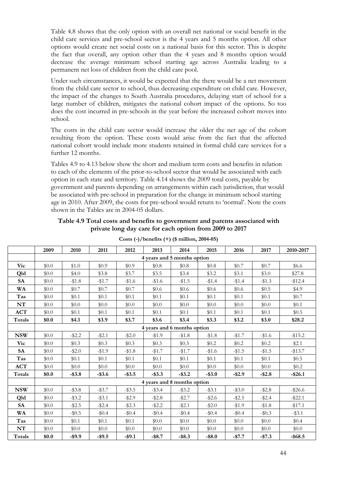Table 4.8 shows that the only option with an overall net national or social benefit in the child care services and pre-school sector is the 4 years and 5 months option. All other options would create net social costs on a national basis for this sector. This is despite the fact that overall, any option other than the 4 years and 8 months option would decrease the average minimum school starting age across Australia leading to a permanent net loss of children from the child care pool.

Under such circumstances, it would be expected that the there would be a net movement from the child care sector to school, thus decreasing expenditure on child care. However, the impact of the changes to South Australia procedures, delaying start of school for a large number of children, mitigates the national cohort impact of the options. So too does the cost incurred in pre-schools in the year before the increased cohort moves into school.

The costs in the child care sector would increase the older the net age of the cohort resulting from the option. These costs would arise from the fact that the affected national cohort would include more students retained in formal child care services for a further 12 months.

Tables 4.9 to 4.13 below show the short and medium term costs and benefits in relation to each of the elements of the prior-to-school sector that would be associated with each option in each state and territory. Table 4.14 shows the 2009 total costs, payable by government and parents depending on arrangements within each jurisdiction, that would be associated with pre-school in preparation for the change in minimum school starting age in 2010. After 2009, the costs for pre-school would return to 'normal'. Note the costs shown in the Tables are in 2004-05 dollars.

|            | 2009                        | 2010      | 2011      | 2012      | 2013                        | 2014      | 2015      | 2016      | 2017      | 2010-2017  |  |  |
|------------|-----------------------------|-----------|-----------|-----------|-----------------------------|-----------|-----------|-----------|-----------|------------|--|--|
|            |                             |           |           |           | 4 years and 5 months option |           |           |           |           |            |  |  |
| <b>Vic</b> | \$0.0                       | \$1.0     | \$0.9     | \$0.9     | \$0.8\$                     | \$0.8     | \$0.8\$   | \$0.7     | \$0.7     | \$6.6      |  |  |
| Old        | \$0.0                       | \$4.0     | \$3.8     | \$3.7     | \$3.5                       | \$3.4     | \$3.2     | \$3.1     | \$3.0     | \$27.8     |  |  |
| <b>SA</b>  | \$0.0                       | $-1.8$    | $-1.7$    | $-1.6$    | $-1.6$                      | $-1.5$    | $-1.4$    | $-1.4$    | $-13.3$   | $-12.4$    |  |  |
| <b>WA</b>  | \$0.0                       | \$0.7     | \$0.7     | \$0.7     | \$0.6                       | \$0.6     | \$0.6     | \$0.6     | \$0.5     | \$4.9      |  |  |
| Tas        | \$0.0                       | \$0.1     | \$0.1     | \$0.1     | \$0.1                       | \$0.1     | \$0.1     | \$0.1     | \$0.1     | \$0.7      |  |  |
| NT         | \$0.0                       | \$0.0     | \$0.0     | \$0.0     | \$0.0                       | \$0.0     | \$0.0     | \$0.0     | \$0.0     | \$0.1      |  |  |
| <b>ACT</b> | \$0.0                       | \$0.1     | \$0.1     | \$0.1     | \$0.1                       | \$0.1     | \$0.1     | \$0.1     | \$0.1     | \$0.5      |  |  |
| Totals     | \$0.0                       | \$4.1     | \$3.9     | \$3.7     | \$3.6                       | \$3.4     | \$3.3     | \$3.2     | \$3.0     | \$28.2     |  |  |
|            | 4 years and 6 months option |           |           |           |                             |           |           |           |           |            |  |  |
| <b>NSW</b> | \$0.0                       | $-$ \$2.2 | $- $2.1$  | $-$ \$2.0 | $-1.9$                      | $-1.8$    | $- $1.8$  | $-1.7$    | $-\$1.6$  | $-15.2$    |  |  |
| <b>Vic</b> | \$0.0                       | \$0.3     | \$0.3     | \$0.3     | \$0.3                       | \$0.3     | \$0.2\$   | \$0.2\$   | \$0.2\$   | \$2.1      |  |  |
| <b>SA</b>  | \$0.0                       | $-$ \$2.0 | $-1.9$    | $-\$1.8$  | $-11.7$                     | $-11.7$   | $-1.6$    | $-1.5$    | $-1.5$    | $-$13.7$   |  |  |
| Tas        | \$0.0                       | \$0.1     | \$0.1     | \$0.1     | \$0.1                       | \$0.1     | \$0.1     | \$0.1     | \$0.1     | \$0.5      |  |  |
| ACT        | \$0.0                       | \$0.0     | \$0.0     | \$0.0     | \$0.0                       | \$0.0     | \$0.0     | \$0.0     | \$0.0     | \$0.2\$    |  |  |
| Totals     | \$0.0                       | $-$ \$3.8 | $-$ \$3.6 | $-$ \$3.5 | $-$ \$3.3                   | $-$ \$3.2 | $-$ \$3.0 | $-$ \$2.9 | $-$2.8$   | $-$26.1$   |  |  |
|            |                             |           |           |           | 4 years and 8 months option |           |           |           |           |            |  |  |
| <b>NSW</b> | \$0.0                       | $-$ \$3.8 | $-$ \$3.7 | $-$ \$3.5 | $-$ \$3.4                   | $-$ \$3.2 | $-$ \$3.1 | $-$ \$3.0 | $-$ \$2.8 | $-$ \$26.6 |  |  |
| Qld        | \$0.0                       | $-$ \$3.2 | $-$ \$3.1 | $-$ \$2.9 | $-$ \$2.8                   | $-132.7$  | $-$ \$2.6 | $-$ \$2.5 | $-$ \$2.4 | $-$ \$22.1 |  |  |
| <b>SA</b>  | \$0.0                       | $-$ \$2.5 | $-\$2.4$  | $-$ \$2.3 | $-$ \$2.2                   | $-$ \$2.1 | $-$ \$2.0 | $-1.9$    | $-1.8$    | $-$17.1$   |  |  |
| WA         | \$0.0                       | $-10.5$   | $-\$0.4$  | $-10.4$   | $-\$0.4$                    | $-\$0.4$  | $-10.4$   | $-\$0.4$  | $-10.3$   | $-$ \$3.1  |  |  |
| Tas        | \$0.0\$                     | \$0.1     | \$0.1     | \$0.1     | \$0.0                       | \$0.0     | \$0.0     | \$0.0     | \$0.0     | \$0.4      |  |  |
| NT         | \$0.0                       | \$0.0     | \$0.0     | \$0.0     | \$0.0                       | \$0.0     | \$0.0     | \$0.0     | \$0.0     | \$0.0      |  |  |
| Totals     | \$0.0                       | $-$ \$9.9 | $-$ \$9.5 | $-$ \$9.1 | $-$ \$8.7                   | $-$ \$8.3 | $-$ \$8.0 | $-$7.7$   | $-$7.3$   | $-$ \$68.5 |  |  |

**Table 4.9 Total costs and benefits to government and parents associated with private long day care for each option from 2009 to 2017** 

| Costs $(-)/$ benefits $(+)$ (\$ million, 2004-05) |  |
|---------------------------------------------------|--|
|---------------------------------------------------|--|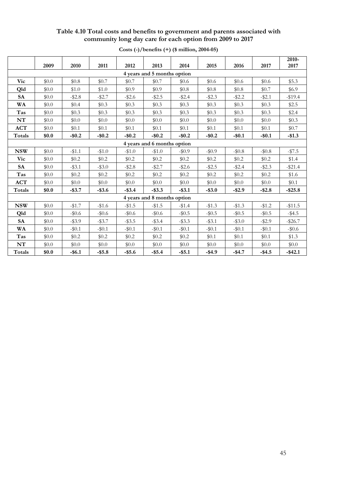### **Table 4.10 Total costs and benefits to government and parents associated with community long day care for each option from 2009 to 2017**

|                             | 2009  | 2010      | 2011      | 2012      | 2013                        | 2014      | 2015      | 2016      | 2017      | 2010-<br>2017 |
|-----------------------------|-------|-----------|-----------|-----------|-----------------------------|-----------|-----------|-----------|-----------|---------------|
|                             |       |           |           |           | 4 years and 5 months option |           |           |           |           |               |
| Vic                         | \$0.0 | \$0.8     | \$0.7     | \$0.7     | \$0.7                       | \$0.6     | \$0.6     | \$0.6     | \$0.6     | \$5.3         |
| Qld                         | \$0.0 | \$1.0     | \$1.0     | \$0.9     | \$0.9                       | \$0.8\$   | \$0.8\$   | \$0.8\$   | \$0.7     | \$6.9         |
| <b>SA</b>                   | \$0.0 | $- $2.8$  | $-$ \$2.7 | $-$2.6$   | $-$2.5$                     | $-$ \$2.4 | $-$ \$2.3 | $-$ \$2.2 | $-$ \$2.1 | $-$19.4$      |
| <b>WA</b>                   | \$0.0 | \$0.4     | \$0.3     | \$0.3     | \$0.3                       | \$0.3     | \$0.3     | \$0.3\$   | \$0.3\$   | \$2.5         |
| Tas                         | \$0.0 | \$0.3\$   | \$0.3     | \$0.3     | \$0.3                       | \$0.3     | \$0.3\$   | \$0.3\$   | \$0.3     | \$2.4         |
| NT                          | \$0.0 | \$0.0     | \$0.0     | \$0.0     | \$0.0                       | \$0.0     | \$0.0     | \$0.0     | \$0.0     | \$0.3         |
| ACT                         | \$0.0 | \$0.1     | \$0.1     | \$0.1     | \$0.1                       | \$0.1     | \$0.1     | \$0.1     | \$0.1     | \$0.7         |
| Totals                      | \$0.0 | $-$ \$0.2 | $-$ \$0.2 | $-$ \$0.2 | $-$ \$0.2                   | $-$ \$0.2 | $-$ \$0.2 | $-$0.1$   | $-$ \$0.1 | $-$1.3$       |
| 4 years and 6 months option |       |           |           |           |                             |           |           |           |           |               |
| <b>NSW</b>                  | \$0.0 | $-$1.1$   | $-1.0$    | $-$1.0$   | $-1.0$                      | $-10.9$   | $-\$0.9$  | $-\$0.8$  | $-\$0.8$  | $-157.5$      |
| Vic                         | \$0.0 | \$0.2\$   | \$0.2     | \$0.2     | \$0.2\$                     | \$0.2\$   | \$0.2\$   | \$0.2\$   | \$0.2     | \$1.4         |
| <b>SA</b>                   | \$0.0 | $-$ \$3.1 | $-$ \$3.0 | $-$ \$2.8 | $-$ \$2.7                   | $- $2.6$  | $-$ \$2.5 | $-$ \$2.4 | $-$ \$2.3 | $-$ \$21.4    |
| Tas                         | \$0.0 | \$0.2\$   | \$0.2\$   | \$0.2\$   | \$0.2\$                     | \$0.2\$   | \$0.2\$   | \$0.2\$   | \$0.2\$   | \$1.6         |
| <b>ACT</b>                  | \$0.0 | \$0.0     | \$0.0     | \$0.0     | \$0.0                       | \$0.0     | \$0.0     | \$0.0     | \$0.0     | \$0.1         |
| Totals                      | \$0.0 | $-$ \$3.7 | $-$ \$3.6 | $-$ \$3.4 | $-$ \$3.3                   | $-$ \$3.1 | $-$ \$3.0 | $-$ \$2.9 | $-$ \$2.8 | $-$ \$25.8    |
|                             |       |           |           |           | 4 years and 8 months option |           |           |           |           |               |
| <b>NSW</b>                  | \$0.0 | $-1.7$    | $-1.6$    | $-1.5$    | $-1.5$                      | $-1.4$    | $-1.3$    | $-1.3$    | $-1.2$    | $-$11.5$      |
| Qld                         | \$0.0 | $-$ \$0.6 | $-\$0.6$  | $-\$0.6$  | $-\$0.6$                    | $-\$0.5$  | $-\$0.5$  | $-\$0.5$  | $-\$0.5$  | $-$ \$4.5     |
| <b>SA</b>                   | \$0.0 | $-$ \$3.9 | $-$ \$3.7 | $-$ \$3.5 | $-$ \$3.4                   | $-$ \$3.3 | $-$ \$3.1 | $-$ \$3.0 | $-$ \$2.9 | $-$ \$26.7    |
| WA                          | \$0.0 | $-$ \$0.1 | $-$0.1$   | $-$0.1$   | $-$0.1$                     | $-$ \$0.1 | $-\$0.1$  | $-\$0.1$  | $-$0.1$   | $-\$0.6$      |
| Tas                         | \$0.0 | \$0.2\$   | \$0.2\$   | \$0.2\$   | \$0.2\$                     | \$0.2\$   | \$0.1     | \$0.1     | \$0.1     | \$1.3         |
| NT                          | \$0.0 | \$0.0     | \$0.0     | \$0.0     | \$0.0                       | \$0.0     | \$0.0     | \$0.0     | \$0.0     | \$0.0         |
| Totals                      | \$0.0 | $-$ \$6.1 | $- $5.8$  | $-$ \$5.6 | $-$ \$5.4                   | $-$ \$5.1 | $-$ \$4.9 | $-$ \$4.7 | $-$ \$4.5 | $-$ \$42.1    |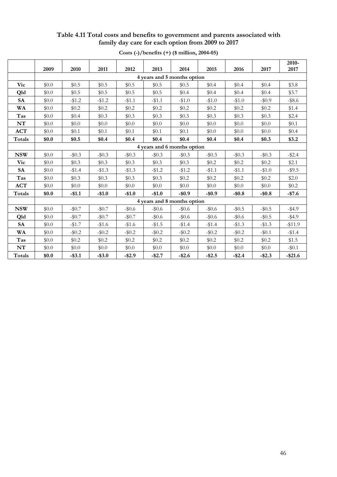### **Table 4.11 Total costs and benefits to government and parents associated with family day care for each option from 2009 to 2017**

|               | 2009    | 2010                        | 2011      | 2012      | 2013      | 2014                        | 2015      | 2016     | 2017      | 2010-<br>2017 |  |  |
|---------------|---------|-----------------------------|-----------|-----------|-----------|-----------------------------|-----------|----------|-----------|---------------|--|--|
|               |         |                             |           |           |           | 4 years and 5 months option |           |          |           |               |  |  |
|               |         |                             |           |           |           |                             | \$0.4     |          |           |               |  |  |
| <b>Vic</b>    | \$0.0   | \$0.5                       | \$0.5     | \$0.5     | \$0.5     | \$0.5                       |           | \$0.4    | \$0.4     | \$3.8         |  |  |
| Qld           | \$0.0   | \$0.5                       | \$0.5     | \$0.5     | \$0.5     | \$0.4                       | \$0.4     | \$0.4    | \$0.4     | \$3.7         |  |  |
| <b>SA</b>     | \$0.0   | $-1.2$                      | $-1.2$    | $-$1.1$   | $-1.1$    | $-$1.0$                     | $-1.0$    | $-1.0$   | $-\$0.9$  | $-$ \$8.6     |  |  |
| <b>WA</b>     | \$0.0   | \$0.2\$                     | $\$0.2$   | \$0.2\$   | \$0.2\$   | \$0.2\$                     | \$0.2\$   | \$0.2\$  | \$0.2\$   | \$1.4         |  |  |
| Tas           | \$0.0   | \$0.4\$                     | \$0.3\$   | \$0.3\$   | \$0.3\$   | \$0.3\$                     | \$0.3\$   | \$0.3    | \$0.3\$   | \$2.4         |  |  |
| NT            | \$0.0   | \$0.0                       | \$0.0     | \$0.0     | \$0.0     | \$0.0                       | \$0.0     | \$0.0    | \$0.0     | \$0.1         |  |  |
| <b>ACT</b>    | \$0.0   | \$0.1                       | \$0.1     | \$0.1     | \$0.1     | \$0.1                       | \$0.0     | \$0.0    | \$0.0     | \$0.4         |  |  |
| Totals        | \$0.0   | \$0.5                       | \$0.4     | \$0.4     | \$0.4     | \$0.4                       | \$0.4     | \$0.4    | \$0.3     | \$3.2         |  |  |
|               |         | 4 years and 6 months option |           |           |           |                             |           |          |           |               |  |  |
| <b>NSW</b>    | \$0.0   | $-\$0.3$                    | $-\$0.3$  | $-\$0.3$  | $-\$0.3$  | $-\$0.3$                    | $-\$0.3$  | $-\$0.3$ | $-\$0.3$  | $-2.4$        |  |  |
| <b>Vic</b>    | \$0.0   | \$0.3                       | \$0.3\$   | \$0.3     | \$0.3     | \$0.3                       | \$0.2\$   | \$0.2\$  | \$0.2     | \$2.1         |  |  |
| <b>SA</b>     | \$0.0\$ | $-$1.4$                     | $-1.3$    | $-1.3$    | $-1.2$    | $-\$1.2$                    | $-11.1$   | $-$1.1$  | $-1.0$    | $-$ \$9.5     |  |  |
| Tas           | \$0.0   | \$0.3\$                     | \$0.3     | \$0.3     | \$0.3     | \$0.2                       | \$0.2\$   | \$0.2\$  | \$0.2\$   | \$2.0         |  |  |
| <b>ACT</b>    | \$0.0   | \$0.0                       | \$0.0     | \$0.0     | \$0.0     | \$0.0                       | \$0.0     | \$0.0    | \$0.0     | \$0.2\$       |  |  |
| <b>Totals</b> | \$0.0   | $-$1.1$                     | $-$1.0$   | $-$1.0$   | $-$1.0$   | $-$ \$0.9                   | $-$ \$0.9 | $-$0.8$  | $-$ \$0.8 | $-$7.6$       |  |  |
|               |         |                             |           |           |           | 4 years and 8 months option |           |          |           |               |  |  |
| <b>NSW</b>    | \$0.0   | $-\$0.7$                    | $-\$0.7$  | $-\$0.6$  | $-\$0.6$  | $-\$0.6$                    | $-\$0.6$  | $-\$0.5$ | $-$ \$0.5 | $-$ \$4.9     |  |  |
| Qld           | \$0.0   | $-\$0.7$                    | $-$0.7$   | $-$0.7$   | $-\$0.6$  | $-\$0.6$                    | $-\$0.6$  | $-\$0.6$ | $-\$0.5$  | $-$ \$4.9     |  |  |
| <b>SA</b>     | \$0.0   | $-1.7$                      | $-\$1.6$  | $-1.6$    | $-1.5$    | $-$1.4$                     | $-$1.4$   | $-$1.3$  | $-1.3$    | $-$11.9$      |  |  |
| <b>WA</b>     | \$0.0   | $-\$0.2$                    | $-\$0.2$  | $-\$0.2$  | $-$0.2$   | $-\$0.2$                    | $-$0.2$   | $-\$0.2$ | $-$0.1$   | $-1.4$        |  |  |
| Tas           | \$0.0   | \$0.2\$                     | \$0.2\$   | \$0.2\$   | \$0.2\$   | \$0.2\$                     | \$0.2\$   | \$0.2\$  | \$0.2     | \$1.5         |  |  |
| NT            | \$0.0   | \$0.0                       | \$0.0     | \$0.0     | \$0.0     | \$0.0                       | \$0.0     | \$0.0    | \$0.0     | $-$ \$0.1     |  |  |
| Totals        | \$0.0   | $-$ \$3.1                   | $-$ \$3.0 | $-$ \$2.9 | $-$ \$2.7 | $-$ \$2.6                   | $-$ \$2.5 | $-$2.4$  | $-$ \$2.3 | $-$ \$21.6    |  |  |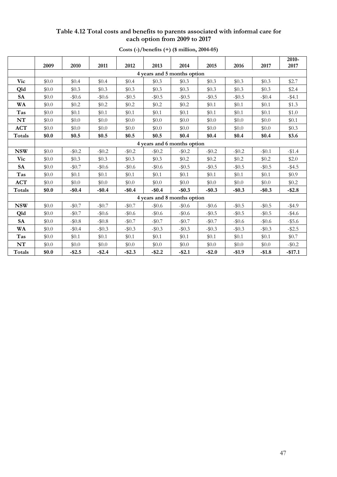### **Table 4.12 Total costs and benefits to parents associated with informal care for each option from 2009 to 2017**

|               | 2009                        | 2010      | 2011      | 2012      | 2013      | 2014                        | 2015      | 2016      | 2017      | 2010-<br>2017 |  |
|---------------|-----------------------------|-----------|-----------|-----------|-----------|-----------------------------|-----------|-----------|-----------|---------------|--|
|               |                             |           |           |           |           | 4 years and 5 months option |           |           |           |               |  |
| Vic           | \$0.0                       | \$0.4     | \$0.4     | \$0.4     | \$0.3     | \$0.3                       | \$0.3     | \$0.3     | \$0.3     | \$2.7         |  |
| Qld           | \$0.0                       | \$0.3     | \$0.3     | \$0.3     | \$0.3     | \$0.3                       | \$0.3     | \$0.3     | \$0.3     | \$2.4         |  |
| <b>SA</b>     | \$0.0                       | $-\$0.6$  | $-\$0.6$  | $-$0.5$   | $-$ \$0.5 | $-$ \$0.5                   | $-$0.5$   | $-$0.5$   | $-\$0.4$  | $-$ \$4.1     |  |
| <b>WA</b>     | \$0.0                       | \$0.2\$   | \$0.2\$   | \$0.2     | \$0.2\$   | \$0.2\$                     | \$0.1     | \$0.1     | \$0.1     | \$1.3         |  |
| Tas           | \$0.0                       | \$0.1     | \$0.1     | \$0.1     | \$0.1     | \$0.1                       | \$0.1     | \$0.1     | \$0.1     | \$1.0         |  |
| NT            | \$0.0                       | \$0.0     | \$0.0     | \$0.0     | \$0.0     | \$0.0                       | \$0.0     | \$0.0     | \$0.0     | \$0.1         |  |
| ACT           | \$0.0                       | \$0.0     | \$0.0     | \$0.0     | \$0.0     | \$0.0                       | \$0.0     | \$0.0     | \$0.0     | \$0.3         |  |
| <b>Totals</b> | \$0.0                       | \$0.5     | \$0.5     | \$0.5     | \$0.5     | \$0.4                       | \$0.4     | \$0.4     | \$0.4     | \$3.6         |  |
|               | 4 years and 6 months option |           |           |           |           |                             |           |           |           |               |  |
| <b>NSW</b>    | \$0.0                       | $-\$0.2$  | $-\$0.2$  | $-$0.2$   | $-$0.2$   | $-10.2$                     | $-\$0.2$  | $-\$0.2$  | $-$0.1$   | $-$1.4$       |  |
| Vic           | \$0.0                       | \$0.3     | \$0.3     | \$0.3     | \$0.3     | \$0.2                       | \$0.2\$   | \$0.2\$   | \$0.2     | \$2.0         |  |
| ${\bf SA}$    | \$0.0                       | $-$0.7$   | $-\$0.6$  | $-\$0.6$  | $-\$0.6$  | $-$0.5$                     | $-\$0.5$  | $-$0.5$   | $-$ \$0.5 | $-$ \$4.5     |  |
| Tas           | \$0.0                       | \$0.1     | \$0.1     | \$0.1     | \$0.1     | \$0.1                       | \$0.1     | \$0.1     | \$0.1     | \$0.9         |  |
| <b>ACT</b>    | \$0.0                       | \$0.0     | \$0.0     | \$0.0     | \$0.0     | \$0.0                       | \$0.0     | \$0.0     | \$0.0     | \$0.2\$       |  |
| Totals        | \$0.0                       | $-$ \$0.4 | $-$ \$0.4 | $-$0.4$   | $-$ \$0.4 | $-$ \$0.3                   | $-$ \$0.3 | $-$ \$0.3 | $-$ \$0.3 | $-$ \$2.8     |  |
|               |                             |           |           |           |           | 4 years and 8 months option |           |           |           |               |  |
| <b>NSW</b>    | \$0.0                       | $-\$0.7$  | $-\$0.7$  | $-$0.7$   | $-\$0.6$  | $-\$0.6$                    | $-\$0.6$  | $-\$0.5$  | $-\$0.5$  | $-$ \$4.9     |  |
| Qld           | \$0.0                       | $-\$0.7$  | $-\$0.6$  | $-\$0.6$  | $-\$0.6$  | $-\$0.6$                    | $-\$0.5$  | $-\$0.5$  | $-\$0.5$  | $-$ \$4.6     |  |
| <b>SA</b>     | \$0.0                       | $-\$0.8$  | $-$ \$0.8 | $-$0.7$   | $-$0.7$   | $-\$0.7$                    | $-\$0.7$  | $-\$0.6$  | $-\$0.6$  | $-$ \$5.6     |  |
| WA            | \$0.0                       | $-\$0.4$  | $-\$0.3$  | $-\$0.3$  | $-\$0.3$  | $-$ \$0.3                   | $-\$0.3$  | $-\$0.3$  | $-\$0.3$  | $-2.5$        |  |
| Tas           | \$0.0                       | \$0.1     | \$0.1     | \$0.1     | \$0.1     | \$0.1                       | \$0.1     | \$0.1     | \$0.1     | \$0.7         |  |
| NT            | \$0.0                       | \$0.0     | \$0.0     | \$0.0     | \$0.0     | \$0.0                       | \$0.0     | \$0.0     | \$0.0     | $-$0.2$       |  |
| Totals        | \$0.0                       | $-$ \$2.5 | $-$ \$2.4 | $-$ \$2.3 | $-$ \$2.2 | $-$ \$2.1                   | $-$ \$2.0 | $-$1.9$   | $-$1.8$   | $-$17.1$      |  |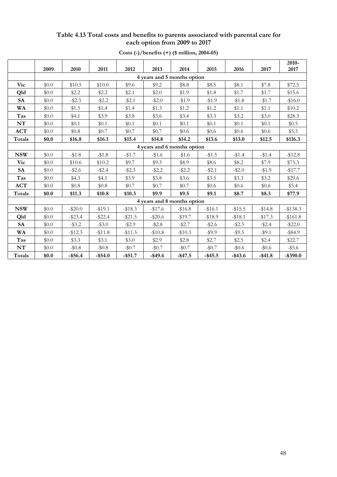# **Table 4.13 Total costs and benefits to parents associated with parental care for each option from 2009 to 2017**

|            |                             |            |            |            |            |                             |            |            |            | 2010-       |
|------------|-----------------------------|------------|------------|------------|------------|-----------------------------|------------|------------|------------|-------------|
|            | 2009                        | 2010       | 2011       | 2012       | 2013       | 2014                        | 2015       | 2016       | 2017       | 2017        |
|            | 4 years and 5 months option |            |            |            |            |                             |            |            |            |             |
| Vic        | \$0.0                       | \$10.5     | \$10.0     | \$9.6      | \$9.2      | \$8.8                       | \$8.5      | \$8.1      | \$7.8      | \$72.5      |
| Qld        | \$0.0                       | \$2.2      | \$2.2      | \$2.1      | \$2.0      | \$1.9                       | \$1.8      | \$1.7      | \$1.7      | \$15.6      |
| <b>SA</b>  | \$0.0                       | $-$ \$2.3  | $-$ \$2.2  | $-$ \$2.1  | $-$ \$2.0  | $-1.9$                      | $-1.9$     | $- $1.8$   | $-1.7$     | $-$16.0$    |
| WA         | \$0.0                       | \$1.5      | \$1.4      | \$1.4      | \$1.3      | \$1.2                       | \$1.2      | \$1.1      | \$1.1      | \$10.2      |
| Tas        | \$0.0                       | \$4.1      | \$3.9      | \$3.8      | \$3.6      | \$3.4                       | \$3.3      | \$3.2      | \$3.0      | \$28.3      |
| NT         | \$0.0                       | \$0.1      | \$0.1      | \$0.1      | \$0.1      | \$0.1                       | \$0.1      | \$0.1      | \$0.1      | \$0.5       |
| <b>ACT</b> | \$0.0                       | \$0.8\$    | \$0.7      | \$0.7      | \$0.7      | \$0.6                       | \$0.6      | \$0.6      | \$0.6      | \$5.3       |
| Totals     | \$0.0                       | \$16.8     | \$16.1     | \$15.4     | \$14.8     | \$14.2                      | \$13.6     | \$13.0     | \$12.5     | \$116.3     |
|            | 4 years and 6 months option |            |            |            |            |                             |            |            |            |             |
| <b>NSW</b> | \$0.0                       | $-1.8$     | $- $1.8$   | $-1.7$     | $-\$1.6$   | $-$1.6$                     | $-$1.5$    | $-1.4$     | $-$1.4$    | $-$12.8$    |
| Vic        | \$0.0                       | \$10.6     | \$10.2     | \$9.7      | \$9.3      | \$8.9                       | \$8.6      | \$8.2      | \$7.9      | \$73.3      |
| <b>SA</b>  | \$0.0                       | $-$ \$2.6  | $-$ \$2.4  | $-$ \$2.3  | $-$ \$2.2  | $-2.2$                      | $-$ \$2.1  | $-$ \$2.0  | $-1.9$     | $-$17.7$    |
| Tas        | \$0.0                       | \$4.3      | \$4.1      | \$3.9      | \$3.8      | \$3.6                       | \$3.5      | \$3.3      | \$3.2      | \$29.6      |
| <b>ACT</b> | \$0.0                       | \$0.8\$    | \$0.8\$    | \$0.7      | \$0.7      | \$0.7                       | \$0.6      | \$0.6      | \$0.6      | \$5.4       |
| Totals     | \$0.0                       | \$11.3     | \$10.8     | \$10.3     | \$9.9      | \$9.5                       | \$9.1      | \$8.7      | \$8.3      | \$77.9      |
|            |                             |            |            |            |            | 4 years and 8 months option |            |            |            |             |
| <b>NSW</b> | \$0.0                       | $-\$20.0$  | $-19.1$    | $-$18.3$   | $-$17.6$   | $-$16.8$                    | $-$16.1$   | $-$15.5$   | $-$14.8$   | $-$138.3$   |
| Qld        | \$0.0                       | $-$ \$23.4 | $-$ \$22.4 | $-$ \$21.5 | $-$ \$20.6 | $-$19.7$                    | $- $18.9$  | $- $18.1$  | $-$ \$17.3 | $-$161.8$   |
| <b>SA</b>  | \$0.0                       | $-$ \$3.2  | $-$ \$3.0  | $-$ \$2.9  | $-$ \$2.8  | $-$ \$2.7                   | $- $2.6$   | $-$ \$2.5  | $-$ \$2.4  | $-$ \$22.0  |
| WA         | \$0.0                       | $-$12.3$   | $- $11.8$  | $-$ \$11.3 | $- $10.8$  | $-$10.3$                    | $-$ \$9.9  | $-$ \$9.5  | $-$ \$9.1  | $-$ \$84.9  |
| Tas        | \$0.0                       | \$3.3      | \$3.1      | \$3.0      | \$2.9      | \$2.8                       | \$2.7      | \$2.5      | \$2.4      | \$22.7      |
| $\bf NT$   | \$0.0                       | $-$0.8$    | $-\$0.8$   | $-\$0.7$   | $-10.7$    | $-10.7$                     | $-10.7$    | $-\$0.6$   | $-\$0.6$   | $-$ \$5.6   |
| Totals     | \$0.0                       | $-$ \$56.4 | $-$ \$54.0 | $-$ \$51.7 | $-$ \$49.6 | $-$ \$47.5                  | $-$ \$45.5 | $-$ \$43.6 | $-$ \$41.8 | $-$ \$390.0 |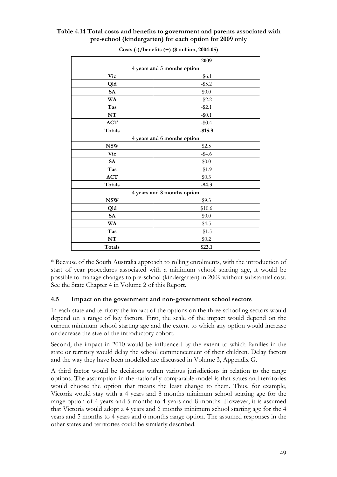## **Table 4.14 Total costs and benefits to government and parents associated with pre-school (kindergarten) for each option for 2009 only**

|               | 2009                        |
|---------------|-----------------------------|
|               | 4 years and 5 months option |
| <b>Vic</b>    | $-$ \$6.1                   |
| Qld           | $-$ \$5.2                   |
| <b>SA</b>     | \$0.0                       |
| WA            | $-$ \$2.2                   |
| Tas           | $-$ \$2.1                   |
| NT            | $-10.1$                     |
| <b>ACT</b>    | $-\$0.4$                    |
| Totals        | $-$15.9$                    |
|               | 4 years and 6 months option |
| <b>NSW</b>    | \$2.5                       |
| <b>Vic</b>    | $-$4.6$                     |
| <b>SA</b>     | \$0.0                       |
| Tas           | $-1.9$                      |
| <b>ACT</b>    | \$0.3                       |
| <b>Totals</b> | $-$ \$4.3                   |
|               | 4 years and 8 months option |
| <b>NSW</b>    | \$9.3                       |
| Qld           | \$10.6                      |
| <b>SA</b>     | \$0.0                       |
| WA            | \$4.5                       |
| Tas           | $-1.5$                      |
| NT            | \$0.2                       |
| Totals        | \$23.1                      |

**Costs (-)/benefits (+) (\$ million, 2004-05)** 

\* Because of the South Australia approach to rolling enrolments, with the introduction of start of year procedures associated with a minimum school starting age, it would be possible to manage changes to pre-school (kindergarten) in 2009 without substantial cost. See the State Chapter 4 in Volume 2 of this Report.

### **4.5 Impact on the government and non-government school sectors**

In each state and territory the impact of the options on the three schooling sectors would depend on a range of key factors. First, the scale of the impact would depend on the current minimum school starting age and the extent to which any option would increase or decrease the size of the introductory cohort.

Second, the impact in 2010 would be influenced by the extent to which families in the state or territory would delay the school commencement of their children. Delay factors and the way they have been modelled are discussed in Volume 3, Appendix G.

A third factor would be decisions within various jurisdictions in relation to the range options. The assumption in the nationally comparable model is that states and territories would choose the option that means the least change to them. Thus, for example, Victoria would stay with a 4 years and 8 months minimum school starting age for the range option of 4 years and 5 months to 4 years and 8 months. However, it is assumed that Victoria would adopt a 4 years and 6 months minimum school starting age for the 4 years and 5 months to 4 years and 6 months range option. The assumed responses in the other states and territories could be similarly described.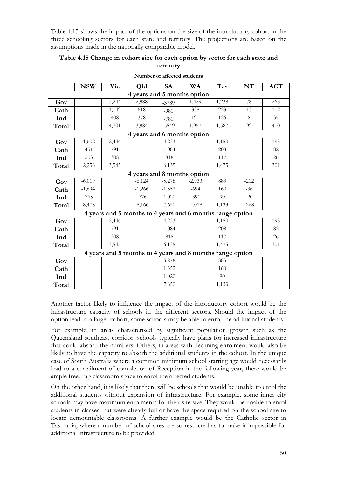Table 4.15 shows the impact of the options on the size of the introductory cohort in the three schooling sectors for each state and territory. The projections are based on the assumptions made in the nationally comparable model.

### **Table 4.15 Change in cohort size for each option by sector for each state and territory**

|                                                           | <b>NSW</b> | <b>Vic</b> | Qld      | <b>SA</b> | <b>WA</b> | Tas   | NT     | <b>ACT</b> |  |
|-----------------------------------------------------------|------------|------------|----------|-----------|-----------|-------|--------|------------|--|
| 4 years and 5 months option                               |            |            |          |           |           |       |        |            |  |
| Gov                                                       |            | 3,244      | 2,988    | $-3789$   | 1,429     | 1,238 | 78     | 263        |  |
| Cath                                                      |            | 1,049      | 618      | $-980$    | 338       | 223   | 13     | 112        |  |
| Ind                                                       |            | 408        | 378      | $-780$    | 190       | 126   | 8      | 35         |  |
| Total                                                     |            | 4,701      | 3,984    | $-5549$   | 1,957     | 1,587 | 99     | 410        |  |
| 4 years and 6 months option                               |            |            |          |           |           |       |        |            |  |
| Gov                                                       | $-1,602$   | 2,446      |          | $-4,233$  |           | 1,150 |        | 193        |  |
| Cath                                                      | $-451$     | 791        |          | $-1,084$  |           | 208   |        | 82         |  |
| Ind                                                       | $-203$     | 308        |          | $-818$    |           | 117   |        | 26         |  |
| Total                                                     | $-2,256$   | 3,545      |          | $-6,135$  |           | 1,475 |        | 301        |  |
| 4 years and 8 months option                               |            |            |          |           |           |       |        |            |  |
| Gov                                                       | $-6,019$   |            | $-6,124$ | $-5,278$  | $-2,933$  | 883   | $-212$ |            |  |
| Cath                                                      | $-1,694$   |            | $-1,266$ | $-1,352$  | $-694$    | 160   | $-36$  |            |  |
| Ind                                                       | $-765$     |            | $-776$   | $-1,020$  | $-391$    | 90    | $-20$  |            |  |
| Total                                                     | $-8,478$   |            | $-8,166$ | $-7,650$  | $-4,018$  | 1,133 | $-268$ |            |  |
| 4 years and 5 months to 4 years and 6 months range option |            |            |          |           |           |       |        |            |  |
| Gov                                                       |            | 2,446      |          | $-4,233$  |           | 1,150 |        | 193        |  |
| Cath                                                      |            | 791        |          | $-1,084$  |           | 208   |        | 82         |  |
| Ind                                                       |            | 308        |          | $-818$    |           | 117   |        | 26         |  |
| Total                                                     |            | 3,545      |          | $-6,135$  |           | 1,475 |        | 301        |  |
| 4 years and 5 months to 4 years and 8 months range option |            |            |          |           |           |       |        |            |  |
| Gov                                                       |            |            |          | $-5,278$  |           | 883   |        |            |  |
| Cath                                                      |            |            |          | $-1,352$  |           | 160   |        |            |  |
| Ind                                                       |            |            |          | $-1,020$  |           | 90    |        |            |  |
| Total                                                     |            |            |          | $-7,650$  |           | 1,133 |        |            |  |

**Number of affected students** 

Another factor likely to influence the impact of the introductory cohort would be the infrastructure capacity of schools in the different sectors. Should the impact of the option lead to a larger cohort, some schools may be able to enrol the additional students.

For example, in areas characterised by significant population growth such as the Queensland southeast corridor, schools typically have plans for increased infrastructure that could absorb the numbers. Others, in areas with declining enrolment would also be likely to have the capacity to absorb the additional students in the cohort. In the unique case of South Australia where a common minimum school starting age would necessarily lead to a curtailment of completion of Reception in the following year, there would be ample freed-up classroom space to enrol the affected students.

On the other hand, it is likely that there will be schools that would be unable to enrol the additional students without expansion of infrastructure. For example, some inner city schools may have maximum enrolments for their site size. They would be unable to enrol students in classes that were already full or have the space required on the school site to locate demountable classrooms. A further example would be the Catholic sector in Tasmania, where a number of school sites are so restricted as to make it impossible for additional infrastructure to be provided.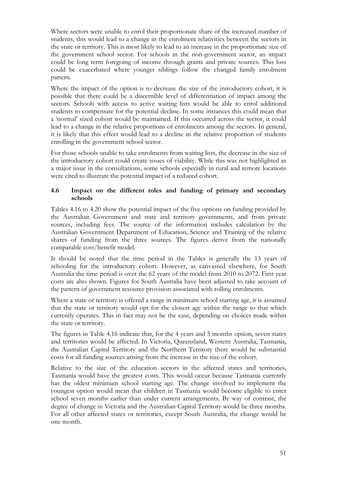Where sectors were unable to enrol their proportionate share of the increased number of students, this would lead to a change in the enrolment relativities between the sectors in the state or territory. This is most likely to lead to an increase in the proportionate size of the government school sector. For schools in the non-government sector, an impact could be long term foregoing of income through grants and private sources. This loss could be exacerbated where younger siblings follow the changed family enrolment pattern.

Where the impact of the option is to decrease the size of the introductory cohort, it is possible that there could be a discernible level of differentiation of impact among the sectors. Schools with access to active waiting lists would be able to enrol additional students to compensate for the potential decline. In some instances this could mean that a 'normal' sized cohort would be maintained. If this occurred across the sector, it could lead to a change in the relative proportions of enrolments among the sectors. In general, it is likely that this effect would lead to a decline in the relative proportion of students enrolling in the government school sector.

For those schools unable to take enrolments from waiting lists, the decrease in the size of the introductory cohort could create issues of viability. While this was not highlighted as a major issue in the consultations, some schools especially in rural and remote locations were cited to illustrate the potential impact of a reduced cohort.

# **4.6 Impact on the different roles and funding of primary and secondary schools**

Tables 4.16 to 4.20 show the potential impact of the five options on funding provided by the Australian Government and state and territory governments, and from private sources, including fees. The source of the information includes calculation by the Australian Government Department of Education, Science and Training of the relative shares of funding from the three sources. The figures derive from the nationally comparable cost/benefit model.

It should be noted that the time period in the Tables is generally the 13 years of schooling for the introductory cohort. However, as canvassed elsewhere, for South Australia the time period is over the 62 years of the model from 2010 to 2072. First year costs are also shown. Figures for South Australia have been adjusted to take account of the pattern of government resource provision associated with rolling enrolments.

Where a state or territory is offered a range in minimum school starting age, it is assumed that the state or territory would opt for the closest age within the range to that which currently operates. This in fact may not be the case, depending on choices made within the state or territory.

The figures in Table 4.16 indicate that, for the 4 years and 5 months option, seven states and territories would be affected. In Victoria, Queensland, Western Australia, Tasmania, the Australian Capital Territory and the Northern Territory there would be substantial costs for all funding sources arising from the increase in the size of the cohort.

Relative to the size of the education sectors in the affected states and territories, Tasmania would have the greatest costs. This would occur because Tasmania currently has the oldest minimum school starting age. The change involved to implement the youngest option would mean that children in Tasmania would become eligible to enter school seven months earlier than under current arrangements. By way of contrast, the degree of change in Victoria and the Australian Capital Territory would be three months. For all other affected states or territories, except South Australia, the change would be one month.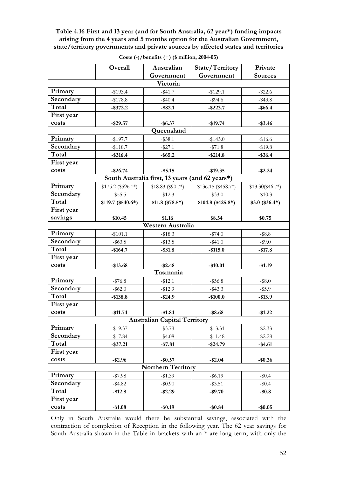**Table 4.16 First and 13 year (and for South Australia, 62 year\*) funding impacts arising from the 4 years and 5 months option for the Australian Government, state/territory governments and private sources by affected states and territories** 

|                                     | Overall            | Australian                                      | State/Territory     | Private           |  |  |  |  |  |
|-------------------------------------|--------------------|-------------------------------------------------|---------------------|-------------------|--|--|--|--|--|
|                                     |                    | Government                                      | Government          | <b>Sources</b>    |  |  |  |  |  |
| Victoria                            |                    |                                                 |                     |                   |  |  |  |  |  |
| Primary                             | $-$193.4$          | $-$ \$41.7                                      | $-$129.1$           | $-$ \$22.6        |  |  |  |  |  |
| Secondary                           | $-$178.8$          | $-$ \$40.4                                      | $-$ \$94.6          | $-$ \$43.8        |  |  |  |  |  |
| Total                               | $-$ \$372.2        | $-$ \$82.1                                      | $-$ \$223.7         | $-$ \$66.4        |  |  |  |  |  |
| First year                          |                    |                                                 |                     |                   |  |  |  |  |  |
| costs                               | $-$ \$29.57        | $-$ \$6.37                                      | $-$19.74$           | $-$ \$3.46        |  |  |  |  |  |
| Queensland                          |                    |                                                 |                     |                   |  |  |  |  |  |
| Primary                             | $-$197.7$          | $-$ \$38.1                                      | $-$143.0$           | $-$16.6$          |  |  |  |  |  |
| Secondary                           | $-$ \$118.7        | $-$ \$27.1                                      | $- $71.8$           | $-$19.8$          |  |  |  |  |  |
| Total                               | $-$ \$316.4        | $-$ \$65.2                                      | $-$ \$214.8         | $-$ \$36.4        |  |  |  |  |  |
| First year                          |                    |                                                 |                     |                   |  |  |  |  |  |
| costs                               | $-$26.74$          | $-$ \$5.15                                      | $-$19.35$           | $-$ \$2.24        |  |  |  |  |  |
|                                     |                    | South Australia first, 13 years (and 62 years*) |                     |                   |  |  |  |  |  |
| Primary                             | $$175.2 ($596.1*)$ | $$18.83 ($90.7*)$                               | $$136.15 ($458.7*)$ | $$13.30 ($46.7*)$ |  |  |  |  |  |
| Secondary                           | $-$ \$55.5         | $-12.3$                                         | $-$ \$33.0          | $-$10.3$          |  |  |  |  |  |
| Total                               | $$119.7 ($540.6*)$ | $$11.8$ (\$78.5*)                               | $$104.8 ($425.8*)$  | $$3.0$ (\$36.4*)  |  |  |  |  |  |
| First year                          |                    |                                                 |                     |                   |  |  |  |  |  |
| savings                             | \$10.45            | \$1.16                                          | \$8.54              | \$0.75            |  |  |  |  |  |
|                                     |                    | Western Australia                               |                     |                   |  |  |  |  |  |
| Primary                             | $-$101.1$          | $-$ \$18.3                                      | $-$ \$74.0          | $-$ \$8.8         |  |  |  |  |  |
| Secondary                           | $-$ \$63.5         | $-$13.5$                                        | $-$ \$41.0          | $-$ \$9.0         |  |  |  |  |  |
| Total                               | $-$164.7$          | $-$ \$31.8                                      | $-$115.0$           | $-$17.8$          |  |  |  |  |  |
| First year                          |                    |                                                 |                     |                   |  |  |  |  |  |
| costs                               | $-$13.68$          | $-$ \$2.48                                      | $-$10.01$           | $-$1.19$          |  |  |  |  |  |
|                                     |                    | Tasmania                                        |                     |                   |  |  |  |  |  |
| Primary                             | $-1576.8$          | $-$12.1$                                        | $-$ \$56.8          | $-$ \$8.0         |  |  |  |  |  |
| Secondary                           | $-$ \$62.0         | $-12.9$                                         | $-$ \$43.3          | $-$ \$5.9         |  |  |  |  |  |
| Total                               | $-$138.8$          | $-$ \$24.9                                      | $-$100.0$           | $-$13.9$          |  |  |  |  |  |
| First year                          |                    |                                                 |                     |                   |  |  |  |  |  |
| costs                               | $-$11.74$          | $-$1.84$                                        | $-$ \$8.68          | $-$1.22$          |  |  |  |  |  |
| <b>Australian Capital Territory</b> |                    |                                                 |                     |                   |  |  |  |  |  |
| Primary                             | $-$19.37$          | $-$ \$3.73                                      | $-$ \$13.31         | $-$ \$2.33        |  |  |  |  |  |
| Secondary                           | $-$ \$17.84        | $- $4.08$                                       | $-$11.48$           | $-$ \$2.28        |  |  |  |  |  |
| Total                               | $-$ \$37.21        | $- $7.81$                                       | $-$24.79$           | $-$4.61$          |  |  |  |  |  |
| First year                          |                    |                                                 |                     |                   |  |  |  |  |  |
| costs                               | $-$ \$2.96         | $-$0.57$                                        | $-$2.04$            | $-$0.36$          |  |  |  |  |  |
| <b>Northern Territory</b>           |                    |                                                 |                     |                   |  |  |  |  |  |
| Primary                             | $- $7.98$          | $-$1.39$                                        | $-$ \$6.19          | $-\$0.4$          |  |  |  |  |  |
| Secondary                           | $-$ \$4.82         | $-$ \$0.90                                      | $-$ \$3.51          | $-10.4$           |  |  |  |  |  |
| Total                               | $-$12.8$           | $-$ \$2.29                                      | $-$9.70$            | $-$ \$0.8         |  |  |  |  |  |
| First year                          |                    |                                                 |                     |                   |  |  |  |  |  |
| costs                               | $-$1.08$           | $-$0.19$                                        | $-$0.84$            | $-$0.05$          |  |  |  |  |  |

**Costs (-)/benefits (+) (\$ million, 2004-05)** 

Only in South Australia would there be substantial savings, associated with the contraction of completion of Reception in the following year. The 62 year savings for South Australia shown in the Table in brackets with an \* are long term, with only the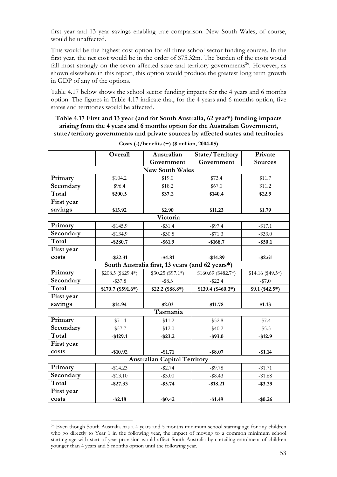first year and 13 year savings enabling true comparison. New South Wales, of course, would be unaffected.

This would be the highest cost option for all three school sector funding sources. In the first year, the net cost would be in the order of \$75.32m. The burden of the costs would fall most strongly on the seven affected state and territory governments<sup>26</sup>. However, as shown elsewhere in this report, this option would produce the greatest long term growth in GDP of any of the options.

Table 4.17 below shows the school sector funding impacts for the 4 years and 6 months option. The figures in Table 4.17 indicate that, for the 4 years and 6 months option, five states and territories would be affected.

**Table 4.17 First and 13 year (and for South Australia, 62 year\*) funding impacts arising from the 4 years and 6 months option for the Australian Government, state/territory governments and private sources by affected states and territories** 

|                        | Overall            | Australian                                      | <b>State/Territory</b> | Private           |  |  |  |  |
|------------------------|--------------------|-------------------------------------------------|------------------------|-------------------|--|--|--|--|
|                        |                    | Government                                      | Government             | <b>Sources</b>    |  |  |  |  |
| <b>New South Wales</b> |                    |                                                 |                        |                   |  |  |  |  |
| Primary                | \$104.2            | \$19.0                                          | \$73.4                 | \$11.7            |  |  |  |  |
| Secondary              | \$96.4             | \$18.2                                          | \$67.0                 | \$11.2            |  |  |  |  |
| Total                  | \$200.5            | \$37.2                                          | \$140.4                | \$22.9            |  |  |  |  |
| First year             |                    |                                                 |                        |                   |  |  |  |  |
| savings                | \$15.92            | \$2.90                                          | \$11.23                | \$1.79            |  |  |  |  |
|                        |                    | Victoria                                        |                        |                   |  |  |  |  |
| Primary                | $-$145.9$          | $-$ \$31.4                                      | $-$ \$97.4             | $-$17.1$          |  |  |  |  |
| Secondary              | $-\$134.9$         | $-$ \$30.5                                      | $- $71.3$              | $-$ \$33.0        |  |  |  |  |
| Total                  | $-$ \$280.7        | $-$ \$61.9                                      | $-$168.7$              | $-$ \$50.1        |  |  |  |  |
| First year             |                    |                                                 |                        |                   |  |  |  |  |
| costs                  | $-$ \$22.31        | $-$4.81$                                        | $-$14.89$              | $-$ \$2.61        |  |  |  |  |
|                        |                    | South Australia first, 13 years (and 62 years*) |                        |                   |  |  |  |  |
| Primary                | $$208.5 ($629.4*)$ | $$30.25 ($97.1*)$                               | $$160.69$ (\$482.7*)   | $$14.16 ($49.5*)$ |  |  |  |  |
| Secondary              | $-$ \$37.8         | $-$ \$8.3                                       | $-$ \$22.4             | $-$7.0$           |  |  |  |  |
| Total                  | $$170.7 ($591.6*)$ | $$22.2$ (\$88.8*)                               | \$139.4 (\$460.3*)     | $$9.1 ($42.5*)$   |  |  |  |  |
| First year             |                    |                                                 |                        |                   |  |  |  |  |
| savings                | \$14.94            | \$2.03                                          | \$11.78                | \$1.13            |  |  |  |  |
|                        |                    | Tasmania                                        |                        |                   |  |  |  |  |
| Primary                | $-$ \$71.4         | $-11.2$                                         | $-$ \$52.8             | $-157.4$          |  |  |  |  |
| Secondary              | $-$ \$57.7         | $-$12.0$                                        | $-$ \$40.2             | $-$ \$5.5         |  |  |  |  |
| Total                  | $-$129.1$          | $-$ \$23.2                                      | $-$ \$93.0             | $-$12.9$          |  |  |  |  |
| First year             |                    |                                                 |                        |                   |  |  |  |  |
| costs                  | $-$10.92$          | $-$1.71$                                        | $-$ \$8.07             | $-$1.14$          |  |  |  |  |
|                        |                    | <b>Australian Capital Territory</b>             |                        |                   |  |  |  |  |
| Primary                | $-$14.23$          | $-$ \$2.74                                      | $-$ \$9.78             | $-$1.71$          |  |  |  |  |
| Secondary              | $-$13.10$          | $-$ \$3.00                                      | $-$ \$8.43             | $-$1.68$          |  |  |  |  |
| Total                  | $-$ \$27.33        | $-$ \$5.74                                      | $-$18.21$              | $-$ \$3.39        |  |  |  |  |
| First year             |                    |                                                 |                        |                   |  |  |  |  |
| costs                  | $-$ \$2.18         | $-$0.42$                                        | $-$1.49$               | $-$0.26$          |  |  |  |  |

**Costs (-)/benefits (+) (\$ million, 2004-05)** 

 $\overline{a}$ 

<sup>26</sup> Even though South Australia has a 4 years and 5 months minimum school starting age for any children who go directly to Year 1 in the following year, the impact of moving to a common minimum school starting age with start of year provision would affect South Australia by curtailing enrolment of children younger than 4 years and 5 months option until the following year.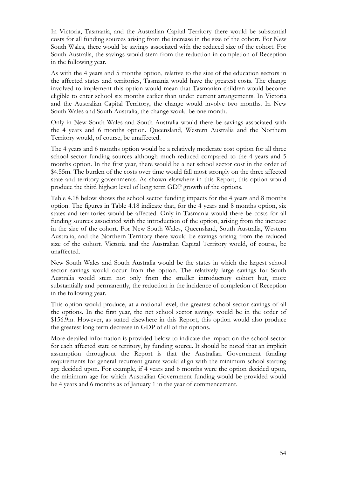In Victoria, Tasmania, and the Australian Capital Territory there would be substantial costs for all funding sources arising from the increase in the size of the cohort. For New South Wales, there would be savings associated with the reduced size of the cohort. For South Australia, the savings would stem from the reduction in completion of Reception in the following year.

As with the 4 years and 5 months option, relative to the size of the education sectors in the affected states and territories, Tasmania would have the greatest costs. The change involved to implement this option would mean that Tasmanian children would become eligible to enter school six months earlier than under current arrangements. In Victoria and the Australian Capital Territory, the change would involve two months. In New South Wales and South Australia, the change would be one month.

Only in New South Wales and South Australia would there be savings associated with the 4 years and 6 months option. Queensland, Western Australia and the Northern Territory would, of course, be unaffected.

The 4 years and 6 months option would be a relatively moderate cost option for all three school sector funding sources although much reduced compared to the 4 years and 5 months option. In the first year, there would be a net school sector cost in the order of \$4.55m. The burden of the costs over time would fall most strongly on the three affected state and territory governments. As shown elsewhere in this Report, this option would produce the third highest level of long term GDP growth of the options.

Table 4.18 below shows the school sector funding impacts for the 4 years and 8 months option. The figures in Table 4.18 indicate that, for the 4 years and 8 months option, six states and territories would be affected. Only in Tasmania would there be costs for all funding sources associated with the introduction of the option, arising from the increase in the size of the cohort. For New South Wales, Queensland, South Australia, Western Australia, and the Northern Territory there would be savings arising from the reduced size of the cohort. Victoria and the Australian Capital Territory would, of course, be unaffected.

New South Wales and South Australia would be the states in which the largest school sector savings would occur from the option. The relatively large savings for South Australia would stem not only from the smaller introductory cohort but, more substantially and permanently, the reduction in the incidence of completion of Reception in the following year.

This option would produce, at a national level, the greatest school sector savings of all the options. In the first year, the net school sector savings would be in the order of \$156.9m. However, as stated elsewhere in this Report, this option would also produce the greatest long term decrease in GDP of all of the options.

More detailed information is provided below to indicate the impact on the school sector for each affected state or territory, by funding source. It should be noted that an implicit assumption throughout the Report is that the Australian Government funding requirements for general recurrent grants would align with the minimum school starting age decided upon. For example, if 4 years and 6 months were the option decided upon, the minimum age for which Australian Government funding would be provided would be 4 years and 6 months as of January 1 in the year of commencement.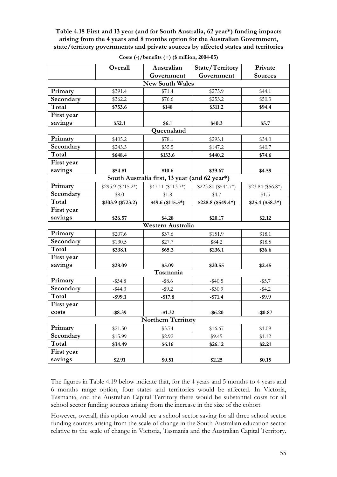**Table 4.18 First and 13 year (and for South Australia, 62 year\*) funding impacts arising from the 4 years and 8 months option for the Australian Government, state/territory governments and private sources by affected states and territories** 

|            | Overall                | Australian                                    | State/Territory     | Private           |  |  |  |  |  |
|------------|------------------------|-----------------------------------------------|---------------------|-------------------|--|--|--|--|--|
|            |                        | Government                                    | Government          | <b>Sources</b>    |  |  |  |  |  |
|            | <b>New South Wales</b> |                                               |                     |                   |  |  |  |  |  |
| Primary    | \$391.4                | \$71.4                                        | \$275.9             | \$44.1            |  |  |  |  |  |
| Secondary  | \$362.2                | \$76.6                                        | \$253.2             | \$50.3            |  |  |  |  |  |
| Total      | \$753.6                | \$148                                         | \$511.2             | \$94.4            |  |  |  |  |  |
| First year |                        |                                               |                     |                   |  |  |  |  |  |
| savings    | \$52.1                 | \$6.1                                         | \$40.3              | \$5.7             |  |  |  |  |  |
|            |                        | Queensland                                    |                     |                   |  |  |  |  |  |
| Primary    | \$405.2                | \$78.1                                        | \$293.1             | \$34.0            |  |  |  |  |  |
| Secondary  | \$243.3                | \$55.5                                        | \$147.2             | \$40.7            |  |  |  |  |  |
| Total      | \$648.4                | \$133.6                                       | \$440.2             | \$74.6            |  |  |  |  |  |
| First year |                        |                                               |                     |                   |  |  |  |  |  |
| savings    | \$54.81                | \$10.6                                        | \$39.67             | \$4.59            |  |  |  |  |  |
|            |                        | South Australia first, 13 year (and 62 year*) |                     |                   |  |  |  |  |  |
| Primary    | \$295.9 (\$715.2*)     | $$47.11 ($113.7*)$                            | \$223.80 (\$544.7*) | $$23.84 ($56.8*)$ |  |  |  |  |  |
| Secondary  | \$8.0                  | \$1.8                                         | \$4.7               | \$1.5             |  |  |  |  |  |
| Total      | \$303.9 (\$723.2)      | \$49.6 (\$115.5*)                             | \$228.8 (\$549.4*)  | $$25.4 ($58.3*)$  |  |  |  |  |  |
| First year |                        |                                               |                     |                   |  |  |  |  |  |
| savings    | \$26.57                | \$4.28                                        | \$20.17             | \$2.12            |  |  |  |  |  |
|            |                        | Western Australia                             |                     |                   |  |  |  |  |  |
| Primary    | \$207.6                | \$37.6                                        | \$151.9             | \$18.1            |  |  |  |  |  |
| Secondary  | \$130.5                | \$27.7                                        | \$84.2              | \$18.5            |  |  |  |  |  |
| Total      | \$338.1                | \$65.3                                        | \$236.1             | \$36.6            |  |  |  |  |  |
| First year |                        |                                               |                     |                   |  |  |  |  |  |
| savings    | \$28.09                | \$5.09                                        | \$20.55             | \$2.45            |  |  |  |  |  |
|            |                        | Tasmania                                      |                     |                   |  |  |  |  |  |
| Primary    | $-$ \$54.8             | $-$ \$8.6                                     | $-$ \$40.5          | $-$ \$5.7         |  |  |  |  |  |
| Secondary  | $-$ \$44.3             | $-$ \$9.2                                     | $-$ \$30.9          | $-$ \$4.2         |  |  |  |  |  |
| Total      | $-$ \$99.1             | $-$17.8$                                      | $-$71.4$            | $-$ \$9.9         |  |  |  |  |  |
| First year |                        |                                               |                     |                   |  |  |  |  |  |
| costs      | $-$ \$8.39             | $-$1.32$                                      | $-$ \$6.20          | $-$0.87$          |  |  |  |  |  |
|            |                        | <b>Northern Territory</b>                     |                     |                   |  |  |  |  |  |
| Primary    | \$21.50                | \$3.74                                        | \$16.67             | \$1.09            |  |  |  |  |  |
| Secondary  | \$15.99                | \$2.92                                        | \$9.45              | \$1.12            |  |  |  |  |  |
| Total      | \$34.49                | \$6.16                                        | \$26.12             | \$2.21            |  |  |  |  |  |
| First year |                        |                                               |                     |                   |  |  |  |  |  |
| savings    | \$2.91                 | \$0.51                                        | \$2.25              | \$0.15            |  |  |  |  |  |

**Costs (-)/benefits (+) (\$ million, 2004-05)** 

The figures in Table 4.19 below indicate that, for the 4 years and 5 months to 4 years and 6 months range option, four states and territories would be affected. In Victoria, Tasmania, and the Australian Capital Territory there would be substantial costs for all school sector funding sources arising from the increase in the size of the cohort.

However, overall, this option would see a school sector saving for all three school sector funding sources arising from the scale of change in the South Australian education sector relative to the scale of change in Victoria, Tasmania and the Australian Capital Territory.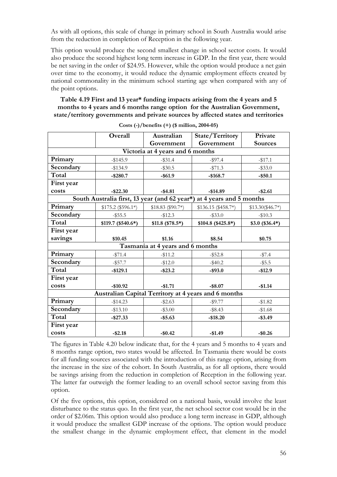As with all options, this scale of change in primary school in South Australia would arise from the reduction in completion of Reception in the following year.

This option would produce the second smallest change in school sector costs. It would also produce the second highest long term increase in GDP. In the first year, there would be net saving in the order of \$24.95. However, while the option would produce a net gain over time to the economy, it would reduce the dynamic employment effects created by national commonality in the minimum school starting age when compared with any of the point options.

**Table 4.19 First and 13 year\* funding impacts arising from the 4 years and 5 months to 4 years and 6 months range option for the Australian Government, state/territory governments and private sources by affected states and territories** 

|                                  | Overall<br>Australian                         |                                  | State/Territory                                      | Private           |  |  |  |  |
|----------------------------------|-----------------------------------------------|----------------------------------|------------------------------------------------------|-------------------|--|--|--|--|
|                                  |                                               | Government                       | Government                                           | <b>Sources</b>    |  |  |  |  |
| Victoria at 4 years and 6 months |                                               |                                  |                                                      |                   |  |  |  |  |
| Primary                          | $-$145.9$                                     | $-$ \$31.4                       | $-$17.1$<br>$-$ \$97.4                               |                   |  |  |  |  |
| Secondary                        | $-$134.9$                                     | $-$ \$30.5                       | $-1571.3$                                            | $-$ \$33.0        |  |  |  |  |
| Total                            | $-$ \$280.7                                   | $-$ \$61.9                       | $-$168.7$                                            | $-$ \$50.1        |  |  |  |  |
| First year                       |                                               |                                  |                                                      |                   |  |  |  |  |
| costs                            | $-$ \$22.30                                   | $-$ \$4.81                       | $-$14.89$                                            | $-$ \$2.61        |  |  |  |  |
|                                  | South Australia first, 13 year (and 62 year*) |                                  | at 4 years and 5 months                              |                   |  |  |  |  |
| Primary                          | $$175.2 ($596.1*)$                            | $$18.83 ($90.7*)$                | $$136.15 ($458.7*)$                                  | $$13.30 ($46.7*)$ |  |  |  |  |
| Secondary                        | $-$ \$55.5                                    | $-$12.3$                         | $-$ \$33.0                                           | $-$10.3$          |  |  |  |  |
| Total                            | $$119.7 ($540.6*)$                            | $$11.8$ (\$78.5*)                | $$104.8 ($425.8*)$                                   | $$3.0$ (\$36.4*)  |  |  |  |  |
| First year                       |                                               |                                  |                                                      |                   |  |  |  |  |
| savings                          | \$10.45                                       | \$1.16                           | \$8.54                                               | \$0.75            |  |  |  |  |
|                                  |                                               | Tasmania at 4 years and 6 months |                                                      |                   |  |  |  |  |
| Primary                          | $- $71.4$                                     | $-$11.2$                         | $-$ \$52.8                                           | $-157.4$          |  |  |  |  |
| Secondary                        | $-$ \$57.7                                    | $-$12.0$                         | $-$ \$40.2                                           | $-$ \$5.5         |  |  |  |  |
| Total                            | $-$129.1$                                     | $-$ \$23.2                       | $-$ \$93.0                                           | $-$12.9$          |  |  |  |  |
| First year                       |                                               |                                  |                                                      |                   |  |  |  |  |
| costs                            | $-$10.92$                                     | $-$1.71$                         | $-$ \$8.07                                           | $-$1.14$          |  |  |  |  |
|                                  |                                               |                                  | Australian Capital Territory at 4 years and 6 months |                   |  |  |  |  |
| Primary                          | $-$14.23$                                     | $-$ \$2.63                       | $-$ \$9.77                                           | $-$1.82$          |  |  |  |  |
| Secondary                        | $-$13.10$                                     | $-$ \$3.00                       | $-$ \$8.43                                           | $-$1.68$          |  |  |  |  |
| Total                            | $-$ \$27.33                                   | $-$ \$5.63                       | $-$18.20$                                            | $-$ \$3.49        |  |  |  |  |
| First year                       |                                               |                                  |                                                      |                   |  |  |  |  |
| costs                            | $-$ \$2.18                                    | $-$0.42$                         | $-$1.49$                                             | $-$0.26$          |  |  |  |  |

**Costs (-)/benefits (+) (\$ million, 2004-05)** 

The figures in Table 4.20 below indicate that, for the 4 years and 5 months to 4 years and 8 months range option, two states would be affected. In Tasmania there would be costs for all funding sources associated with the introduction of this range option, arising from the increase in the size of the cohort. In South Australia, as for all options, there would be savings arising from the reduction in completion of Reception in the following year. The latter far outweigh the former leading to an overall school sector saving from this option.

Of the five options, this option, considered on a national basis, would involve the least disturbance to the status quo. In the first year, the net school sector cost would be in the order of \$2.06m. This option would also produce a long term increase in GDP, although it would produce the smallest GDP increase of the options. The option would produce the smallest change in the dynamic employment effect, that element in the model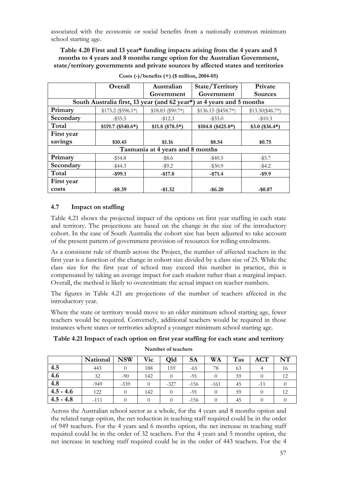associated with the economic or social benefits from a nationally common minimum school starting age.

**Table 4.20 First and 13 year\* funding impacts arising from the 4 years and 5 months to 4 years and 8 months range option for the Australian Government, state/territory governments and private sources by affected states and territories** 

|                                                                          | Overall            | Australian                       | State/Territory     |                   |  |  |  |
|--------------------------------------------------------------------------|--------------------|----------------------------------|---------------------|-------------------|--|--|--|
|                                                                          |                    | Government                       | Government          | <b>Sources</b>    |  |  |  |
| South Australia first, 13 year (and 62 year*)<br>at 4 years and 5 months |                    |                                  |                     |                   |  |  |  |
| Primary                                                                  | $$175.2 ($596.1*)$ | $$18.83 ($90.7*)$                | $$136.15 ($458.7*)$ | $$13.30 ($46.7*)$ |  |  |  |
| Secondary                                                                | $-$ \$55.5         | $-$12.3$                         | $-$ \$33.0          | $-\$10.3$         |  |  |  |
| Total                                                                    | $$119.7 ($540.6*)$ | $$11.8$ (\$78.5*)                | $$104.8 ($425.8*)$  | $$3.0$ (\$36.4*)  |  |  |  |
| First year                                                               |                    |                                  |                     |                   |  |  |  |
| savings                                                                  | \$10.45            | \$1.16                           | \$8.54              | \$0.75            |  |  |  |
|                                                                          |                    | Tasmania at 4 years and 8 months |                     |                   |  |  |  |
| Primary                                                                  | $-$ \$54.8         | $-$ \$8.6                        | $-$ \$40.5          | $-$ \$5.7         |  |  |  |
| Secondary                                                                | $-$ \$44.3         | $-$ \$9.2                        | $-$ \$30.9          | $-$ \$4.2         |  |  |  |
| Total                                                                    | $-$ \$99.1         | $-$17.8$                         | $-$ \$71.4          | $-$ \$9.9         |  |  |  |
| First year                                                               |                    |                                  |                     |                   |  |  |  |
| costs                                                                    | $-$ \$8.39         | $-$1.32$                         | $-$ \$6.20          | $-$0.87$          |  |  |  |

**Costs (-)/benefits (+) (\$ million, 2004-05)** 

### **4.7 Impact on staffing**

Table 4.21 shows the projected impact of the options on first year staffing in each state and territory. The projections are based on the change in the size of the introductory cohort. In the case of South Australia the cohort size has been adjusted to take account of the present pattern of government provision of resources for rolling enrolments.

As a consistent rule of thumb across the Project, the number of affected teachers in the first year is a function of the change in cohort size divided by a class size of 25. While the class size for the first year of school may exceed this number in practice, this is compensated by taking an average impact for each student rather than a marginal impact. Overall, the method is likely to overestimate the actual impact on teacher numbers.

The figures in Table 4.21 are projections of the number of teachers affected in the introductory year.

Where the state or territory would move to an older minimum school starting age, fewer teachers would be required. Conversely, additional teachers would be required in those instances where states or territories adopted a younger minimum school starting age.

|             | National | <b>NSW</b> | Vic | <b>Qld</b> | <b>SA</b> | <b>WA</b> | Tas | <b>ACT</b> | NT |
|-------------|----------|------------|-----|------------|-----------|-----------|-----|------------|----|
| 4.5         | 443      |            | 188 | 159        | -65       | 78        | 63  |            | 16 |
| 4.6         | 32       | $-90$      | 142 | $\theta$   | -91       |           | 59  |            | 12 |
| 4.8         | $-949$   | $-339$     | 0   | $-327$     | $-156$    | $-161$    | 45  | $-11$      |    |
| $4.5 - 4.6$ | 122      |            | 142 | $\theta$   | -91       |           | 59  |            | 12 |
| $4.5 - 4.8$ | $-111$   |            |     |            | $-156$    |           | 45  |            |    |

**Table 4.21 Impact of each option on first year staffing for each state and territory Number of teachers** 

Across the Australian school sector as a whole, for the 4 years and 8 months option and the related range option, the net reduction in teaching staff required could be in the order of 949 teachers. For the 4 years and 6 months option, the net increase in teaching staff required could be in the order of 32 teachers. For the 4 years and 5 months option, the net increase in teaching staff required could be in the order of 443 teachers. For the 4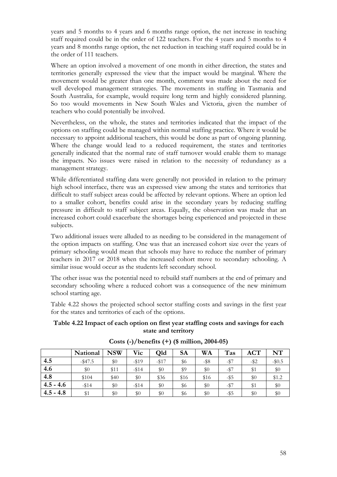years and 5 months to 4 years and 6 months range option, the net increase in teaching staff required could be in the order of 122 teachers. For the 4 years and 5 months to 4 years and 8 months range option, the net reduction in teaching staff required could be in the order of 111 teachers.

Where an option involved a movement of one month in either direction, the states and territories generally expressed the view that the impact would be marginal. Where the movement would be greater than one month, comment was made about the need for well developed management strategies. The movements in staffing in Tasmania and South Australia, for example, would require long term and highly considered planning. So too would movements in New South Wales and Victoria, given the number of teachers who could potentially be involved.

Nevertheless, on the whole, the states and territories indicated that the impact of the options on staffing could be managed within normal staffing practice. Where it would be necessary to appoint additional teachers, this would be done as part of ongoing planning. Where the change would lead to a reduced requirement, the states and territories generally indicated that the normal rate of staff turnover would enable them to manage the impacts. No issues were raised in relation to the necessity of redundancy as a management strategy.

While differentiated staffing data were generally not provided in relation to the primary high school interface, there was an expressed view among the states and territories that difficult to staff subject areas could be affected by relevant options. Where an option led to a smaller cohort, benefits could arise in the secondary years by reducing staffing pressure in difficult to staff subject areas. Equally, the observation was made that an increased cohort could exacerbate the shortages being experienced and projected in these subjects.

Two additional issues were alluded to as needing to be considered in the management of the option impacts on staffing. One was that an increased cohort size over the years of primary schooling would mean that schools may have to reduce the number of primary teachers in 2017 or 2018 when the increased cohort move to secondary schooling. A similar issue would occur as the students left secondary school.

The other issue was the potential need to rebuild staff numbers at the end of primary and secondary schooling where a reduced cohort was a consequence of the new minimum school starting age.

Table 4.22 shows the projected school sector staffing costs and savings in the first year for the states and territories of each of the options.

#### **Table 4.22 Impact of each option on first year staffing costs and savings for each state and territory**

|             | National   | <b>NSW</b> | Vic     | <b>Qld</b> | <b>SA</b> | WA      | Tas     | <b>ACT</b> | NT      |
|-------------|------------|------------|---------|------------|-----------|---------|---------|------------|---------|
| 4.5         | $-$ \$47.5 | \$0        | $-1519$ | $-1517$    | \$6       | $-$ \$8 | $-157$  | $-$ \$2    | $-$0.5$ |
| 4.6         | \$0        | \$11       | $-114$  | \$0        | \$9       | \$0     | $-157$  | \$1        | \$0     |
| 4.8         | \$104      | \$40       | \$0     | \$36       | \$16      | \$16    | -\$5    | \$0        | \$1.2   |
| $4.5 - 4.6$ | $-114$     | \$0        | $-114$  | \$0        | \$6       | $\$0$   | $-$ \$7 | \$1        | \$0     |
| $4.5 - 4.8$ | \$1        | $\$0$      | $\$0$   | \$0        | \$6       | $\$0$   | $-$ \$5 | $\$0$      | $\$0$   |

**Costs (-)/benefits (+) (\$ million, 2004-05)**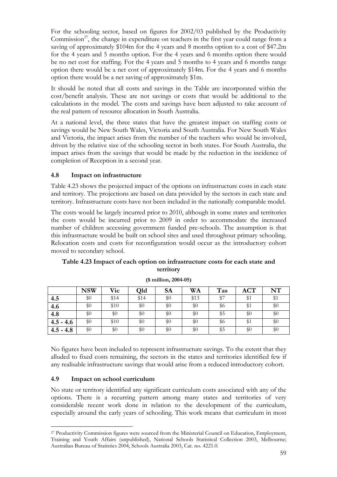For the schooling sector, based on figures for 2002/03 published by the Productivity Commission<sup>27</sup>, the change in expenditure on teachers in the first year could range from a saving of approximately \$104m for the 4 years and 8 months option to a cost of \$47.2m for the 4 years and 5 months option. For the 4 years and 6 months option there would be no net cost for staffing. For the 4 years and 5 months to 4 years and 6 months range option there would be a net cost of approximately \$14m. For the 4 years and 6 months option there would be a net saving of approximately \$1m.

It should be noted that all costs and savings in the Table are incorporated within the cost/benefit analysis. These are not savings or costs that would be additional to the calculations in the model. The costs and savings have been adjusted to take account of the real pattern of resource allocation in South Australia.

At a national level, the three states that have the greatest impact on staffing costs or savings would be New South Wales, Victoria and South Australia. For New South Wales and Victoria, the impact arises from the number of the teachers who would be involved, driven by the relative size of the schooling sector in both states. For South Australia, the impact arises from the savings that would be made by the reduction in the incidence of completion of Reception in a second year.

# **4.8 Impact on infrastructure**

Table 4.23 shows the projected impact of the options on infrastructure costs in each state and territory. The projections are based on data provided by the sectors in each state and territory. Infrastructure costs have not been included in the nationally comparable model.

The costs would be largely incurred prior to 2010, although in some states and territories the costs would be incurred prior to 2009 in order to accommodate the increased number of children accessing government funded pre-schools. The assumption is that this infrastructure would be built on school sites and used throughout primary schooling. Relocation costs and costs for reconfiguration would occur as the introductory cohort moved to secondary school.

| Table 4.23 Impact of each option on infrastructure costs for each state and |
|-----------------------------------------------------------------------------|
| territory                                                                   |

|             | <b>NSW</b> | Vic  | <b>Qld</b> | <b>SA</b> | <b>WA</b> | Tas | <b>ACT</b> | NT  |
|-------------|------------|------|------------|-----------|-----------|-----|------------|-----|
| 4.5         | $\$0$      | \$14 | \$14       | $\$0$     | \$13      | \$7 | \$1        | \$1 |
| 4.6         | \$0        | \$10 | \$0        | \$0       | \$0       | \$6 | \$1        | \$0 |
| 4.8         | \$0        | \$0  | \$0        | $\$0$     | \$0       | \$5 | \$0        | \$0 |
| $4.5 - 4.6$ | \$0        | \$10 | \$0        | $\$0$     | \$0       | \$6 | \$1        | \$0 |
| $4.5 - 4.8$ | $\$0$      | \$0  | \$0        | $\$0$     | \$0       | \$5 | \$0        | \$0 |

**(\$ million, 2004-05)** 

No figures have been included to represent infrastructure savings. To the extent that they alluded to fixed costs remaining, the sectors in the states and territories identified few if any realisable infrastructure savings that would arise from a reduced introductory cohort.

#### **4.9 Impact on school curriculum**

 $\overline{a}$ 

No state or territory identified any significant curriculum costs associated with any of the options. There is a recurring pattern among many states and territories of very considerable recent work done in relation to the development of the curriculum, especially around the early years of schooling. This work means that curriculum in most

<sup>&</sup>lt;sup>27</sup> Productivity Commission figures were sourced from the Ministerial Council on Education, Employment, Training and Youth Affairs (unpublished), National Schools Statistical Collection 2003, Melbourne; Australian Bureau of Statistics 2004, Schools Australia 2003, Cat. no. 4221.0.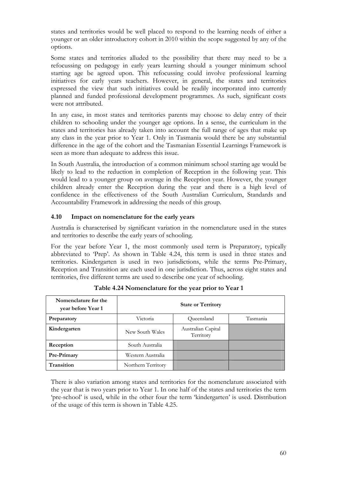states and territories would be well placed to respond to the learning needs of either a younger or an older introductory cohort in 2010 within the scope suggested by any of the options.

Some states and territories alluded to the possibility that there may need to be a refocussing on pedagogy in early years learning should a younger minimum school starting age be agreed upon. This refocussing could involve professional learning initiatives for early years teachers. However, in general, the states and territories expressed the view that such initiatives could be readily incorporated into currently planned and funded professional development programmes. As such, significant costs were not attributed.

In any case, in most states and territories parents may choose to delay entry of their children to schooling under the younger age options. In a sense, the curriculum in the states and territories has already taken into account the full range of ages that make up any class in the year prior to Year 1. Only in Tasmania would there be any substantial difference in the age of the cohort and the Tasmanian Essential Learnings Framework is seen as more than adequate to address this issue.

In South Australia, the introduction of a common minimum school starting age would be likely to lead to the reduction in completion of Reception in the following year. This would lead to a younger group on average in the Reception year. However, the younger children already enter the Reception during the year and there is a high level of confidence in the effectiveness of the South Australian Curriculum, Standards and Accountability Framework in addressing the needs of this group.

### **4.10 Impact on nomenclature for the early years**

Australia is characterised by significant variation in the nomenclature used in the states and territories to describe the early years of schooling.

For the year before Year 1, the most commonly used term is Preparatory, typically abbreviated to 'Prep'. As shown in Table 4.24, this term is used in three states and territories. Kindergarten is used in two jurisdictions, while the terms Pre-Primary, Reception and Transition are each used in one jurisdiction. Thus, across eight states and territories, five different terms are used to describe one year of schooling.

| Nomenclature for the<br>year before Year 1 | <b>State or Territory</b> |                                 |          |  |  |  |
|--------------------------------------------|---------------------------|---------------------------------|----------|--|--|--|
| Preparatory                                | Victoria                  | Queensland                      | Tasmania |  |  |  |
| Kindergarten                               | New South Wales           | Australian Capital<br>Territory |          |  |  |  |
| Reception                                  | South Australia           |                                 |          |  |  |  |
| Pre-Primary                                | Western Australia         |                                 |          |  |  |  |
| Transition                                 | Northern Territory        |                                 |          |  |  |  |

**Table 4.24 Nomenclature for the year prior to Year 1** 

There is also variation among states and territories for the nomenclature associated with the year that is two years prior to Year 1. In one half of the states and territories the term 'pre-school' is used, while in the other four the term 'kindergarten' is used. Distribution of the usage of this term is shown in Table 4.25.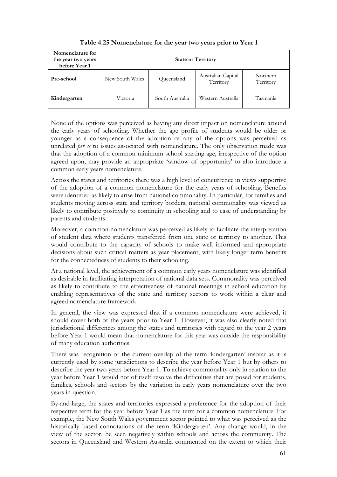| Nomenclature for<br>the year two years<br>before Year 1 | <b>State or Territory</b> |                 |                                 |                       |  |  |
|---------------------------------------------------------|---------------------------|-----------------|---------------------------------|-----------------------|--|--|
| Pre-school                                              | New South Wales           | Queensland      | Australian Capital<br>Territory | Northern<br>Territory |  |  |
| Kindergarten                                            | Victoria                  | South Australia | Western Australia               | Tasmania              |  |  |

**Table 4.25 Nomenclature for the year two years prior to Year 1** 

None of the options was perceived as having any direct impact on nomenclature around the early years of schooling. Whether the age profile of students would be older or younger as a consequence of the adoption of any of the options was perceived as unrelated *per se* to issues associated with nomenclature. The only observation made was that the adoption of a common minimum school starting age, irrespective of the option agreed upon, may provide an appropriate 'window of opportunity' to also introduce a common early years nomenclature.

Across the states and territories there was a high level of concurrence in views supportive of the adoption of a common nomenclature for the early years of schooling. Benefits were identified as likely to arise from national commonality. In particular, for families and students moving across state and territory borders, national commonality was viewed as likely to contribute positively to continuity in schooling and to ease of understanding by parents and students.

Moreover, a common nomenclature was perceived as likely to facilitate the interpretation of student data where students transferred from one state or territory to another. This would contribute to the capacity of schools to make well informed and appropriate decisions about such critical matters as year placement, with likely longer term benefits for the connectedness of students to their schooling.

At a national level, the achievement of a common early years nomenclature was identified as desirable in facilitating interpretation of national data sets. Commonality was perceived as likely to contribute to the effectiveness of national meetings in school education by enabling representatives of the state and territory sectors to work within a clear and agreed nomenclature framework.

In general, the view was expressed that if a common nomenclature were achieved, it should cover both of the years prior to Year 1. However, it was also clearly noted that jurisdictional differences among the states and territories with regard to the year 2 years before Year 1 would mean that nomenclature for this year was outside the responsibility of many education authorities.

There was recognition of the current overlap of the term 'kindergarten' insofar as it is currently used by some jurisdictions to describe the year before Year 1 but by others to describe the year two years before Year 1. To achieve commonality only in relation to the year before Year 1 would not of itself resolve the difficulties that are posed for students, families, schools and sectors by the variation in early years nomenclature over the two years in question.

By-and-large, the states and territories expressed a preference for the adoption of their respective term for the year before Year 1 as the term for a common nomenclature. For example, the New South Wales government sector pointed to what was perceived as the historically based connotations of the term 'Kindergarten'. Any change would, in the view of the sector, be seen negatively within schools and across the community. The sectors in Queensland and Western Australia commented on the extent to which their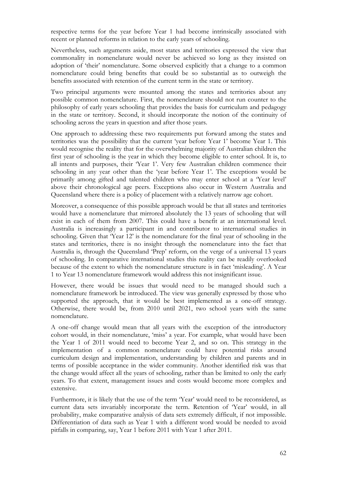respective terms for the year before Year 1 had become intrinsically associated with recent or planned reforms in relation to the early years of schooling.

Nevertheless, such arguments aside, most states and territories expressed the view that commonality in nomenclature would never be achieved so long as they insisted on adoption of 'their' nomenclature. Some observed explicitly that a change to a common nomenclature could bring benefits that could be so substantial as to outweigh the benefits associated with retention of the current term in the state or territory.

Two principal arguments were mounted among the states and territories about any possible common nomenclature. First, the nomenclature should not run counter to the philosophy of early years schooling that provides the basis for curriculum and pedagogy in the state or territory. Second, it should incorporate the notion of the continuity of schooling across the years in question and after those years.

One approach to addressing these two requirements put forward among the states and territories was the possibility that the current 'year before Year 1' become Year 1. This would recognise the reality that for the overwhelming majority of Australian children the first year of schooling is the year in which they become eligible to enter school. It is, to all intents and purposes, their 'Year 1'. Very few Australian children commence their schooling in any year other than the 'year before Year 1'. The exceptions would be primarily among gifted and talented children who may enter school at a 'Year level' above their chronological age peers. Exceptions also occur in Western Australia and Queensland where there is a policy of placement with a relatively narrow age cohort.

Moreover, a consequence of this possible approach would be that all states and territories would have a nomenclature that mirrored absolutely the 13 years of schooling that will exist in each of them from 2007. This could have a benefit at an international level. Australia is increasingly a participant in and contributor to international studies in schooling. Given that 'Year 12' is the nomenclature for the final year of schooling in the states and territories, there is no insight through the nomenclature into the fact that Australia is, through the Queensland 'Prep' reform, on the verge of a universal 13 years of schooling. In comparative international studies this reality can be readily overlooked because of the extent to which the nomenclature structure is in fact 'misleading'. A Year 1 to Year 13 nomenclature framework would address this not insignificant issue.

However, there would be issues that would need to be managed should such a nomenclature framework be introduced. The view was generally expressed by those who supported the approach, that it would be best implemented as a one-off strategy. Otherwise, there would be, from 2010 until 2021, two school years with the same nomenclature.

A one-off change would mean that all years with the exception of the introductory cohort would, in their nomenclature, 'miss' a year. For example, what would have been the Year 1 of 2011 would need to become Year 2, and so on. This strategy in the implementation of a common nomenclature could have potential risks around curriculum design and implementation, understanding by children and parents and in terms of possible acceptance in the wider community. Another identified risk was that the change would affect all the years of schooling, rather than be limited to only the early years. To that extent, management issues and costs would become more complex and extensive.

Furthermore, it is likely that the use of the term 'Year' would need to be reconsidered, as current data sets invariably incorporate the term. Retention of 'Year' would, in all probability, make comparative analysis of data sets extremely difficult, if not impossible. Differentiation of data such as Year 1 with a different word would be needed to avoid pitfalls in comparing, say, Year 1 before 2011 with Year 1 after 2011.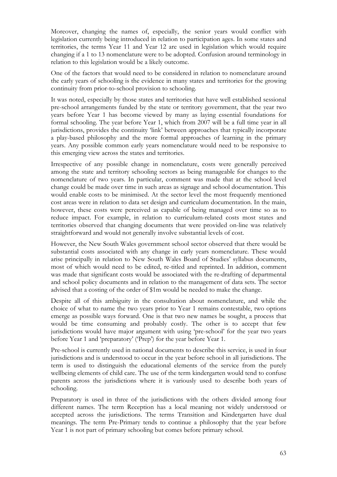Moreover, changing the names of, especially, the senior years would conflict with legislation currently being introduced in relation to participation ages. In some states and territories, the terms Year 11 and Year 12 are used in legislation which would require changing if a 1 to 13 nomenclature were to be adopted. Confusion around terminology in relation to this legislation would be a likely outcome.

One of the factors that would need to be considered in relation to nomenclature around the early years of schooling is the evidence in many states and territories for the growing continuity from prior-to-school provision to schooling.

It was noted, especially by those states and territories that have well established sessional pre-school arrangements funded by the state or territory government, that the year two years before Year 1 has become viewed by many as laying essential foundations for formal schooling. The year before Year 1, which from 2007 will be a full time year in all jurisdictions, provides the continuity 'link' between approaches that typically incorporate a play-based philosophy and the more formal approaches of learning in the primary years. Any possible common early years nomenclature would need to be responsive to this emerging view across the states and territories.

Irrespective of any possible change in nomenclature, costs were generally perceived among the state and territory schooling sectors as being manageable for changes to the nomenclature of two years. In particular, comment was made that at the school level change could be made over time in such areas as signage and school documentation. This would enable costs to be minimised. At the sector level the most frequently mentioned cost areas were in relation to data set design and curriculum documentation. In the main, however, these costs were perceived as capable of being managed over time so as to reduce impact. For example, in relation to curriculum-related costs most states and territories observed that changing documents that were provided on-line was relatively straightforward and would not generally involve substantial levels of cost.

However, the New South Wales government school sector observed that there would be substantial costs associated with any change in early years nomenclature. These would arise principally in relation to New South Wales Board of Studies' syllabus documents, most of which would need to be edited, re-titled and reprinted. In addition, comment was made that significant costs would be associated with the re-drafting of departmental and school policy documents and in relation to the management of data sets. The sector advised that a costing of the order of \$1m would be needed to make the change.

Despite all of this ambiguity in the consultation about nomenclature, and while the choice of what to name the two years prior to Year 1 remains contestable, two options emerge as possible ways forward. One is that two new names be sought, a process that would be time consuming and probably costly. The other is to accept that few jurisdictions would have major argument with using 'pre-school' for the year two years before Year 1 and 'preparatory' ('Prep') for the year before Year 1.

Pre-school is currently used in national documents to describe this service, is used in four jurisdictions and is understood to occur in the year before school in all jurisdictions. The term is used to distinguish the educational elements of the service from the purely wellbeing elements of child care. The use of the term kindergarten would tend to confuse parents across the jurisdictions where it is variously used to describe both years of schooling.

Preparatory is used in three of the jurisdictions with the others divided among four different names. The term Reception has a local meaning not widely understood or accepted across the jurisdictions. The terms Transition and Kindergarten have dual meanings. The term Pre-Primary tends to continue a philosophy that the year before Year 1 is not part of primary schooling but comes before primary school.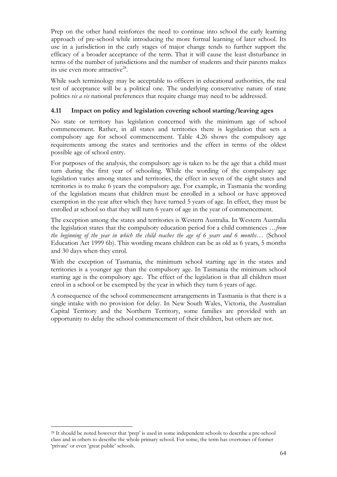Prep on the other hand reinforces the need to continue into school the early learning approach of pre-school while introducing the more formal learning of later school. Its use in a jurisdiction in the early stages of major change tends to further support the efficacy of a broader acceptance of the term. That it will cause the least disturbance in terms of the number of jurisdictions and the number of students and their parents makes its use even more attractive $^{28}$ .

While such terminology may be acceptable to officers in educational authorities, the real test of acceptance will be a political one. The underlying conservative nature of state politics *vis a vis* national preferences that require change may need to be addressed.

### **4.11 Impact on policy and legislation covering school starting/leaving ages**

No state or territory has legislation concerned with the minimum age of school commencement. Rather, in all states and territories there is legislation that sets a compulsory age for school commencement. Table 4.26 shows the compulsory age requirements among the states and territories and the effect in terms of the oldest possible age of school entry.

For purposes of the analysis, the compulsory age is taken to be the age that a child must turn during the first year of schooling. While the wording of the compulsory age legislation varies among states and territories, the effect in seven of the eight states and territories is to make 6 years the compulsory age. For example, in Tasmania the wording of the legislation means that children must be enrolled in a school or have approved exemption in the year after which they have turned 5 years of age. In effect, they must be enrolled at school so that they will turn 6 years of age in the year of commencement.

The exception among the states and territories is Western Australia. In Western Australia the legislation states that the compulsory education period for a child commences *…from the beginning of the year in which the child reaches the age of 6 years and 6 months…* (School Education Act 1999 6b). This wording means children can be as old as 6 years, 5 months and 30 days when they enrol.

With the exception of Tasmania, the minimum school starting age in the states and territories is a younger age than the compulsory age. In Tasmania the minimum school starting age is the compulsory age. The effect of the legislation is that all children must enrol in a school or be exempted by the year in which they turn 6 years of age.

A consequence of the school commencement arrangements in Tasmania is that there is a single intake with no provision for delay. In New South Wales, Victoria, the Australian Capital Territory and the Northern Territory, some families are provided with an opportunity to delay the school commencement of their children, but others are not.

 $\overline{a}$ 

<sup>&</sup>lt;sup>28</sup> It should be noted however that 'prep' is used in some independent schools to describe a pre-school class and in others to describe the whole primary school. For some, the term has overtones of former 'private' or even 'great public' schools.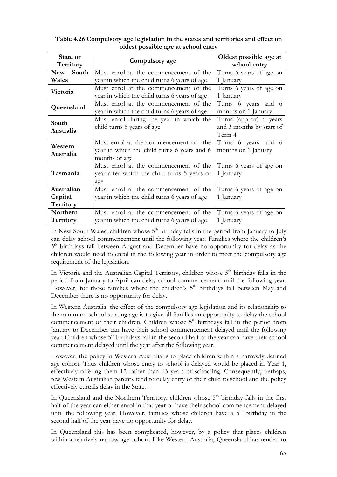# **Table 4.26 Compulsory age legislation in the states and territories and effect on oldest possible age at school entry**

| State or<br>Territory | Compulsory age                               | Oldest possible age at<br>school entry |  |
|-----------------------|----------------------------------------------|----------------------------------------|--|
| <b>New</b><br>South   | Must enrol at the commencement of the        | Turns 6 years of age on                |  |
| Wales                 | year in which the child turns 6 years of age | 1 January                              |  |
| Victoria              | Must enrol at the commencement of the        | Turns 6 years of age on                |  |
|                       | year in which the child turns 6 years of age | 1 January                              |  |
|                       | Must enrol at the commencement of the        | Turns 6 years and 6                    |  |
| Queensland            | year in which the child turns 6 years of age | months on 1 January                    |  |
| South                 | Must enrol during the year in which the      | Turns (approx) 6 years                 |  |
|                       | child turns 6 years of age                   | and 3 months by start of               |  |
| Australia             |                                              | Term 4                                 |  |
| Western               | Must enrol at the commencement of the        | Turns 6 years and 6                    |  |
|                       | year in which the child turns 6 years and 6  | months on 1 January                    |  |
| Australia             | months of age                                |                                        |  |
|                       | Must enrol at the commencement of the        | Turns 6 years of age on                |  |
| Tasmania              | year after which the child turns 5 years of  | 1 January                              |  |
|                       | age                                          |                                        |  |
| Australian            | Must enrol at the commencement of the        | Turns 6 years of age on                |  |
| Capital               | year in which the child turns 6 years of age | 1 January                              |  |
| Territory             |                                              |                                        |  |
| Northern              | Must enrol at the commencement of the        | Turns 6 years of age on                |  |
| <b>Territory</b>      | year in which the child turns 6 years of age | 1 January                              |  |

In New South Wales, children whose  $5<sup>th</sup>$  birthday falls in the period from January to July can delay school commencement until the following year. Families where the children's 5<sup>th</sup> birthdays fall between August and December have no opportunity for delay as the children would need to enrol in the following year in order to meet the compulsory age requirement of the legislation.

In Victoria and the Australian Capital Territory, children whose  $5<sup>th</sup>$  birthday falls in the period from January to April can delay school commencement until the following year. However, for those families where the children's 5<sup>th</sup> birthdays fall between May and December there is no opportunity for delay.

In Western Australia, the effect of the compulsory age legislation and its relationship to the minimum school starting age is to give all families an opportunity to delay the school commencement of their children. Children whose  $5<sup>th</sup>$  birthdays fall in the period from January to December can have their school commencement delayed until the following year. Children whose  $5<sup>th</sup>$  birthdays fall in the second half of the year can have their school commencement delayed until the year after the following year.

However, the policy in Western Australia is to place children within a narrowly defined age cohort. Thus children whose entry to school is delayed would be placed in Year 1, effectively offering them 12 rather than 13 years of schooling. Consequently, perhaps, few Western Australian parents tend to delay entry of their child to school and the policy effectively curtails delay in the State.

In Queensland and the Northern Territory, children whose  $5<sup>th</sup>$  birthday falls in the first half of the year can either enrol in that year or have their school commencement delayed until the following year. However, families whose children have a  $5<sup>th</sup>$  birthday in the second half of the year have no opportunity for delay.

In Queensland this has been complicated, however, by a policy that places children within a relatively narrow age cohort. Like Western Australia, Queensland has tended to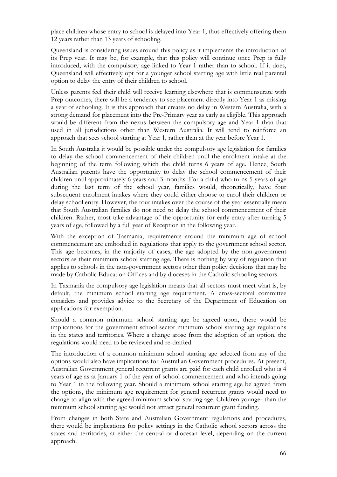place children whose entry to school is delayed into Year 1, thus effectively offering them 12 years rather than 13 years of schooling.

Queensland is considering issues around this policy as it implements the introduction of its Prep year. It may be, for example, that this policy will continue once Prep is fully introduced, with the compulsory age linked to Year 1 rather than to school. If it does, Queensland will effectively opt for a younger school starting age with little real parental option to delay the entry of their children to school.

Unless parents feel their child will receive learning elsewhere that is commensurate with Prep outcomes, there will be a tendency to see placement directly into Year 1 as missing a year of schooling. It is this approach that creates no delay in Western Australia, with a strong demand for placement into the Pre-Primary year as early as eligible. This approach would be different from the nexus between the compulsory age and Year 1 than that used in all jurisdictions other than Western Australia. It will tend to reinforce an approach that sees school starting at Year 1, rather than at the year before Year 1.

In South Australia it would be possible under the compulsory age legislation for families to delay the school commencement of their children until the enrolment intake at the beginning of the term following which the child turns 6 years of age. Hence, South Australian parents have the opportunity to delay the school commencement of their children until approximately 6 years and 3 months. For a child who turns 5 years of age during the last term of the school year, families would, theoretically, have four subsequent enrolment intakes where they could either choose to enrol their children or delay school entry. However, the four intakes over the course of the year essentially mean that South Australian families do not need to delay the school commencement of their children. Rather, most take advantage of the opportunity for early entry after turning 5 years of age, followed by a full year of Reception in the following year.

With the exception of Tasmania, requirements around the minimum age of school commencement are embodied in regulations that apply to the government school sector. This age becomes, in the majority of cases, the age adopted by the non-government sectors as their minimum school starting age. There is nothing by way of regulation that applies to schools in the non-government sectors other than policy decisions that may be made by Catholic Education Offices and by dioceses in the Catholic schooling sectors.

In Tasmania the compulsory age legislation means that all sectors must meet what is, by default, the minimum school starting age requirement. A cross-sectoral committee considers and provides advice to the Secretary of the Department of Education on applications for exemption.

Should a common minimum school starting age be agreed upon, there would be implications for the government school sector minimum school starting age regulations in the states and territories. Where a change arose from the adoption of an option, the regulations would need to be reviewed and re-drafted.

The introduction of a common minimum school starting age selected from any of the options would also have implications for Australian Government procedures. At present, Australian Government general recurrent grants are paid for each child enrolled who is 4 years of age as at January 1 of the year of school commencement and who intends going to Year 1 in the following year. Should a minimum school starting age be agreed from the options, the minimum age requirement for general recurrent grants would need to change to align with the agreed minimum school starting age. Children younger than the minimum school starting age would not attract general recurrent grant funding.

From changes in both State and Australian Government regulations and procedures, there would be implications for policy settings in the Catholic school sectors across the states and territories, at either the central or diocesan level, depending on the current approach.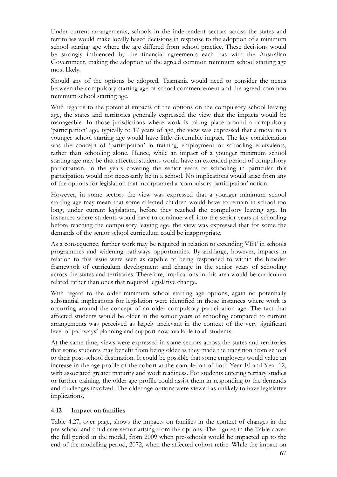Under current arrangements, schools in the independent sectors across the states and territories would make locally based decisions in response to the adoption of a minimum school starting age where the age differed from school practice. These decisions would be strongly influenced by the financial agreements each has with the Australian Government, making the adoption of the agreed common minimum school starting age most likely.

Should any of the options be adopted, Tasmania would need to consider the nexus between the compulsory starting age of school commencement and the agreed common minimum school starting age.

With regards to the potential impacts of the options on the compulsory school leaving age, the states and territories generally expressed the view that the impacts would be manageable. In those jurisdictions where work is taking place around a compulsory 'participation' age, typically to 17 years of age, the view was expressed that a move to a younger school starting age would have little discernible impact. The key consideration was the concept of 'participation' in training, employment or schooling equivalents, rather than schooling alone. Hence, while an impact of a younger minimum school starting age may be that affected students would have an extended period of compulsory participation, in the years covering the senior years of schooling in particular this participation would not necessarily be in a school. No implications would arise from any of the options for legislation that incorporated a 'compulsory participation' notion.

However, in some sectors the view was expressed that a younger minimum school starting age may mean that some affected children would have to remain in school too long, under current legislation, before they reached the compulsory leaving age. In instances where students would have to continue well into the senior years of schooling before reaching the compulsory leaving age, the view was expressed that for some the demands of the senior school curriculum could be inappropriate.

As a consequence, further work may be required in relation to extending VET in schools programmes and widening pathways opportunities. By-and-large, however, impacts in relation to this issue were seen as capable of being responded to within the broader framework of curriculum development and change in the senior years of schooling across the states and territories. Therefore, implications in this area would be curriculum related rather than ones that required legislative change.

With regard to the older minimum school starting age options, again no potentially substantial implications for legislation were identified in those instances where work is occurring around the concept of an older compulsory participation age. The fact that affected students would be older in the senior years of schooling compared to current arrangements was perceived as largely irrelevant in the context of the very significant level of pathways' planning and support now available to all students.

At the same time, views were expressed in some sectors across the states and territories that some students may benefit from being older as they made the transition from school to their post-school destination. It could be possible that some employers would value an increase in the age profile of the cohort at the completion of both Year 10 and Year 12, with associated greater maturity and work readiness. For students entering tertiary studies or further training, the older age profile could assist them in responding to the demands and challenges involved. The older age options were viewed as unlikely to have legislative implications.

#### **4.12 Impact on families**

Table 4.27, over page, shows the impacts on families in the context of changes in the pre-school and child care sector arising from the options. The figures in the Table cover the full period in the model, from 2009 when pre-schools would be impacted up to the end of the modelling period, 2072, when the affected cohort retire. While the impact on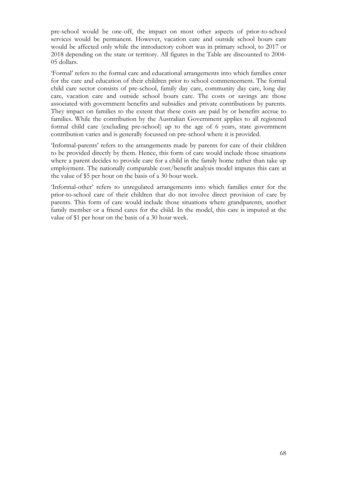pre-school would be one-off, the impact on most other aspects of prior-to-school services would be permanent. However, vacation care and outside school hours care would be affected only while the introductory cohort was in primary school, to 2017 or 2018 depending on the state or territory. All figures in the Table are discounted to 2004- 05 dollars.

'Formal' refers to the formal care and educational arrangements into which families enter for the care and education of their children prior to school commencement. The formal child care sector consists of pre-school, family day care, community day care, long day care, vacation care and outside school hours care. The costs or savings are those associated with government benefits and subsidies and private contributions by parents. They impact on families to the extent that these costs are paid by or benefits accrue to families. While the contribution by the Australian Government applies to all registered formal child care (excluding pre-school) up to the age of 6 years, state government contribution varies and is generally focussed on pre-school where it is provided.

'Informal-parents' refers to the arrangements made by parents for care of their children to be provided directly by them. Hence, this form of care would include those situations where a parent decides to provide care for a child in the family home rather than take up employment. The nationally comparable cost/benefit analysis model imputes this care at the value of \$5 per hour on the basis of a 30 hour week.

'Informal-other' refers to unregulated arrangements into which families enter for the prior-to-school care of their children that do not involve direct provision of care by parents. This form of care would include those situations where grandparents, another family member or a friend cares for the child. In the model, this care is imputed at the value of \$1 per hour on the basis of a 30 hour week.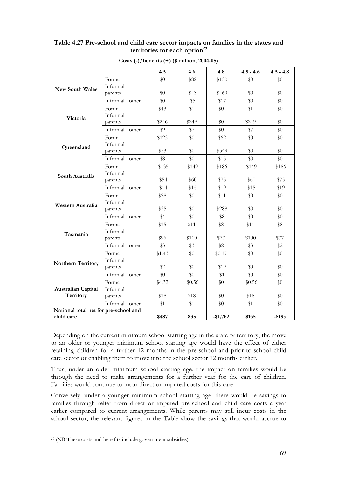### **Table 4.27 Pre-school and child care sector impacts on families in the states and**  territories for each option<sup>29</sup>

|                                        |                  | 4.5      | 4.6        | 4.8       | $4.5 - 4.6$ | $4.5 - 4.8$ |
|----------------------------------------|------------------|----------|------------|-----------|-------------|-------------|
|                                        | Formal           | \$0      | $-$ \$82   | $-$130$   | \$0         | \$0         |
| <b>New South Wales</b>                 | Informal-        |          |            |           |             |             |
|                                        | parents          | \$0      | $-$ \$43   | $-$ \$469 | \$0         | \$0         |
|                                        | Informal - other | \$0      | $-$ \$5    | $-1517$   | \$0         | \$0         |
|                                        | Formal           | \$43     | \$1        | \$0       | \$1         | \$0         |
| Victoria                               | Informal-        |          |            |           |             |             |
|                                        | parents          | \$246    | \$249      | \$0       | \$249       | \$0         |
|                                        | Informal - other | \$9      | \$7        | \$0       | \$7         | \$0         |
|                                        | Formal           | \$123    | \$0        | $-$ \$62  | \$0         | $\$0$       |
| Queensland                             | Informal-        |          |            |           |             |             |
|                                        | parents          | \$53     | $\$0$      | $-$ \$549 | \$0         | \$0         |
|                                        | Informal - other | \$8      | \$0        | $-15$     | \$0         | \$0         |
|                                        | Formal           | $-135$   | $-$ \$149  | $-$ \$186 | $-$149$     | $- $186$    |
| South Australia                        | Informal-        |          |            |           |             |             |
|                                        | parents          | $-$ \$54 | $-$ \$60   | $-1575$   | $-$ \$60    | $- $75$     |
|                                        | Informal - other | $-114$   | $-$ \$15   | $-119$    | $-$ \$15    | $-119$      |
|                                        | Formal           | \$28     | \$0        | $-11$     | \$0         | \$0         |
| Western Australia                      | Informal-        |          |            |           |             |             |
|                                        | parents          | \$35     | \$0        | $-$ \$288 | \$0         | \$0         |
|                                        | Informal - other | \$4      | \$0        | $-$ \$8   | \$0         | \$0         |
|                                        | Formal           | \$15     | \$11       | \$8       | \$11        | \$8         |
| Tasmania                               | Informal-        |          |            |           |             |             |
|                                        | parents          | \$96     | \$100      | \$77      | \$100       | \$77        |
|                                        | Informal - other | \$3      | \$3        | \$2       | \$3         | \$2         |
|                                        | Formal           | \$1.43   | \$0        | \$0.17    | \$0         | \$0         |
| <b>Northern Territory</b>              | Informal-        |          |            |           |             |             |
|                                        | parents          | \$2      | $\$0$      | $-119$    | \$0         | \$0         |
|                                        | Informal - other | \$0      | \$0        | $-$ \$1   | \$0         | \$0         |
| <b>Australian Capital</b><br>Territory | Formal           | \$4.32   | $-$ \$0.56 | \$0       | $-$ \$0.56  | \$0         |
|                                        | Informal-        |          |            |           |             |             |
|                                        | parents          | \$18     | \$18       | \$0       | \$18        | \$0         |
|                                        | Informal - other | \$1      | \$1        | \$0       | \$1         | \$0         |
| National total net for pre-school and  |                  |          |            |           |             |             |
| child care                             |                  | \$487    | \$35       | $-$1,762$ | \$165       | $-$ \$193   |

**Costs (-)/benefits (+) (\$ million, 2004-05)** 

Depending on the current minimum school starting age in the state or territory, the move to an older or younger minimum school starting age would have the effect of either retaining children for a further 12 months in the pre-school and prior-to-school child care sector or enabling them to move into the school sector 12 months earlier.

Thus, under an older minimum school starting age, the impact on families would be through the need to make arrangements for a further year for the care of children. Families would continue to incur direct or imputed costs for this care.

Conversely, under a younger minimum school starting age, there would be savings to families through relief from direct or imputed pre-school and child care costs a year earlier compared to current arrangements. While parents may still incur costs in the school sector, the relevant figures in the Table show the savings that would accrue to

 $\overline{a}$ 

<sup>29 (</sup>NB These costs and benefits include government subsidies)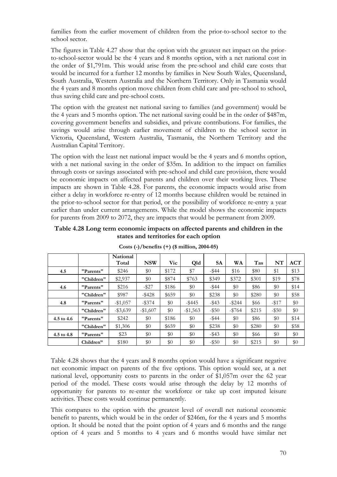families from the earlier movement of children from the prior-to-school sector to the school sector.

The figures in Table 4.27 show that the option with the greatest net impact on the priorto-school-sector would be the 4 years and 8 months option, with a net national cost in the order of \$1,791m. This would arise from the pre-school and child care costs that would be incurred for a further 12 months by families in New South Wales, Queensland, South Australia, Western Australia and the Northern Territory. Only in Tasmania would the 4 years and 8 months option move children from child care and pre-school to school, thus saving child care and pre-school costs.

The option with the greatest net national saving to families (and government) would be the 4 years and 5 months option. The net national saving could be in the order of \$487m, covering government benefits and subsidies, and private contributions. For families, the savings would arise through earlier movement of children to the school sector in Victoria, Queensland, Western Australia, Tasmania, the Northern Territory and the Australian Capital Territory.

The option with the least net national impact would be the 4 years and 6 months option, with a net national saving in the order of \$35m. In addition to the impact on families through costs or savings associated with pre-school and child care provision, there would be economic impacts on affected parents and children over their working lives. These impacts are shown in Table 4.28. For parents, the economic impacts would arise from either a delay in workforce re-entry of 12 months because children would be retained in the prior-to-school sector for that period, or the possibility of workforce re-entry a year earlier than under current arrangements. While the model shows the economic impacts for parents from 2009 to 2072, they are impacts that would be permanent from 2009.

**Table 4.28 Long term economic impacts on affected parents and children in the states and territories for each option** 

|            |            | National<br>Total | <b>NSW</b> | Vic   | Qld         | <b>SA</b> | <b>WA</b> | Tas   | NT       | <b>ACT</b> |
|------------|------------|-------------------|------------|-------|-------------|-----------|-----------|-------|----------|------------|
| 4.5        | "Parents"  | \$246             | \$0        | \$172 | \$7         | $-$ \$44  | \$16      | \$80  | \$1      | \$13       |
|            | "Children" | \$2,937           | \$0        | \$874 | \$763       | \$349     | \$372     | \$301 | \$19     | \$78       |
| 4.6        | "Parents"  | \$216             | $-$ \$27   | \$186 | \$0         | $-$ \$44  | \$0       | \$86  | \$0      | \$14       |
|            | "Children" | \$987             | $-$ \$428  | \$659 | \$0         | \$238     | \$0       | \$280 | $\$0$    | \$58       |
| 4.8        | "Parents"  | $-1,057$          | $-$ \$374  | \$0   | $-$ \$445   | $-$ \$43  | $-$ \$244 | \$66  | $-1517$  | \$0        |
|            | "Children" | $-$ \$3,639       | $-\$1,607$ | \$0   | $-$ \$1,563 | $-$ \$50  | $-15764$  | \$215 | $-$ \$50 | \$0        |
| 4.5 to 4.6 | "Parents"  | \$242             | \$0        | \$186 | \$0         | $-$ \$44  | \$0       | \$86  | \$0      | \$14       |
|            | "Children" | \$1,306           | \$0        | \$659 | \$0         | \$238     | \$0       | \$280 | \$0      | \$58       |
| 4.5 to 4.8 | "Parents"  | \$23              | \$0        | \$0   | \$0         | $-$ \$43  | \$0       | \$66  | \$0      | \$0        |
|            | Children"  | \$180             | \$0        | \$0   | \$0         | $-$ \$50  | \$0       | \$215 | $\$0$    | \$0        |

**Costs (-)/benefits (+) (\$ million, 2004-05)** 

Table 4.28 shows that the 4 years and 8 months option would have a significant negative net economic impact on parents of the five options. This option would see, at a net national level, opportunity costs to parents in the order of \$1,057m over the 62 year period of the model. These costs would arise through the delay by 12 months of opportunity for parents to re-enter the workforce or take up cost imputed leisure activities. These costs would continue permanently.

This compares to the option with the greatest level of overall net national economic benefit to parents, which would be in the order of \$246m, for the 4 years and 5 months option. It should be noted that the point option of 4 years and 6 months and the range option of 4 years and 5 months to 4 years and 6 months would have similar net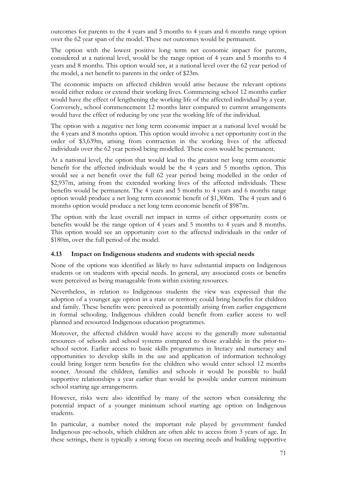outcomes for parents to the 4 years and 5 months to 4 years and 6 months range option over the 62 year span of the model. These net outcomes would be permanent.

The option with the lowest positive long term net economic impact for parents, considered at a national level, would be the range option of 4 years and 5 months to 4 years and 8 months. This option would see, at a national level over the 62 year period of the model, a net benefit to parents in the order of \$23m.

The economic impacts on affected children would arise because the relevant options would either reduce or extend their working lives. Commencing school 12 months earlier would have the effect of lengthening the working life of the affected individual by a year. Conversely, school commencement 12 months later compared to current arrangements would have the effect of reducing by one year the working life of the individual.

The option with a negative net long term economic impact at a national level would be the 4 years and 8 months option. This option would involve a net opportunity cost in the order of \$3,639m, arising from contraction in the working lives of the affected individuals over the 62 year period being modelled. These costs would be permanent.

At a national level, the option that would lead to the greatest net long term economic benefit for the affected individuals would be the 4 years and 5 months option. This would see a net benefit over the full 62 year period being modelled in the order of \$2,937m, arising from the extended working lives of the affected individuals. These benefits would be permanent. The 4 years and 5 months to 4 years and 6 months range option would produce a net long term economic benefit of \$1,306m. The 4 years and 6 months option would produce a net long term economic benefit of \$987m.

The option with the least overall net impact in terms of either opportunity costs or benefits would be the range option of 4 years and 5 months to 4 years and 8 months. This option would see an opportunity cost to the affected individuals in the order of \$180m, over the full period of the model.

#### **4.13 Impact on Indigenous students and students with special needs**

None of the options was identified as likely to have substantial impacts on Indigenous students or on students with special needs. In general, any associated costs or benefits were perceived as being manageable from within existing resources.

Nevertheless, in relation to Indigenous students the view was expressed that the adoption of a younger age option in a state or territory could bring benefits for children and family. These benefits were perceived as potentially arising from earlier engagement in formal schooling. Indigenous children could benefit from earlier access to well planned and resourced Indigenous education programmes.

Moreover, the affected children would have access to the generally more substantial resources of schools and school systems compared to those available in the prior-toschool sector. Earlier access to basic skills programmes in literacy and numeracy and opportunities to develop skills in the use and application of information technology could bring longer term benefits for the children who would enter school 12 months sooner. Around the children, families and schools it would be possible to build supportive relationships a year earlier than would be possible under current minimum school starting age arrangements.

However, risks were also identified by many of the sectors when considering the potential impact of a younger minimum school starting age option on Indigenous students.

In particular, a number noted the important role played by government funded Indigenous pre-schools, which children are often able to access from 3 years of age. In these settings, there is typically a strong focus on meeting needs and building supportive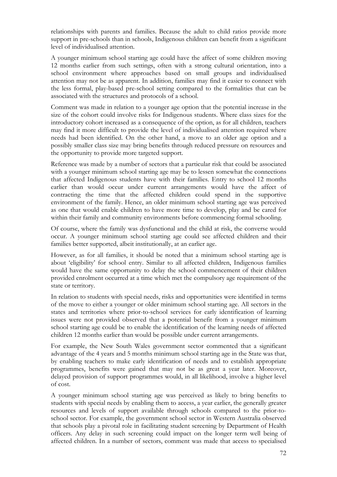relationships with parents and families. Because the adult to child ratios provide more support in pre-schools than in schools, Indigenous children can benefit from a significant level of individualised attention.

A younger minimum school starting age could have the affect of some children moving 12 months earlier from such settings, often with a strong cultural orientation, into a school environment where approaches based on small groups and individualised attention may not be as apparent. In addition, families may find it easier to connect with the less formal, play-based pre-school setting compared to the formalities that can be associated with the structures and protocols of a school.

Comment was made in relation to a younger age option that the potential increase in the size of the cohort could involve risks for Indigenous students. Where class sizes for the introductory cohort increased as a consequence of the option, as for all children, teachers may find it more difficult to provide the level of individualised attention required where needs had been identified. On the other hand, a move to an older age option and a possibly smaller class size may bring benefits through reduced pressure on resources and the opportunity to provide more targeted support.

Reference was made by a number of sectors that a particular risk that could be associated with a younger minimum school starting age may be to lessen somewhat the connections that affected Indigenous students have with their families. Entry to school 12 months earlier than would occur under current arrangements would have the affect of contracting the time that the affected children could spend in the supportive environment of the family. Hence, an older minimum school starting age was perceived as one that would enable children to have more time to develop, play and be cared for within their family and community environments before commencing formal schooling.

Of course, where the family was dysfunctional and the child at risk, the converse would occur. A younger minimum school starting age could see affected children and their families better supported, albeit institutionally, at an earlier age.

However, as for all families, it should be noted that a minimum school starting age is about 'eligibility' for school entry. Similar to all affected children, Indigenous families would have the same opportunity to delay the school commencement of their children provided enrolment occurred at a time which met the compulsory age requirement of the state or territory.

In relation to students with special needs, risks and opportunities were identified in terms of the move to either a younger or older minimum school starting age. All sectors in the states and territories where prior-to-school services for early identification of learning issues were not provided observed that a potential benefit from a younger minimum school starting age could be to enable the identification of the learning needs of affected children 12 months earlier than would be possible under current arrangements.

For example, the New South Wales government sector commented that a significant advantage of the 4 years and 5 months minimum school starting age in the State was that, by enabling teachers to make early identification of needs and to establish appropriate programmes, benefits were gained that may not be as great a year later. Moreover, delayed provision of support programmes would, in all likelihood, involve a higher level of cost.

A younger minimum school starting age was perceived as likely to bring benefits to students with special needs by enabling them to access, a year earlier, the generally greater resources and levels of support available through schools compared to the prior-toschool sector. For example, the government school sector in Western Australia observed that schools play a pivotal role in facilitating student screening by Department of Health officers. Any delay in such screening could impact on the longer term well being of affected children. In a number of sectors, comment was made that access to specialised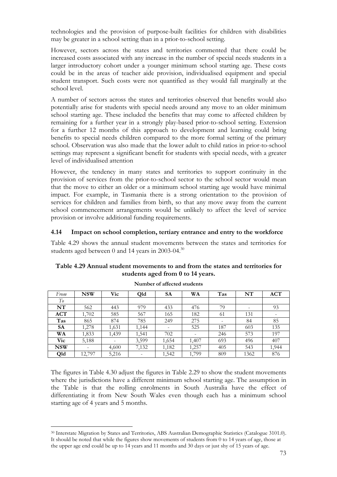technologies and the provision of purpose-built facilities for children with disabilities may be greater in a school setting than in a prior-to-school setting.

However, sectors across the states and territories commented that there could be increased costs associated with any increase in the number of special needs students in a larger introductory cohort under a younger minimum school starting age. These costs could be in the areas of teacher aide provision, individualised equipment and special student transport. Such costs were not quantified as they would fall marginally at the school level.

A number of sectors across the states and territories observed that benefits would also potentially arise for students with special needs around any move to an older minimum school starting age. These included the benefits that may come to affected children by remaining for a further year in a strongly play-based prior-to-school setting. Extension for a further 12 months of this approach to development and learning could bring benefits to special needs children compared to the more formal setting of the primary school. Observation was also made that the lower adult to child ratios in prior-to-school settings may represent a significant benefit for students with special needs, with a greater level of individualised attention

However, the tendency in many states and territories to support continuity in the provision of services from the prior-to-school sector to the school sector would mean that the move to either an older or a minimum school starting age would have minimal impact. For example, in Tasmania there is a strong orientation to the provision of services for children and families from birth, so that any move away from the current school commencement arrangements would be unlikely to affect the level of service provision or involve additional funding requirements.

#### **4.14 Impact on school completion, tertiary entrance and entry to the workforce**

Table 4.29 shows the annual student movements between the states and territories for students aged between 0 and 14 years in 2003-04.<sup>30</sup>

| Table 4.29 Annual student movements to and from the states and territories for |
|--------------------------------------------------------------------------------|
| students aged from 0 to 14 years.                                              |

| From       | <b>NSW</b>               | Vic                      | Qld                      | <b>SA</b> | WA    | Tas | NT   | <b>ACT</b> |
|------------|--------------------------|--------------------------|--------------------------|-----------|-------|-----|------|------------|
| To         |                          |                          |                          |           |       |     |      |            |
| NT         | 562                      | 443                      | 979                      | 433       | 476   | 79  | -    | 93         |
| ACT        | 1,702                    | 585                      | 567                      | 165       | 182   | 61  | 131  |            |
| Tas        | 865                      | 874                      | 785                      | 249       | 275   |     | 84   | 85         |
| <b>SA</b>  | 1,278                    | 1,631                    | 1,144                    |           | 525   | 187 | 603  | 135        |
| WA         | 1,833                    | 1,439                    | 1,541                    | 702       | -     | 246 | 573  | 197        |
| Vic        | 5,188                    | $\overline{\phantom{a}}$ | 3,599                    | 1,654     | 1,407 | 693 | 496  | 407        |
| <b>NSW</b> | $\overline{\phantom{a}}$ | 4,600                    | 7,132                    | 1,182     | 1,257 | 405 | 543  | 1,944      |
| Qld        | 12,797                   | 5,216                    | $\overline{\phantom{a}}$ | 1,542     | 1,799 | 809 | 1362 | 876        |

**Number of affected students** 

The figures in Table 4.30 adjust the figures in Table 2.29 to show the student movements where the jurisdictions have a different minimum school starting age. The assumption in the Table is that the rolling enrolments in South Australia have the effect of differentiating it from New South Wales even though each has a minimum school starting age of 4 years and 5 months.

 $\overline{a}$ 

<sup>30</sup> Interstate Migration by States and Territories, ABS Australian Demographic Statistics (Catalogue 3101.0). It should be noted that while the figures show movements of students from 0 to 14 years of age, those at the upper age end could be up to 14 years and 11 months and 30 days or just shy of 15 years of age.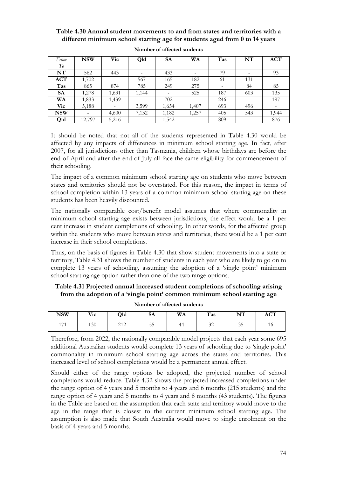### **Table 4.30 Annual student movements to and from states and territories with a different minimum school starting age for students aged from 0 to 14 years**

| From       | <b>NSW</b>               | Vic                          | Qld                      | <b>SA</b> | WA    | Tas | NT                           | <b>ACT</b>               |
|------------|--------------------------|------------------------------|--------------------------|-----------|-------|-----|------------------------------|--------------------------|
| To         |                          |                              |                          |           |       |     |                              |                          |
| NT         | 562                      | 443                          | $\overline{\phantom{a}}$ | 433       |       | 79  | $\qquad \qquad \blacksquare$ | 93                       |
| <b>ACT</b> | 1,702                    | $\qquad \qquad \blacksquare$ | 567                      | 165       | 182   | 61  | 131                          |                          |
| Tas        | 865                      | 874                          | 785                      | 249       | 275   |     | 84                           | 85                       |
| <b>SA</b>  | 1,278                    | 1,631                        | 1,144                    | -         | 525   | 187 | 603                          | 135                      |
| WA         | 1,833                    | 1,439                        |                          | 702       |       | 246 |                              | 197                      |
| <b>Vic</b> | 5,188                    | ۰                            | 3,599                    | 1,654     | 1,407 | 693 | 496                          | $\overline{\phantom{a}}$ |
| <b>NSW</b> | $\overline{\phantom{0}}$ | 4,600                        | 7,132                    | 1,182     | 1,257 | 405 | 543                          | 1,944                    |
| Qld        | 12,797                   | 5,216                        | $\overline{\phantom{a}}$ | 1,542     |       | 809 | $\overline{\phantom{a}}$     | 876                      |

|  | Number of affected students |  |
|--|-----------------------------|--|
|--|-----------------------------|--|

It should be noted that not all of the students represented in Table 4.30 would be affected by any impacts of differences in minimum school starting age. In fact, after 2007, for all jurisdictions other than Tasmania, children whose birthdays are before the end of April and after the end of July all face the same eligibility for commencement of their schooling.

The impact of a common minimum school starting age on students who move between states and territories should not be overstated. For this reason, the impact in terms of school completion within 13 years of a common minimum school starting age on these students has been heavily discounted.

The nationally comparable cost/benefit model assumes that where commonality in minimum school starting age exists between jurisdictions, the effect would be a 1 per cent increase in student completions of schooling. In other words, for the affected group within the students who move between states and territories, there would be a 1 per cent increase in their school completions.

Thus, on the basis of figures in Table 4.30 that show student movements into a state or territory, Table 4.31 shows the number of students in each year who are likely to go on to complete 13 years of schooling, assuming the adoption of a 'single point' minimum school starting age option rather than one of the two range options.

### **Table 4.31 Projected annual increased student completions of schooling arising from the adoption of a 'single point' common minimum school starting age**

| <b>NSW</b> | Vic | Qld        | <b>SA</b> | WA | $\mathbf{H}$<br><b>Tas</b> | NT<br><b>* * *</b>  | $\sim$<br>AU 1 |
|------------|-----|------------|-----------|----|----------------------------|---------------------|----------------|
| 171<br>1/1 | 130 | 212<br>∠⊥∠ | 55        | 44 | $\sim$<br>ىمەر             | $\sim$ $\sim$<br>35 | ΙU             |

**Number of affected students** 

Therefore, from 2022, the nationally comparable model projects that each year some 695 additional Australian students would complete 13 years of schooling due to 'single point' commonality in minimum school starting age across the states and territories. This increased level of school completions would be a permanent annual effect.

Should either of the range options be adopted, the projected number of school completions would reduce. Table 4.32 shows the projected increased completions under the range option of 4 years and 5 months to 4 years and 6 months (215 students) and the range option of 4 years and 5 months to 4 years and 8 months (43 students). The figures in the Table are based on the assumption that each state and territory would move to the age in the range that is closest to the current minimum school starting age. The assumption is also made that South Australia would move to single enrolment on the basis of 4 years and 5 months.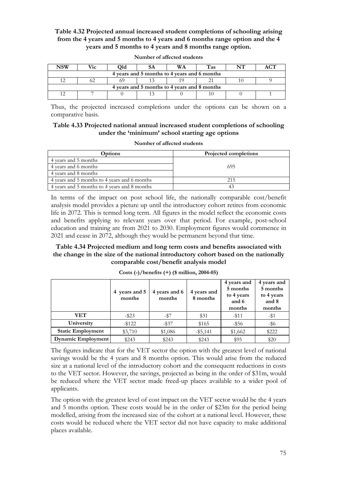### **Table 4.32 Projected annual increased student completions of schooling arising from the 4 years and 5 months to 4 years and 6 months range option and the 4 years and 5 months to 4 years and 8 months range option.**

| NSW                                          | Vic                                          | Жd |  | WA | Tas | NТ | <u>сп</u> |  |  |
|----------------------------------------------|----------------------------------------------|----|--|----|-----|----|-----------|--|--|
| 4 years and 5 months to 4 years and 6 months |                                              |    |  |    |     |    |           |  |  |
|                                              |                                              |    |  |    |     |    |           |  |  |
|                                              | 4 years and 5 months to 4 years and 8 months |    |  |    |     |    |           |  |  |
|                                              |                                              |    |  |    |     |    |           |  |  |

**Number of affected students** 

Thus, the projected increased completions under the options can be shown on a comparative basis.

#### **Table 4.33 Projected national annual increased student completions of schooling under the 'minimum' school starting age options**

| Number of affected students |  |
|-----------------------------|--|
|-----------------------------|--|

| Options                                      | <b>Projected completions</b> |
|----------------------------------------------|------------------------------|
| 4 years and 5 months                         |                              |
| 4 years and 6 months                         | 695                          |
| 4 years and 8 months                         |                              |
| 4 years and 5 months to 4 years and 6 months | 215                          |
| 4 years and 5 months to 4 years and 8 months | $4^{\circ}$                  |

In terms of the impact on post school life, the nationally comparable cost/benefit analysis model provides a picture up until the introductory cohort retires from economic life in 2072. This is termed long term. All figures in the model reflect the economic costs and benefits applying to relevant years over that period. For example, post-school education and training are from 2021 to 2030. Employment figures would commence in 2021 and cease in 2072, although they would be permanent beyond that time.

### **Table 4.34 Projected medium and long term costs and benefits associated with the change in the size of the national introductory cohort based on the nationally comparable cost/benefit analysis model**

|                          | 4 years and 5<br>months | 4 years and 6<br>months | 4 years and<br>8 months | 4 years and<br>5 months<br>to 4 years<br>and 6<br>months | 4 years and<br>5 months<br>to 4 years<br>and 8<br>months |
|--------------------------|-------------------------|-------------------------|-------------------------|----------------------------------------------------------|----------------------------------------------------------|
| VET                      | $-$ \$23                | -\$7                    | \$31                    | $- $11$                                                  | $-$ \$1                                                  |
| University               | $-1122$                 | $-$ \$37                | \$165                   | $-$ \$56                                                 | $-$ \$6                                                  |
| <b>Static Employment</b> | \$3,710                 | \$1,086                 | $-$ \$5,141             | \$1,662                                                  | \$222                                                    |
| Dynamic Employment       | \$243                   | \$243                   | \$243                   | \$95                                                     | \$20                                                     |

**Costs (-)/benefits (+) (\$ million, 2004-05)** 

The figures indicate that for the VET sector the option with the greatest level of national savings would be the 4 years and 8 months option. This would arise from the reduced size at a national level of the introductory cohort and the consequent reductions in costs to the VET sector. However, the savings, projected as being in the order of \$31m, would be reduced where the VET sector made freed-up places available to a wider pool of applicants.

The option with the greatest level of cost impact on the VET sector would be the 4 years and 5 months option. These costs would be in the order of \$23m for the period being modelled, arising from the increased size of the cohort at a national level. However, these costs would be reduced where the VET sector did not have capacity to make additional places available.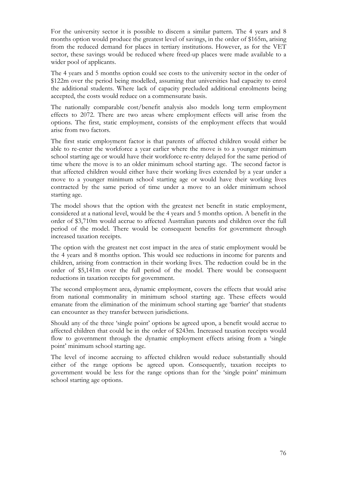For the university sector it is possible to discern a similar pattern. The 4 years and 8 months option would produce the greatest level of savings, in the order of \$165m, arising from the reduced demand for places in tertiary institutions. However, as for the VET sector, these savings would be reduced where freed-up places were made available to a wider pool of applicants.

The 4 years and 5 months option could see costs to the university sector in the order of \$122m over the period being modelled, assuming that universities had capacity to enrol the additional students. Where lack of capacity precluded additional enrolments being accepted, the costs would reduce on a commensurate basis.

The nationally comparable cost/benefit analysis also models long term employment effects to 2072. There are two areas where employment effects will arise from the options. The first, static employment, consists of the employment effects that would arise from two factors.

The first static employment factor is that parents of affected children would either be able to re-enter the workforce a year earlier where the move is to a younger minimum school starting age or would have their workforce re-entry delayed for the same period of time where the move is to an older minimum school starting age. The second factor is that affected children would either have their working lives extended by a year under a move to a younger minimum school starting age or would have their working lives contracted by the same period of time under a move to an older minimum school starting age.

The model shows that the option with the greatest net benefit in static employment, considered at a national level, would be the 4 years and 5 months option. A benefit in the order of \$3,710m would accrue to affected Australian parents and children over the full period of the model. There would be consequent benefits for government through increased taxation receipts.

The option with the greatest net cost impact in the area of static employment would be the 4 years and 8 months option. This would see reductions in income for parents and children, arising from contraction in their working lives. The reduction could be in the order of \$5,141m over the full period of the model. There would be consequent reductions in taxation receipts for government.

The second employment area, dynamic employment, covers the effects that would arise from national commonality in minimum school starting age. These effects would emanate from the elimination of the minimum school starting age 'barrier' that students can encounter as they transfer between jurisdictions.

Should any of the three 'single point' options be agreed upon, a benefit would accrue to affected children that could be in the order of \$243m. Increased taxation receipts would flow to government through the dynamic employment effects arising from a 'single point' minimum school starting age.

The level of income accruing to affected children would reduce substantially should either of the range options be agreed upon. Consequently, taxation receipts to government would be less for the range options than for the 'single point' minimum school starting age options.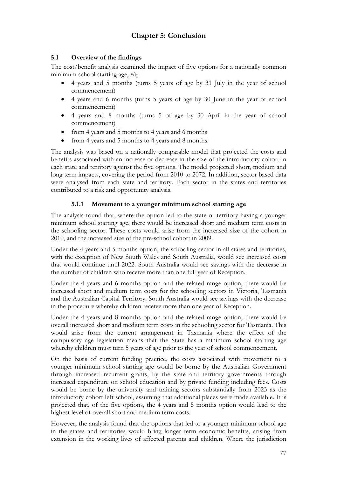# **Chapter 5: Conclusion**

# **5.1 Overview of the findings**

The cost/benefit analysis examined the impact of five options for a nationally common minimum school starting age, *viz*:

- 4 years and 5 months (turns 5 years of age by 31 July in the year of school commencement)
- 4 years and 6 months (turns 5 years of age by 30 June in the year of school commencement)
- 4 years and 8 months (turns 5 of age by 30 April in the year of school commencement)
- from 4 years and 5 months to 4 years and 6 months
- from 4 years and 5 months to 4 years and 8 months.

The analysis was based on a nationally comparable model that projected the costs and benefits associated with an increase or decrease in the size of the introductory cohort in each state and territory against the five options. The model projected short, medium and long term impacts, covering the period from 2010 to 2072. In addition, sector based data were analysed from each state and territory. Each sector in the states and territories contributed to a risk and opportunity analysis.

#### **5.1.1 Movement to a younger minimum school starting age**

The analysis found that, where the option led to the state or territory having a younger minimum school starting age, there would be increased short and medium term costs in the schooling sector. These costs would arise from the increased size of the cohort in 2010, and the increased size of the pre-school cohort in 2009.

Under the 4 years and 5 months option, the schooling sector in all states and territories, with the exception of New South Wales and South Australia, would see increased costs that would continue until 2022. South Australia would see savings with the decrease in the number of children who receive more than one full year of Reception.

Under the 4 years and 6 months option and the related range option, there would be increased short and medium term costs for the schooling sectors in Victoria, Tasmania and the Australian Capital Territory. South Australia would see savings with the decrease in the procedure whereby children receive more than one year of Reception.

Under the 4 years and 8 months option and the related range option, there would be overall increased short and medium term costs in the schooling sector for Tasmania. This would arise from the current arrangement in Tasmania where the effect of the compulsory age legislation means that the State has a minimum school starting age whereby children must turn 5 years of age prior to the year of school commencement.

On the basis of current funding practice, the costs associated with movement to a younger minimum school starting age would be borne by the Australian Government through increased recurrent grants, by the state and territory governments through increased expenditure on school education and by private funding including fees. Costs would be borne by the university and training sectors substantially from 2023 as the introductory cohort left school, assuming that additional places were made available. It is projected that, of the five options, the 4 years and 5 months option would lead to the highest level of overall short and medium term costs.

However, the analysis found that the options that led to a younger minimum school age in the states and territories would bring longer term economic benefits, arising from extension in the working lives of affected parents and children. Where the jurisdiction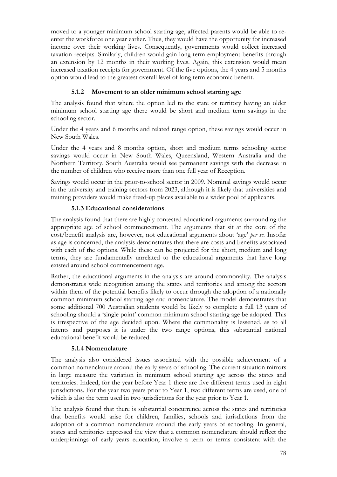moved to a younger minimum school starting age, affected parents would be able to reenter the workforce one year earlier. Thus, they would have the opportunity for increased income over their working lives. Consequently, governments would collect increased taxation receipts. Similarly, children would gain long term employment benefits through an extension by 12 months in their working lives. Again, this extension would mean increased taxation receipts for government. Of the five options, the 4 years and 5 months option would lead to the greatest overall level of long term economic benefit.

# **5.1.2 Movement to an older minimum school starting age**

The analysis found that where the option led to the state or territory having an older minimum school starting age there would be short and medium term savings in the schooling sector.

Under the 4 years and 6 months and related range option, these savings would occur in New South Wales.

Under the 4 years and 8 months option, short and medium terms schooling sector savings would occur in New South Wales, Queensland, Western Australia and the Northern Territory. South Australia would see permanent savings with the decrease in the number of children who receive more than one full year of Reception.

Savings would occur in the prior-to-school sector in 2009. Nominal savings would occur in the university and training sectors from 2023, although it is likely that universities and training providers would make freed-up places available to a wider pool of applicants.

### **5.1.3 Educational considerations**

The analysis found that there are highly contested educational arguments surrounding the appropriate age of school commencement. The arguments that sit at the core of the cost/benefit analysis are, however, not educational arguments about 'age' *per se*. Insofar as age is concerned, the analysis demonstrates that there are costs and benefits associated with each of the options. While these can be projected for the short, medium and long terms, they are fundamentally unrelated to the educational arguments that have long existed around school commencement age.

Rather, the educational arguments in the analysis are around commonality. The analysis demonstrates wide recognition among the states and territories and among the sectors within them of the potential benefits likely to occur through the adoption of a nationally common minimum school starting age and nomenclature. The model demonstrates that some additional 700 Australian students would be likely to complete a full 13 years of schooling should a 'single point' common minimum school starting age be adopted. This is irrespective of the age decided upon. Where the commonality is lessened, as to all intents and purposes it is under the two range options, this substantial national educational benefit would be reduced.

#### **5.1.4 Nomenclature**

The analysis also considered issues associated with the possible achievement of a common nomenclature around the early years of schooling. The current situation mirrors in large measure the variation in minimum school starting age across the states and territories. Indeed, for the year before Year 1 there are five different terms used in eight jurisdictions. For the year two years prior to Year 1, two different terms are used, one of which is also the term used in two jurisdictions for the year prior to Year 1.

The analysis found that there is substantial concurrence across the states and territories that benefits would arise for children, families, schools and jurisdictions from the adoption of a common nomenclature around the early years of schooling. In general, states and territories expressed the view that a common nomenclature should reflect the underpinnings of early years education, involve a term or terms consistent with the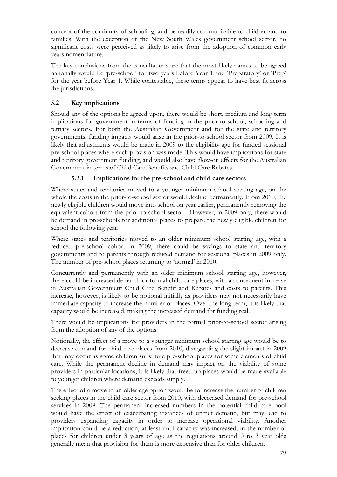concept of the continuity of schooling, and be readily communicable to children and to families. With the exception of the New South Wales government school sector, no significant costs were perceived as likely to arise from the adoption of common early years nomenclature.

The key conclusions from the consultations are that the most likely names to be agreed nationally would be 'pre-school' for two years before Year 1 and 'Preparatory' or 'Prep' for the year before Year 1. While contestable, these terms appear to have best fit across the jurisdictions.

# **5.2 Key implications**

Should any of the options be agreed upon, there would be short, medium and long term implications for government in terms of funding in the prior-to-school, schooling and tertiary sectors. For both the Australian Government and for the state and territory governments, funding impacts would arise in the prior-to-school sector from 2009. It is likely that adjustments would be made in 2009 to the eligibility age for funded sessional pre-school places where such provision was made. This would have implications for state and territory government funding, and would also have flow-on effects for the Australian Government in terms of Child Care Benefits and Child Care Rebates.

# **5.2.1 Implications for the pre-school and child care sectors**

Where states and territories moved to a younger minimum school starting age, on the whole the costs in the prior-to-school sector would decline permanently. From 2010, the newly eligible children would move into school on year earlier, permanently removing the equivalent cohort from the prior-to-school sector. However, in 2009 only, there would be demand in pre-schools for additional places to prepare the newly eligible children for school the following year.

Where states and territories moved to an older minimum school starting age, with a reduced pre-school cohort in 2009, there could be savings to state and territory governments and to parents through reduced demand for sessional places in 2009 only. The number of pre-school places returning to 'normal' in 2010.

Concurrently and permanently with an older minimum school starting age, however, there could be increased demand for formal child care places, with a consequent increase in Australian Government Child Care Benefit and Rebates and costs to parents. This increase, however, is likely to be notional initially as providers may not necessarily have immediate capacity to increase the number of places. Over the long term, it is likely that capacity would be increased, making the increased demand for funding real.

There would be implications for providers in the formal prior-to-school sector arising from the adoption of any of the options.

Notionally, the effect of a move to a younger minimum school starting age would be to decrease demand for child care places from 2010, disregarding the slight impact in 2009 that may occur as some children substitute pre-school places for some elements of child care. While the permanent decline in demand may impact on the viability of some providers in particular locations, it is likely that freed-up places would be made available to younger children where demand exceeds supply.

The effect of a move to an older age option would be to increase the number of children seeking places in the child care sector from 2010, with decreased demand for pre-school services in 2009. The permanent increased numbers in the potential child care pool would have the effect of exacerbating instances of unmet demand, but may lead to providers expanding capacity in order to increase operational viability. Another implication could be a reduction, at least until capacity was increased, in the number of places for children under 3 years of age as the regulations around 0 to 3 year olds generally mean that provision for them is more expensive than for older children.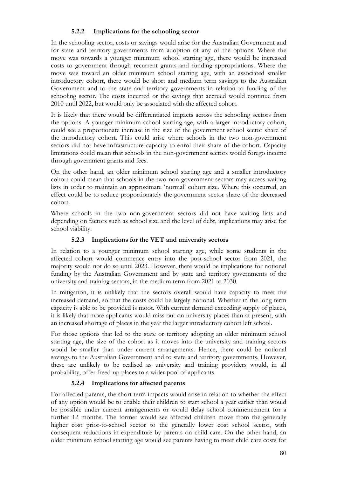### **5.2.2 Implications for the schooling sector**

In the schooling sector, costs or savings would arise for the Australian Government and for state and territory governments from adoption of any of the options. Where the move was towards a younger minimum school starting age, there would be increased costs to government through recurrent grants and funding appropriations. Where the move was toward an older minimum school starting age, with an associated smaller introductory cohort, there would be short and medium term savings to the Australian Government and to the state and territory governments in relation to funding of the schooling sector. The costs incurred or the savings that accrued would continue from 2010 until 2022, but would only be associated with the affected cohort.

It is likely that there would be differentiated impacts across the schooling sectors from the options. A younger minimum school starting age, with a larger introductory cohort, could see a proportionate increase in the size of the government school sector share of the introductory cohort. This could arise where schools in the two non-government sectors did not have infrastructure capacity to enrol their share of the cohort. Capacity limitations could mean that schools in the non-government sectors would forego income through government grants and fees.

On the other hand, an older minimum school starting age and a smaller introductory cohort could mean that schools in the two non-government sectors may access waiting lists in order to maintain an approximate 'normal' cohort size. Where this occurred, an effect could be to reduce proportionately the government sector share of the decreased cohort.

Where schools in the two non-government sectors did not have waiting lists and depending on factors such as school size and the level of debt, implications may arise for school viability.

### **5.2.3 Implications for the VET and university sectors**

In relation to a younger minimum school starting age, while some students in the affected cohort would commence entry into the post-school sector from 2021, the majority would not do so until 2023. However, there would be implications for notional funding by the Australian Government and by state and territory governments of the university and training sectors, in the medium term from 2021 to 2030.

In mitigation, it is unlikely that the sectors overall would have capacity to meet the increased demand, so that the costs could be largely notional. Whether in the long term capacity is able to be provided is moot. With current demand exceeding supply of places, it is likely that more applicants would miss out on university places than at present, with an increased shortage of places in the year the larger introductory cohort left school.

For those options that led to the state or territory adopting an older minimum school starting age, the size of the cohort as it moves into the university and training sectors would be smaller than under current arrangements. Hence, there could be notional savings to the Australian Government and to state and territory governments. However, these are unlikely to be realised as university and training providers would, in all probability, offer freed-up places to a wider pool of applicants.

# **5.2.4 Implications for affected parents**

For affected parents, the short term impacts would arise in relation to whether the effect of any option would be to enable their children to start school a year earlier than would be possible under current arrangements or would delay school commencement for a further 12 months. The former would see affected children move from the generally higher cost prior-to-school sector to the generally lower cost school sector, with consequent reductions in expenditure by parents on child care. On the other hand, an older minimum school starting age would see parents having to meet child care costs for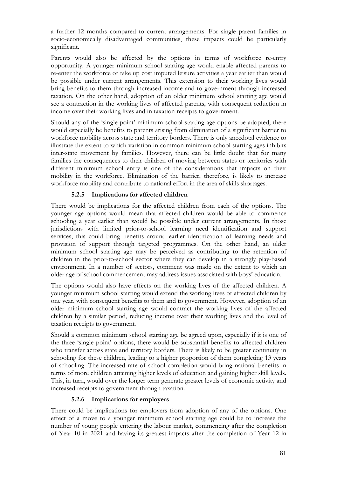a further 12 months compared to current arrangements. For single parent families in socio-economically disadvantaged communities, these impacts could be particularly significant.

Parents would also be affected by the options in terms of workforce re-entry opportunity. A younger minimum school starting age would enable affected parents to re-enter the workforce or take up cost imputed leisure activities a year earlier than would be possible under current arrangements. This extension to their working lives would bring benefits to them through increased income and to government through increased taxation. On the other hand, adoption of an older minimum school starting age would see a contraction in the working lives of affected parents, with consequent reduction in income over their working lives and in taxation receipts to government.

Should any of the 'single point' minimum school starting age options be adopted, there would especially be benefits to parents arising from elimination of a significant barrier to workforce mobility across state and territory borders. There is only anecdotal evidence to illustrate the extent to which variation in common minimum school starting ages inhibits inter-state movement by families. However, there can be little doubt that for many families the consequences to their children of moving between states or territories with different minimum school entry is one of the considerations that impacts on their mobility in the workforce. Elimination of the barrier, therefore, is likely to increase workforce mobility and contribute to national effort in the area of skills shortages.

# **5.2.5 Implications for affected children**

There would be implications for the affected children from each of the options. The younger age options would mean that affected children would be able to commence schooling a year earlier than would be possible under current arrangements. In those jurisdictions with limited prior-to-school learning need identification and support services, this could bring benefits around earlier identification of learning needs and provision of support through targeted programmes. On the other hand, an older minimum school starting age may be perceived as contributing to the retention of children in the prior-to-school sector where they can develop in a strongly play-based environment. In a number of sectors, comment was made on the extent to which an older age of school commencement may address issues associated with boys' education.

The options would also have effects on the working lives of the affected children. A younger minimum school starting would extend the working lives of affected children by one year, with consequent benefits to them and to government. However, adoption of an older minimum school starting age would contract the working lives of the affected children by a similar period, reducing income over their working lives and the level of taxation receipts to government.

Should a common minimum school starting age be agreed upon, especially if it is one of the three 'single point' options, there would be substantial benefits to affected children who transfer across state and territory borders. There is likely to be greater continuity in schooling for these children, leading to a higher proportion of them completing 13 years of schooling. The increased rate of school completion would bring national benefits in terms of more children attaining higher levels of education and gaining higher skill levels. This, in turn, would over the longer term generate greater levels of economic activity and increased receipts to government through taxation.

#### **5.2.6 Implications for employers**

There could be implications for employers from adoption of any of the options. One effect of a move to a younger minimum school starting age could be to increase the number of young people entering the labour market, commencing after the completion of Year 10 in 2021 and having its greatest impacts after the completion of Year 12 in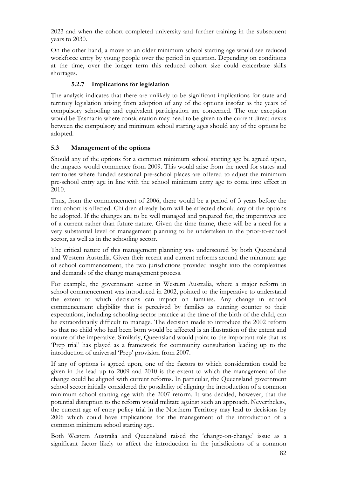2023 and when the cohort completed university and further training in the subsequent years to 2030.

On the other hand, a move to an older minimum school starting age would see reduced workforce entry by young people over the period in question. Depending on conditions at the time, over the longer term this reduced cohort size could exacerbate skills shortages.

# **5.2.7 Implications for legislation**

The analysis indicates that there are unlikely to be significant implications for state and territory legislation arising from adoption of any of the options insofar as the years of compulsory schooling and equivalent participation are concerned. The one exception would be Tasmania where consideration may need to be given to the current direct nexus between the compulsory and minimum school starting ages should any of the options be adopted.

# **5.3 Management of the options**

Should any of the options for a common minimum school starting age be agreed upon, the impacts would commence from 2009. This would arise from the need for states and territories where funded sessional pre-school places are offered to adjust the minimum pre-school entry age in line with the school minimum entry age to come into effect in 2010.

Thus, from the commencement of 2006, there would be a period of 3 years before the first cohort is affected. Children already born will be affected should any of the options be adopted. If the changes are to be well managed and prepared for, the imperatives are of a current rather than future nature. Given the time frame, there will be a need for a very substantial level of management planning to be undertaken in the prior-to-school sector, as well as in the schooling sector.

The critical nature of this management planning was underscored by both Queensland and Western Australia. Given their recent and current reforms around the minimum age of school commencement, the two jurisdictions provided insight into the complexities and demands of the change management process.

For example, the government sector in Western Australia, where a major reform in school commencement was introduced in 2002, pointed to the imperative to understand the extent to which decisions can impact on families. Any change in school commencement eligibility that is perceived by families as running counter to their expectations, including schooling sector practice at the time of the birth of the child, can be extraordinarily difficult to manage. The decision made to introduce the 2002 reform so that no child who had been born would be affected is an illustration of the extent and nature of the imperative. Similarly, Queensland would point to the important role that its 'Prep trial' has played as a framework for community consultation leading up to the introduction of universal 'Prep' provision from 2007.

If any of options is agreed upon, one of the factors to which consideration could be given in the lead up to 2009 and 2010 is the extent to which the management of the change could be aligned with current reforms. In particular, the Queensland government school sector initially considered the possibility of aligning the introduction of a common minimum school starting age with the 2007 reform. It was decided, however, that the potential disruption to the reform would militate against such an approach. Nevertheless, the current age of entry policy trial in the Northern Territory may lead to decisions by 2006 which could have implications for the management of the introduction of a common minimum school starting age.

Both Western Australia and Queensland raised the 'change-on-change' issue as a significant factor likely to affect the introduction in the jurisdictions of a common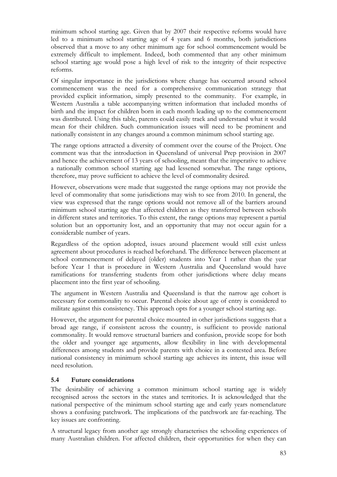minimum school starting age. Given that by 2007 their respective reforms would have led to a minimum school starting age of 4 years and 6 months, both jurisdictions observed that a move to any other minimum age for school commencement would be extremely difficult to implement. Indeed, both commented that any other minimum school starting age would pose a high level of risk to the integrity of their respective reforms.

Of singular importance in the jurisdictions where change has occurred around school commencement was the need for a comprehensive communication strategy that provided explicit information, simply presented to the community. For example, in Western Australia a table accompanying written information that included months of birth and the impact for children born in each month leading up to the commencement was distributed. Using this table, parents could easily track and understand what it would mean for their children. Such communication issues will need to be prominent and nationally consistent in any changes around a common minimum school starting age.

The range options attracted a diversity of comment over the course of the Project. One comment was that the introduction in Queensland of universal Prep provision in 2007 and hence the achievement of 13 years of schooling, meant that the imperative to achieve a nationally common school starting age had lessened somewhat. The range options, therefore, may prove sufficient to achieve the level of commonality desired.

However, observations were made that suggested the range options may not provide the level of commonality that some jurisdictions may wish to see from 2010. In general, the view was expressed that the range options would not remove all of the barriers around minimum school starting age that affected children as they transferred between schools in different states and territories. To this extent, the range options may represent a partial solution but an opportunity lost, and an opportunity that may not occur again for a considerable number of years.

Regardless of the option adopted, issues around placement would still exist unless agreement about procedures is reached beforehand. The difference between placement at school commencement of delayed (older) students into Year 1 rather than the year before Year 1 that is procedure in Western Australia and Queensland would have ramifications for transferring students from other jurisdictions where delay means placement into the first year of schooling.

The argument in Western Australia and Queensland is that the narrow age cohort is necessary for commonality to occur. Parental choice about age of entry is considered to militate against this consistency. This approach opts for a younger school starting age.

However, the argument for parental choice mounted in other jurisdictions suggests that a broad age range, if consistent across the country, is sufficient to provide national commonality. It would remove structural barriers and confusion, provide scope for both the older and younger age arguments, allow flexibility in line with developmental differences among students and provide parents with choice in a contested area. Before national consistency in minimum school starting age achieves its intent, this issue will need resolution.

# **5.4 Future considerations**

The desirability of achieving a common minimum school starting age is widely recognised across the sectors in the states and territories. It is acknowledged that the national perspective of the minimum school starting age and early years nomenclature shows a confusing patchwork. The implications of the patchwork are far-reaching. The key issues are confronting.

A structural legacy from another age strongly characterises the schooling experiences of many Australian children. For affected children, their opportunities for when they can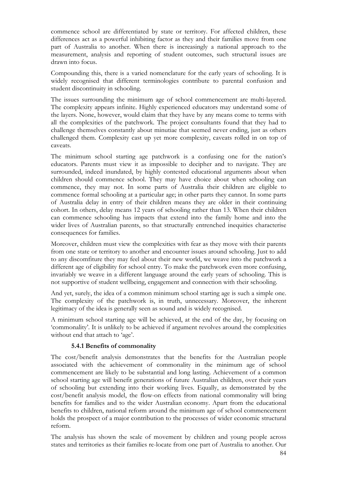commence school are differentiated by state or territory. For affected children, these differences act as a powerful inhibiting factor as they and their families move from one part of Australia to another. When there is increasingly a national approach to the measurement, analysis and reporting of student outcomes, such structural issues are drawn into focus.

Compounding this, there is a varied nomenclature for the early years of schooling. It is widely recognised that different terminologies contribute to parental confusion and student discontinuity in schooling.

The issues surrounding the minimum age of school commencement are multi-layered. The complexity appears infinite. Highly experienced educators may understand some of the layers. None, however, would claim that they have by any means come to terms with all the complexities of the patchwork. The project consultants found that they had to challenge themselves constantly about minutiae that seemed never ending, just as others challenged them. Complexity cast up yet more complexity, caveats rolled in on top of caveats.

The minimum school starting age patchwork is a confusing one for the nation's educators. Parents must view it as impossible to decipher and to navigate. They are surrounded, indeed inundated, by highly contested educational arguments about when children should commence school. They may have choice about when schooling can commence, they may not. In some parts of Australia their children are eligible to commence formal schooling at a particular age; in other parts they cannot. In some parts of Australia delay in entry of their children means they are older in their continuing cohort. In others, delay means 12 years of schooling rather than 13. When their children can commence schooling has impacts that extend into the family home and into the wider lives of Australian parents, so that structurally entrenched inequities characterise consequences for families.

Moreover, children must view the complexities with fear as they move with their parents from one state or territory to another and encounter issues around schooling. Just to add to any discomfiture they may feel about their new world, we weave into the patchwork a different age of eligibility for school entry. To make the patchwork even more confusing, invariably we weave in a different language around the early years of schooling. This is not supportive of student wellbeing, engagement and connection with their schooling.

And yet, surely, the idea of a common minimum school starting age is such a simple one. The complexity of the patchwork is, in truth, unnecessary. Moreover, the inherent legitimacy of the idea is generally seen as sound and is widely recognised.

A minimum school starting age will be achieved, at the end of the day, by focusing on 'commonality'. It is unlikely to be achieved if argument revolves around the complexities without end that attach to 'age'.

#### **5.4.1 Benefits of commonality**

The cost/benefit analysis demonstrates that the benefits for the Australian people associated with the achievement of commonality in the minimum age of school commencement are likely to be substantial and long lasting. Achievement of a common school starting age will benefit generations of future Australian children, over their years of schooling but extending into their working lives. Equally, as demonstrated by the cost/benefit analysis model, the flow-on effects from national commonality will bring benefits for families and to the wider Australian economy. Apart from the educational benefits to children, national reform around the minimum age of school commencement holds the prospect of a major contribution to the processes of wider economic structural reform.

The analysis has shown the scale of movement by children and young people across states and territories as their families re-locate from one part of Australia to another. Our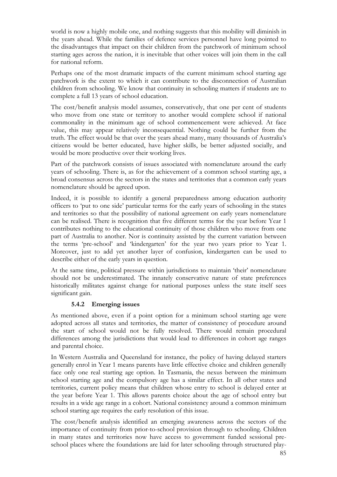world is now a highly mobile one, and nothing suggests that this mobility will diminish in the years ahead. While the families of defence services personnel have long pointed to the disadvantages that impact on their children from the patchwork of minimum school starting ages across the nation, it is inevitable that other voices will join them in the call for national reform.

Perhaps one of the most dramatic impacts of the current minimum school starting age patchwork is the extent to which it can contribute to the disconnection of Australian children from schooling. We know that continuity in schooling matters if students are to complete a full 13 years of school education.

The cost/benefit analysis model assumes, conservatively, that one per cent of students who move from one state or territory to another would complete school if national commonality in the minimum age of school commencement were achieved. At face value, this may appear relatively inconsequential. Nothing could be further from the truth. The effect would be that over the years ahead many, many thousands of Australia's citizens would be better educated, have higher skills, be better adjusted socially, and would be more productive over their working lives.

Part of the patchwork consists of issues associated with nomenclature around the early years of schooling. There is, as for the achievement of a common school starting age, a broad consensus across the sectors in the states and territories that a common early years nomenclature should be agreed upon.

Indeed, it is possible to identify a general preparedness among education authority officers to 'put to one side' particular terms for the early years of schooling in the states and territories so that the possibility of national agreement on early years nomenclature can be realised. There is recognition that five different terms for the year before Year 1 contributes nothing to the educational continuity of those children who move from one part of Australia to another. Nor is continuity assisted by the current variation between the terms 'pre-school' and 'kindergarten' for the year two years prior to Year 1. Moreover, just to add yet another layer of confusion, kindergarten can be used to describe either of the early years in question.

At the same time, political pressure within jurisdictions to maintain 'their' nomenclature should not be underestimated. The innately conservative nature of state preferences historically militates against change for national purposes unless the state itself sees significant gain.

#### **5.4.2 Emerging issues**

As mentioned above, even if a point option for a minimum school starting age were adopted across all states and territories, the matter of consistency of procedure around the start of school would not be fully resolved. There would remain procedural differences among the jurisdictions that would lead to differences in cohort age ranges and parental choice.

In Western Australia and Queensland for instance, the policy of having delayed starters generally enrol in Year 1 means parents have little effective choice and children generally face only one real starting age option. In Tasmania, the nexus between the minimum school starting age and the compulsory age has a similar effect. In all other states and territories, current policy means that children whose entry to school is delayed enter at the year before Year 1. This allows parents choice about the age of school entry but results in a wide age range in a cohort. National consistency around a common minimum school starting age requires the early resolution of this issue.

The cost/benefit analysis identified an emerging awareness across the sectors of the importance of continuity from prior-to-school provision through to schooling. Children in many states and territories now have access to government funded sessional preschool places where the foundations are laid for later schooling through structured play